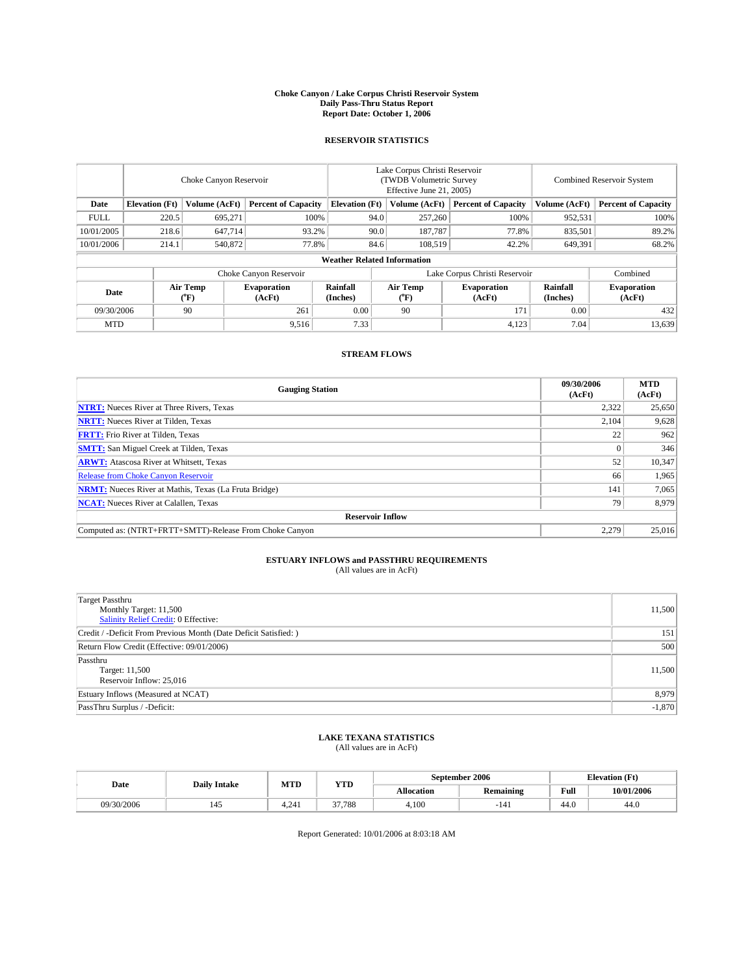#### **Choke Canyon / Lake Corpus Christi Reservoir System Daily Pass-Thru Status Report Report Date: October 1, 2006**

### **RESERVOIR STATISTICS**

|             | Choke Canyon Reservoir             |                  |                              |                               | Lake Corpus Christi Reservoir<br>(TWDB Volumetric Survey<br>Effective June 21, 2005) |                  |                              |                      | <b>Combined Reservoir System</b> |  |  |  |  |
|-------------|------------------------------------|------------------|------------------------------|-------------------------------|--------------------------------------------------------------------------------------|------------------|------------------------------|----------------------|----------------------------------|--|--|--|--|
| Date        | <b>Elevation</b> (Ft)              | Volume (AcFt)    | <b>Percent of Capacity</b>   | <b>Elevation</b> (Ft)         |                                                                                      | Volume (AcFt)    | <b>Percent of Capacity</b>   | Volume (AcFt)        | <b>Percent of Capacity</b>       |  |  |  |  |
| <b>FULL</b> | 220.5                              | 695,271          |                              | 100%                          | 94.0                                                                                 | 257,260          | 100%                         | 952,531              | 100%                             |  |  |  |  |
| 10/01/2005  | 218.6                              | 647,714          | 93.2%                        |                               | 90.0                                                                                 | 187,787          | 77.8%                        | 835,501              | 89.2%                            |  |  |  |  |
| 10/01/2006  | 214.1                              | 540,872          | 77.8%                        |                               | 84.6                                                                                 | 108.519          | 42.2%                        | 649,391              | 68.2%                            |  |  |  |  |
|             | <b>Weather Related Information</b> |                  |                              |                               |                                                                                      |                  |                              |                      |                                  |  |  |  |  |
|             |                                    |                  |                              | Lake Corpus Christi Reservoir |                                                                                      | Combined         |                              |                      |                                  |  |  |  |  |
| Date        |                                    | Air Temp<br>(°F) | <b>Evaporation</b><br>(AcFt) | Rainfall<br>(Inches)          |                                                                                      | Air Temp<br>("F) | <b>Evaporation</b><br>(AcFt) | Rainfall<br>(Inches) | <b>Evaporation</b><br>(AcFt)     |  |  |  |  |
| 09/30/2006  |                                    | 90               | 261                          | 0.00                          |                                                                                      | 90               | 171                          | 0.00                 | 432                              |  |  |  |  |
| <b>MTD</b>  |                                    |                  | 9,516                        | 7.33                          |                                                                                      |                  | 4,123                        | 7.04                 | 13,639                           |  |  |  |  |

## **STREAM FLOWS**

| <b>Gauging Station</b>                                       | 09/30/2006<br>(AcFt) | <b>MTD</b><br>(AcFt) |
|--------------------------------------------------------------|----------------------|----------------------|
| <b>NTRT:</b> Nueces River at Three Rivers, Texas             | 2,322                | 25,650               |
| <b>NRTT:</b> Nueces River at Tilden, Texas                   | 2,104                | 9,628                |
| <b>FRTT:</b> Frio River at Tilden, Texas                     | 22                   | 962                  |
| <b>SMTT:</b> San Miguel Creek at Tilden, Texas               |                      | 346                  |
| <b>ARWT:</b> Atascosa River at Whitsett, Texas               | 52                   | 10,347               |
| <b>Release from Choke Canyon Reservoir</b>                   | 66                   | 1,965                |
| <b>NRMT:</b> Nueces River at Mathis, Texas (La Fruta Bridge) | 141                  | 7,065                |
| <b>NCAT:</b> Nueces River at Calallen, Texas                 | 79                   | 8,979                |
| <b>Reservoir Inflow</b>                                      |                      |                      |
| Computed as: (NTRT+FRTT+SMTT)-Release From Choke Canyon      | 2,279                | 25,016               |

# **ESTUARY INFLOWS and PASSTHRU REQUIREMENTS**<br>(All values are in AcFt)

| Target Passthru<br>Monthly Target: 11,500<br>Salinity Relief Credit: 0 Effective: | 11,500   |
|-----------------------------------------------------------------------------------|----------|
| Credit / -Deficit From Previous Month (Date Deficit Satisfied: )                  | 151      |
| Return Flow Credit (Effective: 09/01/2006)                                        | 500      |
| Passthru<br>Target: 11,500<br>Reservoir Inflow: 25,016                            | 11,500   |
| Estuary Inflows (Measured at NCAT)                                                | 8,979    |
| PassThru Surplus / -Deficit:                                                      | $-1,870$ |

## **LAKE TEXANA STATISTICS** (All values are in AcFt)

|  | Date       | <b>Daily Intake</b> | MTL   | <b>YTD</b> | September 2006   |           |      | <b>Elevation</b> (Ft) |
|--|------------|---------------------|-------|------------|------------------|-----------|------|-----------------------|
|  |            |                     |       |            | <b>Ilocation</b> | Remaining |      | 10/01/2006            |
|  | 09/30/2006 |                     | 1.241 | 37.788     | 4.100            | $-141$    | 44.0 | 44.0                  |

Report Generated: 10/01/2006 at 8:03:18 AM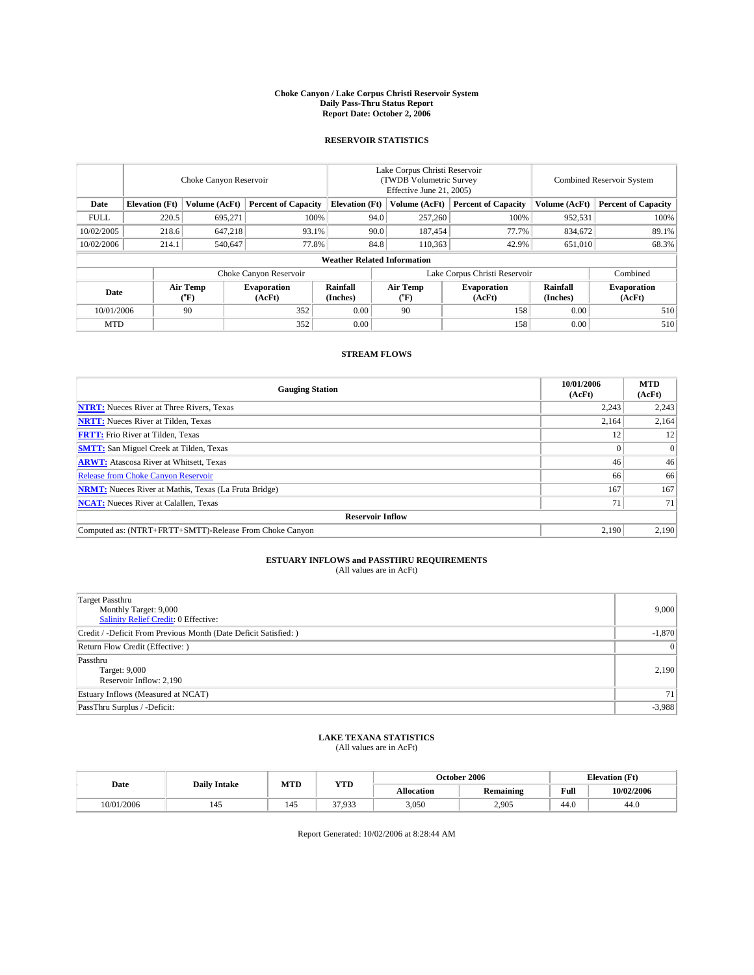#### **Choke Canyon / Lake Corpus Christi Reservoir System Daily Pass-Thru Status Report Report Date: October 2, 2006**

### **RESERVOIR STATISTICS**

|             | Choke Canyon Reservoir             |                  |                              |                               | Lake Corpus Christi Reservoir<br>(TWDB Volumetric Survey<br>Effective June 21, 2005) |                  |                              |                      | <b>Combined Reservoir System</b> |  |  |  |  |
|-------------|------------------------------------|------------------|------------------------------|-------------------------------|--------------------------------------------------------------------------------------|------------------|------------------------------|----------------------|----------------------------------|--|--|--|--|
| Date        | <b>Elevation</b> (Ft)              | Volume (AcFt)    | <b>Percent of Capacity</b>   | <b>Elevation</b> (Ft)         |                                                                                      | Volume (AcFt)    | <b>Percent of Capacity</b>   | Volume (AcFt)        | <b>Percent of Capacity</b>       |  |  |  |  |
| <b>FULL</b> | 220.5                              | 695,271          |                              | 100%                          | 94.0                                                                                 | 257,260          | 100%                         | 952,531              | 100%                             |  |  |  |  |
| 10/02/2005  | 218.6                              | 647,218          | 93.1%                        |                               | 90.0                                                                                 | 187,454          | 77.7%                        | 834.672              | 89.1%                            |  |  |  |  |
| 10/02/2006  | 214.1                              | 540,647          | 77.8%                        |                               | 84.8                                                                                 | 110.363          | 42.9%                        | 651.010              | 68.3%                            |  |  |  |  |
|             | <b>Weather Related Information</b> |                  |                              |                               |                                                                                      |                  |                              |                      |                                  |  |  |  |  |
|             |                                    |                  |                              | Lake Corpus Christi Reservoir |                                                                                      | Combined         |                              |                      |                                  |  |  |  |  |
| Date        |                                    | Air Temp<br>(°F) | <b>Evaporation</b><br>(AcFt) | Rainfall<br>(Inches)          |                                                                                      | Air Temp<br>("F) | <b>Evaporation</b><br>(AcFt) | Rainfall<br>(Inches) | <b>Evaporation</b><br>(AcFt)     |  |  |  |  |
| 10/01/2006  |                                    | 90               | 352                          | 0.00                          |                                                                                      | 90               | 158                          | 0.00                 | 510                              |  |  |  |  |
| <b>MTD</b>  |                                    |                  | 352                          | 0.00                          |                                                                                      |                  | 158                          | 0.00                 | 510                              |  |  |  |  |

## **STREAM FLOWS**

| <b>Gauging Station</b>                                       | 10/01/2006<br>(AcFt) | <b>MTD</b><br>(AcFt) |
|--------------------------------------------------------------|----------------------|----------------------|
| <b>NTRT:</b> Nueces River at Three Rivers, Texas             | 2,243                | 2,243                |
| <b>NRTT:</b> Nueces River at Tilden, Texas                   | 2,164                | 2,164                |
| <b>FRTT:</b> Frio River at Tilden, Texas                     | 12                   | 12                   |
| <b>SMTT:</b> San Miguel Creek at Tilden, Texas               |                      | $\Omega$             |
| <b>ARWT:</b> Atascosa River at Whitsett, Texas               | 46                   | 46                   |
| Release from Choke Canyon Reservoir                          | 66                   | 66                   |
| <b>NRMT:</b> Nueces River at Mathis, Texas (La Fruta Bridge) | 167                  | 167                  |
| <b>NCAT:</b> Nueces River at Calallen, Texas                 | 71                   | 71                   |
| <b>Reservoir Inflow</b>                                      |                      |                      |
| Computed as: (NTRT+FRTT+SMTT)-Release From Choke Canyon      | 2.190                | 2,190                |

# **ESTUARY INFLOWS and PASSTHRU REQUIREMENTS**<br>(All values are in AcFt)

| <b>Target Passthru</b><br>Monthly Target: 9,000<br>Salinity Relief Credit: 0 Effective: | 9,000           |
|-----------------------------------------------------------------------------------------|-----------------|
| Credit / -Deficit From Previous Month (Date Deficit Satisfied: )                        | $-1,870$        |
| Return Flow Credit (Effective: )                                                        | 0               |
| Passthru<br>Target: 9,000<br>Reservoir Inflow: 2,190                                    | 2,190           |
| Estuary Inflows (Measured at NCAT)                                                      | 71 <sup>1</sup> |
| PassThru Surplus / -Deficit:                                                            | $-3,988$        |

## **LAKE TEXANA STATISTICS** (All values are in AcFt)

|  | Date       | <b>Daily Intake</b> | MTD | <b>YTD</b> |                   | October 2006 |      | <b>Elevation</b> (Ft) |
|--|------------|---------------------|-----|------------|-------------------|--------------|------|-----------------------|
|  |            |                     |     |            | <b>Allocation</b> | Remaining    | Full | 10/02/2006            |
|  | 10/01/2006 | 145                 | 145 | 37,933     | 3,050             | 2,905        | 44.0 | 44.U                  |

Report Generated: 10/02/2006 at 8:28:44 AM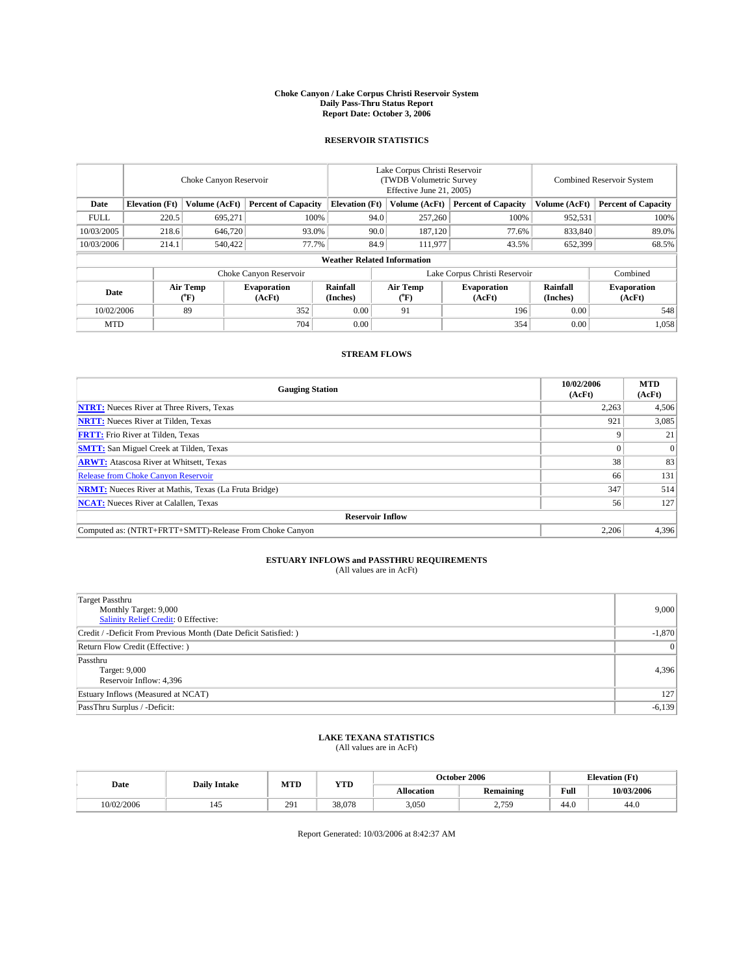#### **Choke Canyon / Lake Corpus Christi Reservoir System Daily Pass-Thru Status Report Report Date: October 3, 2006**

### **RESERVOIR STATISTICS**

|             | Choke Canyon Reservoir             |                  |                              |                       | Lake Corpus Christi Reservoir<br>(TWDB Volumetric Survey<br>Effective June 21, 2005) |                  |                               |                      | <b>Combined Reservoir System</b> |  |  |  |  |
|-------------|------------------------------------|------------------|------------------------------|-----------------------|--------------------------------------------------------------------------------------|------------------|-------------------------------|----------------------|----------------------------------|--|--|--|--|
| Date        | <b>Elevation</b> (Ft)              | Volume (AcFt)    | <b>Percent of Capacity</b>   | <b>Elevation</b> (Ft) |                                                                                      | Volume (AcFt)    | <b>Percent of Capacity</b>    | Volume (AcFt)        | <b>Percent of Capacity</b>       |  |  |  |  |
| <b>FULL</b> | 220.5                              | 695,271          |                              | 100%                  | 94.0                                                                                 | 257,260          | 100%                          | 952,531              | 100%                             |  |  |  |  |
| 10/03/2005  | 218.6                              | 646,720          | 93.0%                        |                       | 90.0                                                                                 | 187.120          | 77.6%                         | 833,840              | 89.0%                            |  |  |  |  |
| 10/03/2006  | 214.1                              | 540,422          | 77.7%                        |                       | 84.9                                                                                 | 111.977          | 43.5%                         | 652,399              | 68.5%                            |  |  |  |  |
|             | <b>Weather Related Information</b> |                  |                              |                       |                                                                                      |                  |                               |                      |                                  |  |  |  |  |
|             |                                    |                  | Choke Canyon Reservoir       |                       |                                                                                      |                  | Lake Corpus Christi Reservoir |                      | Combined                         |  |  |  |  |
| Date        |                                    | Air Temp<br>(°F) | <b>Evaporation</b><br>(AcFt) | Rainfall<br>(Inches)  |                                                                                      | Air Temp<br>("F) | <b>Evaporation</b><br>(AcFt)  | Rainfall<br>(Inches) | <b>Evaporation</b><br>(AcFt)     |  |  |  |  |
| 10/02/2006  |                                    | 89               | 352                          | 0.00                  |                                                                                      | 91               | 196                           | 0.00                 | 548                              |  |  |  |  |
| <b>MTD</b>  |                                    |                  | 704                          | 0.00                  |                                                                                      |                  | 354                           | 0.00                 | 1,058                            |  |  |  |  |

## **STREAM FLOWS**

| <b>Gauging Station</b>                                       | 10/02/2006<br>(AcFt) | <b>MTD</b><br>(AcFt) |
|--------------------------------------------------------------|----------------------|----------------------|
| <b>NTRT:</b> Nueces River at Three Rivers, Texas             | 2,263                | 4,506                |
| <b>NRTT:</b> Nueces River at Tilden, Texas                   | 921                  | 3,085                |
| <b>FRTT:</b> Frio River at Tilden, Texas                     |                      | 21                   |
| <b>SMTT:</b> San Miguel Creek at Tilden, Texas               |                      | $\Omega$             |
| <b>ARWT:</b> Atascosa River at Whitsett, Texas               | 38                   | 83                   |
| <b>Release from Choke Canyon Reservoir</b>                   | 66                   | 131                  |
| <b>NRMT:</b> Nueces River at Mathis, Texas (La Fruta Bridge) | 347                  | 514                  |
| <b>NCAT:</b> Nueces River at Calallen, Texas                 | 56                   | 127                  |
| <b>Reservoir Inflow</b>                                      |                      |                      |
| Computed as: (NTRT+FRTT+SMTT)-Release From Choke Canyon      | 2,206                | 4,396                |

# **ESTUARY INFLOWS and PASSTHRU REQUIREMENTS**<br>(All values are in AcFt)

| <b>Target Passthru</b><br>Monthly Target: 9,000<br>Salinity Relief Credit: 0 Effective: | 9,000           |
|-----------------------------------------------------------------------------------------|-----------------|
| Credit / -Deficit From Previous Month (Date Deficit Satisfied: )                        | $-1,870$        |
| Return Flow Credit (Effective: )                                                        | $\vert 0 \vert$ |
| Passthru<br>Target: 9,000<br>Reservoir Inflow: 4,396                                    | 4,396           |
| Estuary Inflows (Measured at NCAT)                                                      | 127             |
| PassThru Surplus / -Deficit:                                                            | $-6,139$        |

## **LAKE TEXANA STATISTICS** (All values are in AcFt)

|  | Date       | <b>Daily Intake</b> | MTD | <b>YTD</b> | October 2006      |                      |      | <b>Elevation</b> (Ft) |
|--|------------|---------------------|-----|------------|-------------------|----------------------|------|-----------------------|
|  |            |                     |     |            | <b>Allocation</b> | Remaining            | Full | 10/03/2006            |
|  | 10/02/2006 |                     | 291 | 38,078     | 3,050             | 2750<br><u>2.IJJ</u> | 44.0 | 44.0                  |

Report Generated: 10/03/2006 at 8:42:37 AM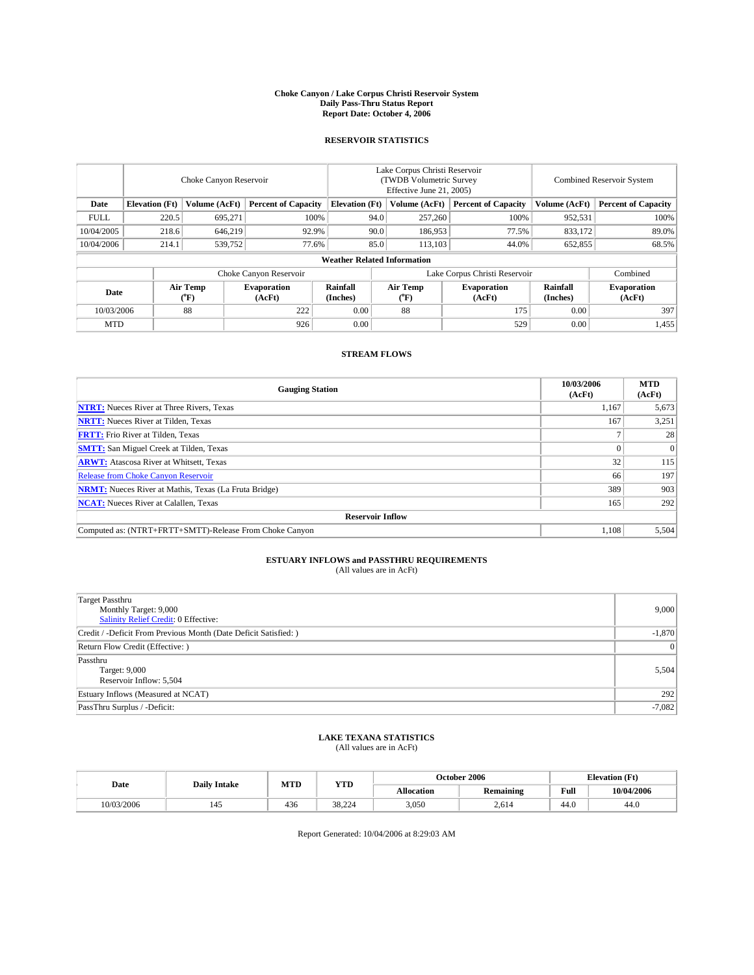#### **Choke Canyon / Lake Corpus Christi Reservoir System Daily Pass-Thru Status Report Report Date: October 4, 2006**

### **RESERVOIR STATISTICS**

|             | Choke Canyon Reservoir                                               |                  |                              |                      | Lake Corpus Christi Reservoir<br>(TWDB Volumetric Survey<br>Effective June 21, 2005) |                            |                               | <b>Combined Reservoir System</b> |                              |  |  |  |
|-------------|----------------------------------------------------------------------|------------------|------------------------------|----------------------|--------------------------------------------------------------------------------------|----------------------------|-------------------------------|----------------------------------|------------------------------|--|--|--|
| Date        | <b>Elevation</b> (Ft)<br><b>Percent of Capacity</b><br>Volume (AcFt) |                  | <b>Elevation</b> (Ft)        |                      | Volume (AcFt)                                                                        | <b>Percent of Capacity</b> | Volume (AcFt)                 | <b>Percent of Capacity</b>       |                              |  |  |  |
| <b>FULL</b> | 220.5                                                                | 695,271          | 100%                         |                      | 94.0                                                                                 | 257,260                    | 100%                          | 952,531                          | 100%                         |  |  |  |
| 10/04/2005  | 218.6                                                                | 646,219          | 92.9%                        |                      | 90.0                                                                                 | 186,953                    | 77.5%                         | 833,172                          | 89.0%                        |  |  |  |
| 10/04/2006  | 214.1                                                                | 539,752          | 77.6%                        |                      | 85.0                                                                                 | 113.103                    | 44.0%                         | 652,855                          | 68.5%                        |  |  |  |
|             | <b>Weather Related Information</b>                                   |                  |                              |                      |                                                                                      |                            |                               |                                  |                              |  |  |  |
|             |                                                                      |                  | Choke Canyon Reservoir       |                      |                                                                                      |                            | Lake Corpus Christi Reservoir |                                  | Combined                     |  |  |  |
| Date        |                                                                      | Air Temp<br>(°F) | <b>Evaporation</b><br>(AcFt) | Rainfall<br>(Inches) |                                                                                      | Air Temp<br>("F)           | <b>Evaporation</b><br>(AcFt)  | Rainfall<br>(Inches)             | <b>Evaporation</b><br>(AcFt) |  |  |  |
| 10/03/2006  |                                                                      | 88               | 222                          | 0.00                 |                                                                                      | 88                         | 175                           | 0.00                             | 397                          |  |  |  |
| <b>MTD</b>  |                                                                      |                  | 926                          | 0.00                 |                                                                                      |                            | 529                           | 0.00                             | 1,455                        |  |  |  |

## **STREAM FLOWS**

| <b>Gauging Station</b>                                       | 10/03/2006<br>(AcFt) | <b>MTD</b><br>(AcFt) |
|--------------------------------------------------------------|----------------------|----------------------|
| <b>NTRT:</b> Nueces River at Three Rivers, Texas             | 1,167                | 5,673                |
| <b>NRTT:</b> Nueces River at Tilden, Texas                   | 167                  | 3,251                |
| <b>FRTT:</b> Frio River at Tilden, Texas                     |                      | 28                   |
| <b>SMTT:</b> San Miguel Creek at Tilden, Texas               |                      | $\Omega$             |
| <b>ARWT:</b> Atascosa River at Whitsett, Texas               | 32                   | 115                  |
| Release from Choke Canyon Reservoir                          | 66                   | 197                  |
| <b>NRMT:</b> Nueces River at Mathis, Texas (La Fruta Bridge) | 389                  | 903                  |
| <b>NCAT:</b> Nueces River at Calallen, Texas                 | 165                  | 292                  |
| <b>Reservoir Inflow</b>                                      |                      |                      |
| Computed as: (NTRT+FRTT+SMTT)-Release From Choke Canyon      | 1.108                | 5,504                |

# **ESTUARY INFLOWS and PASSTHRU REQUIREMENTS**<br>(All values are in AcFt)

| Target Passthru<br>Monthly Target: 9,000<br>Salinity Relief Credit: 0 Effective: | 9,000           |
|----------------------------------------------------------------------------------|-----------------|
| Credit / -Deficit From Previous Month (Date Deficit Satisfied: )                 | $-1,870$        |
| Return Flow Credit (Effective: )                                                 | $\vert 0 \vert$ |
| Passthru<br>Target: 9,000<br>Reservoir Inflow: 5,504                             | 5,504           |
| Estuary Inflows (Measured at NCAT)                                               | 292             |
| PassThru Surplus / -Deficit:                                                     | $-7,082$        |

## **LAKE TEXANA STATISTICS** (All values are in AcFt)

|  | Date       | <b>Daily Intake</b> | MTL | <b>YTD</b>        | October 2006      |                  |                                         | <b>Elevation</b> (Ft) |
|--|------------|---------------------|-----|-------------------|-------------------|------------------|-----------------------------------------|-----------------------|
|  |            |                     |     |                   | <b>Allocation</b> | <b>Remaining</b> | Full<br>the contract of the contract of | 10/04/2006            |
|  | 10/03/2006 | 145                 | 436 | 38.22<br>$\gamma$ | 3.050             | 2.614            | 44.0                                    | 44.V                  |

Report Generated: 10/04/2006 at 8:29:03 AM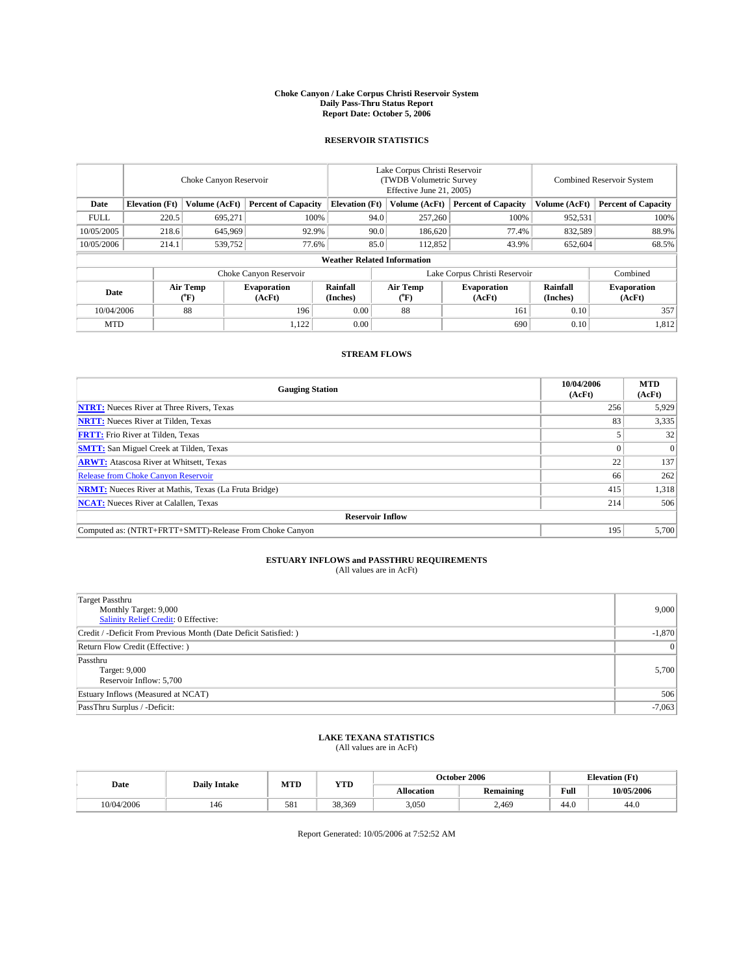#### **Choke Canyon / Lake Corpus Christi Reservoir System Daily Pass-Thru Status Report Report Date: October 5, 2006**

### **RESERVOIR STATISTICS**

|             | Choke Canyon Reservoir             |                         |                              |                       | Lake Corpus Christi Reservoir<br>(TWDB Volumetric Survey<br>Effective June 21, 2005) |                              |                               | Combined Reservoir System |                              |  |  |  |
|-------------|------------------------------------|-------------------------|------------------------------|-----------------------|--------------------------------------------------------------------------------------|------------------------------|-------------------------------|---------------------------|------------------------------|--|--|--|
| Date        | <b>Elevation</b> (Ft)              | Volume (AcFt)           | <b>Percent of Capacity</b>   | <b>Elevation</b> (Ft) |                                                                                      | Volume (AcFt)                | <b>Percent of Capacity</b>    | Volume (AcFt)             | <b>Percent of Capacity</b>   |  |  |  |
| <b>FULL</b> | 220.5                              | 695,271                 |                              | 100%                  | 94.0                                                                                 | 257,260                      | 100%                          | 952,531                   | $100\%$                      |  |  |  |
| 10/05/2005  | 218.6                              | 645,969                 | 92.9%                        |                       | 90.0                                                                                 | 186,620                      | 77.4%                         | 832,589                   | 88.9%                        |  |  |  |
| 10/05/2006  | 214.1                              | 539,752                 | 77.6%                        |                       | 85.0                                                                                 | 112,852                      | 43.9%                         | 652,604                   | 68.5%                        |  |  |  |
|             | <b>Weather Related Information</b> |                         |                              |                       |                                                                                      |                              |                               |                           |                              |  |  |  |
|             |                                    |                         | Choke Canyon Reservoir       |                       |                                                                                      |                              | Lake Corpus Christi Reservoir |                           | Combined                     |  |  |  |
| Date        |                                    | <b>Air Temp</b><br>(°F) | <b>Evaporation</b><br>(AcFt) | Rainfall<br>(Inches)  |                                                                                      | Air Temp<br>$\rm ^{(^o}\!F)$ | <b>Evaporation</b><br>(AcFt)  | Rainfall<br>(Inches)      | <b>Evaporation</b><br>(AcFt) |  |  |  |
| 10/04/2006  |                                    | 88                      | 196                          | 0.00                  |                                                                                      | 88                           | 161                           | 0.10                      | 357                          |  |  |  |
| <b>MTD</b>  |                                    |                         | 1,122                        | 0.00                  |                                                                                      |                              | 690                           | 0.10                      | 1,812                        |  |  |  |

## **STREAM FLOWS**

| <b>Gauging Station</b>                                       | 10/04/2006<br>(AcFt) | <b>MTD</b><br>(AcFt) |
|--------------------------------------------------------------|----------------------|----------------------|
| <b>NTRT:</b> Nueces River at Three Rivers, Texas             | 256                  | 5,929                |
| <b>NRTT:</b> Nueces River at Tilden, Texas                   | 83                   | 3,335                |
| <b>FRTT:</b> Frio River at Tilden, Texas                     |                      | 32                   |
| <b>SMTT:</b> San Miguel Creek at Tilden, Texas               |                      | $\Omega$             |
| <b>ARWT:</b> Atascosa River at Whitsett, Texas               | 22                   | 137                  |
| <b>Release from Choke Canyon Reservoir</b>                   | 66                   | 262                  |
| <b>NRMT:</b> Nueces River at Mathis, Texas (La Fruta Bridge) | 415                  | 1,318                |
| <b>NCAT:</b> Nueces River at Calallen, Texas                 | 214                  | 506                  |
| <b>Reservoir Inflow</b>                                      |                      |                      |
| Computed as: (NTRT+FRTT+SMTT)-Release From Choke Canyon      | 195                  | 5,700                |

# **ESTUARY INFLOWS and PASSTHRU REQUIREMENTS**<br>(All values are in AcFt)

| Target Passthru<br>Monthly Target: 9,000<br>Salinity Relief Credit: 0 Effective: | 9,000           |
|----------------------------------------------------------------------------------|-----------------|
| Credit / -Deficit From Previous Month (Date Deficit Satisfied: )                 | $-1,870$        |
| Return Flow Credit (Effective: )                                                 | $\vert 0 \vert$ |
| Passthru<br>Target: 9,000<br>Reservoir Inflow: 5,700                             | 5,700           |
| Estuary Inflows (Measured at NCAT)                                               | 506             |
| PassThru Surplus / -Deficit:                                                     | $-7,063$        |

## **LAKE TEXANA STATISTICS** (All values are in AcFt)

| Date       | <b>Daily Intake</b> | MTD | <b>YTD</b> | October 2006 |           |      | <b>Elevation</b> (Ft) |
|------------|---------------------|-----|------------|--------------|-----------|------|-----------------------|
|            |                     |     |            | Allocation   | Remaining | Full | 10/05/2006            |
| 10/04/2006 | 146                 | 581 | 38.369     | 3,050        | 2,469     | 44.0 | 44.0                  |

Report Generated: 10/05/2006 at 7:52:52 AM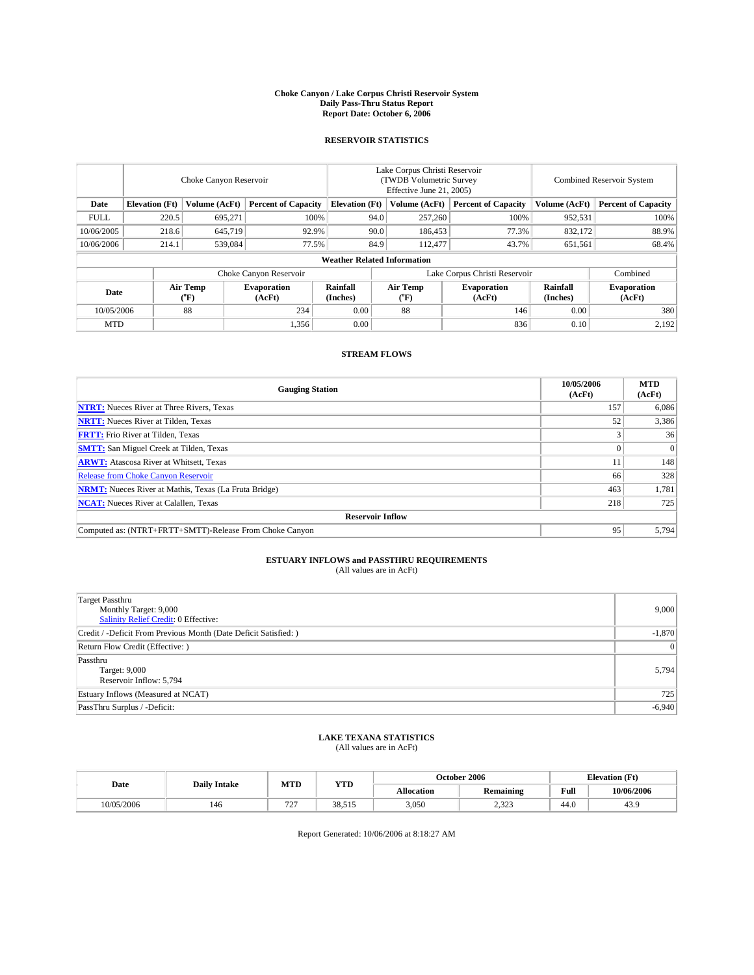#### **Choke Canyon / Lake Corpus Christi Reservoir System Daily Pass-Thru Status Report Report Date: October 6, 2006**

### **RESERVOIR STATISTICS**

|             | Choke Canyon Reservoir             |                  |                              |                      | Lake Corpus Christi Reservoir<br>(TWDB Volumetric Survey<br>Effective June 21, 2005) |                  |                               |                      | <b>Combined Reservoir System</b> |  |  |  |
|-------------|------------------------------------|------------------|------------------------------|----------------------|--------------------------------------------------------------------------------------|------------------|-------------------------------|----------------------|----------------------------------|--|--|--|
| Date        | <b>Elevation</b> (Ft)              | Volume (AcFt)    | <b>Percent of Capacity</b>   |                      | <b>Elevation</b> (Ft)                                                                | Volume (AcFt)    | <b>Percent of Capacity</b>    | Volume (AcFt)        | <b>Percent of Capacity</b>       |  |  |  |
| <b>FULL</b> | 220.5                              | 695,271          |                              | 100%                 | 94.0                                                                                 | 257,260          | 100%                          | 952,531              | 100%                             |  |  |  |
| 10/06/2005  | 218.6                              | 645,719          | 92.9%                        |                      | 90.0                                                                                 | 186,453          | 77.3%                         | 832.172              | 88.9%                            |  |  |  |
| 10/06/2006  | 214.1                              | 539,084          | 77.5%                        |                      | 84.9                                                                                 | 112,477          | 43.7%                         | 651,561              | 68.4%                            |  |  |  |
|             | <b>Weather Related Information</b> |                  |                              |                      |                                                                                      |                  |                               |                      |                                  |  |  |  |
|             |                                    |                  | Choke Canyon Reservoir       |                      |                                                                                      |                  | Lake Corpus Christi Reservoir |                      | Combined                         |  |  |  |
| Date        |                                    | Air Temp<br>(°F) | <b>Evaporation</b><br>(AcFt) | Rainfall<br>(Inches) |                                                                                      | Air Temp<br>("F) | <b>Evaporation</b><br>(AcFt)  | Rainfall<br>(Inches) | <b>Evaporation</b><br>(AcFt)     |  |  |  |
| 10/05/2006  |                                    | 88               | 234                          | 0.00                 |                                                                                      | 88               | 146                           | 0.00                 | 380                              |  |  |  |
| <b>MTD</b>  |                                    |                  | 1,356                        | 0.00                 |                                                                                      |                  | 836                           | 0.10                 | 2,192                            |  |  |  |

## **STREAM FLOWS**

| <b>Gauging Station</b>                                       | 10/05/2006<br>(AcFt) | <b>MTD</b><br>(AcFt) |
|--------------------------------------------------------------|----------------------|----------------------|
| <b>NTRT:</b> Nueces River at Three Rivers, Texas             | 157                  | 6,086                |
| <b>NRTT:</b> Nueces River at Tilden, Texas                   | 52                   | 3,386                |
| <b>FRTT:</b> Frio River at Tilden, Texas                     |                      | 36                   |
| <b>SMTT:</b> San Miguel Creek at Tilden, Texas               |                      | $\Omega$             |
| <b>ARWT:</b> Atascosa River at Whitsett, Texas               | 11                   | 148                  |
| <b>Release from Choke Canyon Reservoir</b>                   | 66                   | 328                  |
| <b>NRMT:</b> Nueces River at Mathis, Texas (La Fruta Bridge) | 463                  | 1,781                |
| <b>NCAT:</b> Nueces River at Calallen, Texas                 | 218                  | 725                  |
| <b>Reservoir Inflow</b>                                      |                      |                      |
| Computed as: (NTRT+FRTT+SMTT)-Release From Choke Canyon      | 95                   | 5,794                |

# **ESTUARY INFLOWS and PASSTHRU REQUIREMENTS**<br>(All values are in AcFt)

| Target Passthru<br>Monthly Target: 9,000<br>Salinity Relief Credit: 0 Effective: | 9,000    |
|----------------------------------------------------------------------------------|----------|
| Credit / -Deficit From Previous Month (Date Deficit Satisfied: )                 | $-1,870$ |
| Return Flow Credit (Effective: )                                                 | 0        |
| Passthru<br>Target: 9,000<br>Reservoir Inflow: 5,794                             | 5,794    |
| Estuary Inflows (Measured at NCAT)                                               | 725      |
| PassThru Surplus / -Deficit:                                                     | $-6,940$ |

## **LAKE TEXANA STATISTICS** (All values are in AcFt)

|  | Date       | <b>Daily Intake</b> | MTD                             | <b>YTD</b> | October 2006      |             |      | <b>Elevation</b> (Ft) |
|--|------------|---------------------|---------------------------------|------------|-------------------|-------------|------|-----------------------|
|  |            |                     |                                 |            | <b>Allocation</b> | Remaining   | Full | 10/06/2006            |
|  | 10/05/2006 | 146                 | 727<br>$\overline{\phantom{a}}$ | 38.515     | 3,050             | 22<br>رے دے | 44.0 | TJ.                   |

Report Generated: 10/06/2006 at 8:18:27 AM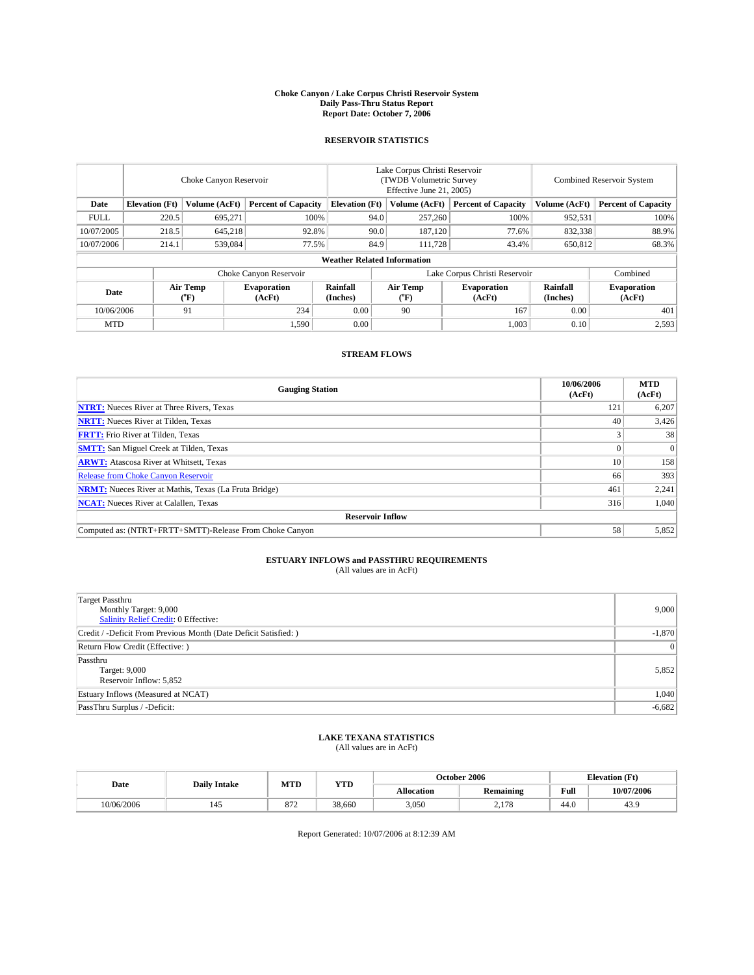#### **Choke Canyon / Lake Corpus Christi Reservoir System Daily Pass-Thru Status Report Report Date: October 7, 2006**

### **RESERVOIR STATISTICS**

|             | Choke Canyon Reservoir             |                  |                              |                      | Lake Corpus Christi Reservoir<br>(TWDB Volumetric Survey<br>Effective June 21, 2005) |                  |                               | <b>Combined Reservoir System</b> |                              |  |  |  |
|-------------|------------------------------------|------------------|------------------------------|----------------------|--------------------------------------------------------------------------------------|------------------|-------------------------------|----------------------------------|------------------------------|--|--|--|
| Date        | <b>Elevation</b> (Ft)              | Volume (AcFt)    | <b>Percent of Capacity</b>   |                      | <b>Elevation</b> (Ft)                                                                | Volume (AcFt)    | <b>Percent of Capacity</b>    | Volume (AcFt)                    | <b>Percent of Capacity</b>   |  |  |  |
| <b>FULL</b> | 220.5                              | 695,271          |                              | 100%                 | 94.0                                                                                 | 257,260          | 100%                          | 952,531                          | 100%                         |  |  |  |
| 10/07/2005  | 218.5                              | 645,218          | 92.8%                        |                      | 90.0                                                                                 | 187.120          | 77.6%                         | 832,338                          | 88.9%                        |  |  |  |
| 10/07/2006  | 214.1                              | 539,084          | 77.5%                        |                      | 84.9                                                                                 | 111.728          | 43.4%                         | 650,812                          | 68.3%                        |  |  |  |
|             | <b>Weather Related Information</b> |                  |                              |                      |                                                                                      |                  |                               |                                  |                              |  |  |  |
|             |                                    |                  | Choke Canyon Reservoir       |                      |                                                                                      |                  | Lake Corpus Christi Reservoir |                                  | Combined                     |  |  |  |
| Date        |                                    | Air Temp<br>(°F) | <b>Evaporation</b><br>(AcFt) | Rainfall<br>(Inches) |                                                                                      | Air Temp<br>("F) | <b>Evaporation</b><br>(AcFt)  | Rainfall<br>(Inches)             | <b>Evaporation</b><br>(AcFt) |  |  |  |
| 10/06/2006  |                                    | 91               | 234                          | 0.00                 |                                                                                      | 90               | 167                           | 0.00                             | 401                          |  |  |  |
| <b>MTD</b>  |                                    |                  | 1,590                        | 0.00                 |                                                                                      |                  | 1,003                         | 0.10                             | 2,593                        |  |  |  |

## **STREAM FLOWS**

| <b>Gauging Station</b>                                       | 10/06/2006<br>(AcFt) | <b>MTD</b><br>(AcFt) |
|--------------------------------------------------------------|----------------------|----------------------|
| <b>NTRT:</b> Nueces River at Three Rivers, Texas             | 121                  | 6,207                |
| <b>NRTT:</b> Nueces River at Tilden, Texas                   | 40                   | 3,426                |
| <b>FRTT:</b> Frio River at Tilden, Texas                     |                      | 38                   |
| <b>SMTT:</b> San Miguel Creek at Tilden, Texas               |                      | $\Omega$             |
| <b>ARWT:</b> Atascosa River at Whitsett, Texas               | 10                   | 158                  |
| <b>Release from Choke Canyon Reservoir</b>                   | 66                   | 393                  |
| <b>NRMT:</b> Nueces River at Mathis, Texas (La Fruta Bridge) | 461                  | 2,241                |
| <b>NCAT:</b> Nueces River at Calallen, Texas                 | 316                  | 1,040                |
| <b>Reservoir Inflow</b>                                      |                      |                      |
| Computed as: (NTRT+FRTT+SMTT)-Release From Choke Canyon      | 58                   | 5,852                |

# **ESTUARY INFLOWS and PASSTHRU REQUIREMENTS**<br>(All values are in AcFt)

| <b>Target Passthru</b><br>Monthly Target: 9,000<br>Salinity Relief Credit: 0 Effective: | 9,000    |
|-----------------------------------------------------------------------------------------|----------|
| Credit / -Deficit From Previous Month (Date Deficit Satisfied: )                        | $-1,870$ |
| Return Flow Credit (Effective: )                                                        | 0        |
| Passthru<br>Target: 9,000<br>Reservoir Inflow: 5,852                                    | 5,852    |
| Estuary Inflows (Measured at NCAT)                                                      | 1,040    |
| PassThru Surplus / -Deficit:                                                            | $-6,682$ |

## **LAKE TEXANA STATISTICS** (All values are in AcFt)

|  | Date       | <b>Daily Intake</b> | MTL |            |                   | October 2006     |                                         | <b>Elevation</b> (Ft) |
|--|------------|---------------------|-----|------------|-------------------|------------------|-----------------------------------------|-----------------------|
|  |            |                     |     | <b>YTD</b> | <b>Allocation</b> | <b>Remaining</b> | Full<br>the contract of the contract of | 10/07/2006            |
|  | 10/06/2006 | 45                  | 872 | 38,660     | 3.050             | 170<br>2.110     | 44.0                                    | TJ.                   |

Report Generated: 10/07/2006 at 8:12:39 AM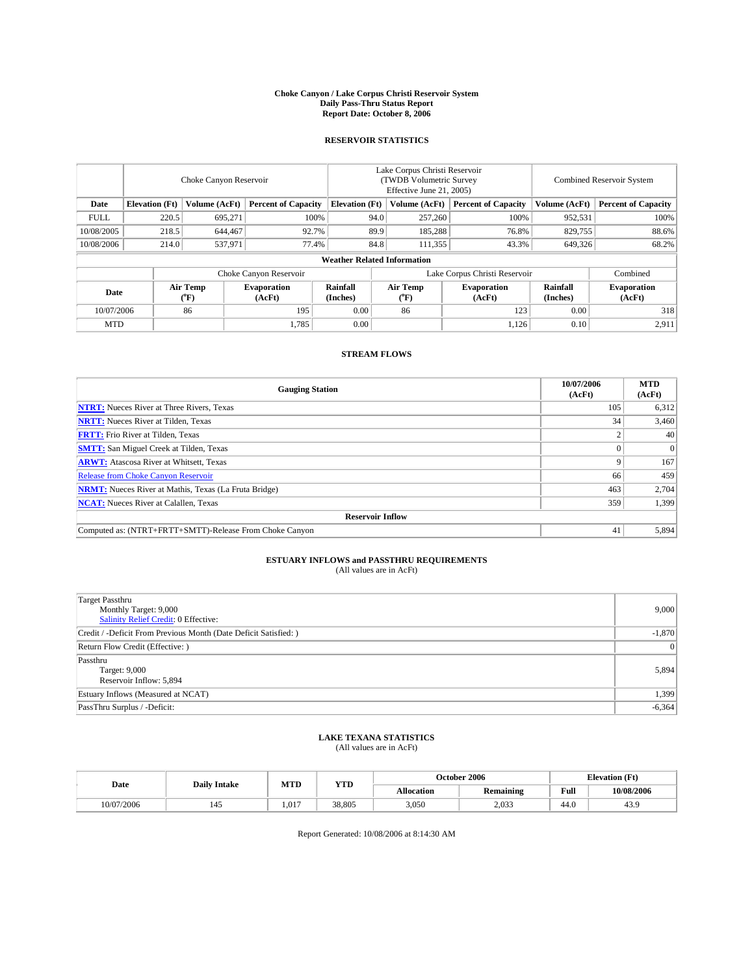#### **Choke Canyon / Lake Corpus Christi Reservoir System Daily Pass-Thru Status Report Report Date: October 8, 2006**

### **RESERVOIR STATISTICS**

|             | Choke Canyon Reservoir             |                         |                              |                       | Lake Corpus Christi Reservoir<br>(TWDB Volumetric Survey<br>Effective June 21, 2005) |                               |                              | Combined Reservoir System |                              |  |  |  |
|-------------|------------------------------------|-------------------------|------------------------------|-----------------------|--------------------------------------------------------------------------------------|-------------------------------|------------------------------|---------------------------|------------------------------|--|--|--|
| Date        | <b>Elevation</b> (Ft)              | Volume (AcFt)           | <b>Percent of Capacity</b>   | <b>Elevation</b> (Ft) |                                                                                      | Volume (AcFt)                 | <b>Percent of Capacity</b>   | Volume (AcFt)             | <b>Percent of Capacity</b>   |  |  |  |
| <b>FULL</b> | 220.5                              | 695,271                 | 100%                         |                       | 94.0                                                                                 | 257,260                       | 100%                         | 952,531                   | $100\%$                      |  |  |  |
| 10/08/2005  | 218.5                              | 644,467                 | 92.7%                        |                       | 89.9                                                                                 | 185,288                       | 76.8%                        | 829,755                   | 88.6%                        |  |  |  |
| 10/08/2006  | 214.0                              | 537.971                 | 77.4%                        |                       | 84.8                                                                                 | 111,355                       | 43.3%                        | 649,326                   | 68.2%                        |  |  |  |
|             | <b>Weather Related Information</b> |                         |                              |                       |                                                                                      |                               |                              |                           |                              |  |  |  |
|             |                                    |                         | Choke Canyon Reservoir       |                       |                                                                                      | Lake Corpus Christi Reservoir |                              | Combined                  |                              |  |  |  |
| Date        |                                    | <b>Air Temp</b><br>(°F) | <b>Evaporation</b><br>(AcFt) | Rainfall<br>(Inches)  |                                                                                      | Air Temp<br>$\rm ^{(^o}\!F)$  | <b>Evaporation</b><br>(AcFt) | Rainfall<br>(Inches)      | <b>Evaporation</b><br>(AcFt) |  |  |  |
| 10/07/2006  |                                    | 86                      | 195                          | 0.00                  |                                                                                      | 86                            | 123                          | 0.00                      | 318                          |  |  |  |
| <b>MTD</b>  |                                    |                         | 1,785                        | 0.00                  |                                                                                      |                               | 1,126                        | 0.10                      | 2,911                        |  |  |  |

## **STREAM FLOWS**

| <b>Gauging Station</b>                                       | 10/07/2006<br>(AcFt) | <b>MTD</b><br>(AcFt) |
|--------------------------------------------------------------|----------------------|----------------------|
| <b>NTRT:</b> Nueces River at Three Rivers, Texas             | 105                  | 6,312                |
| <b>NRTT:</b> Nueces River at Tilden, Texas                   | 34                   | 3,460                |
| <b>FRTT:</b> Frio River at Tilden, Texas                     |                      | 40                   |
| <b>SMTT:</b> San Miguel Creek at Tilden, Texas               |                      | $\Omega$             |
| <b>ARWT:</b> Atascosa River at Whitsett, Texas               |                      | 167                  |
| <b>Release from Choke Canyon Reservoir</b>                   | 66                   | 459                  |
| <b>NRMT:</b> Nueces River at Mathis, Texas (La Fruta Bridge) | 463                  | 2,704                |
| <b>NCAT:</b> Nueces River at Calallen, Texas                 | 359                  | 1,399                |
| <b>Reservoir Inflow</b>                                      |                      |                      |
| Computed as: (NTRT+FRTT+SMTT)-Release From Choke Canyon      | 41                   | 5,894                |

# **ESTUARY INFLOWS and PASSTHRU REQUIREMENTS**<br>(All values are in AcFt)

| <b>Target Passthru</b><br>Monthly Target: 9,000<br>Salinity Relief Credit: 0 Effective: | 9,000           |
|-----------------------------------------------------------------------------------------|-----------------|
| Credit / -Deficit From Previous Month (Date Deficit Satisfied: )                        | $-1,870$        |
| Return Flow Credit (Effective: )                                                        | $\vert 0 \vert$ |
| Passthru<br>Target: 9,000<br>Reservoir Inflow: 5,894                                    | 5,894           |
| Estuary Inflows (Measured at NCAT)                                                      | 1,399           |
| PassThru Surplus / -Deficit:                                                            | $-6,364$        |

## **LAKE TEXANA STATISTICS** (All values are in AcFt)

| Date       | <b>Daily Intake</b> | MTD   | <b>YTD</b> |            | October 2006     |               | <b>Elevation</b> (Ft) |
|------------|---------------------|-------|------------|------------|------------------|---------------|-----------------------|
|            |                     |       |            | Allocation | <b>Remaining</b> | Full<br>_____ | 10/08/2006            |
| 10/07/2006 |                     | 1.017 | 38,805     | 3,050      | 2,033            | 44.0          | tJ.,                  |

Report Generated: 10/08/2006 at 8:14:30 AM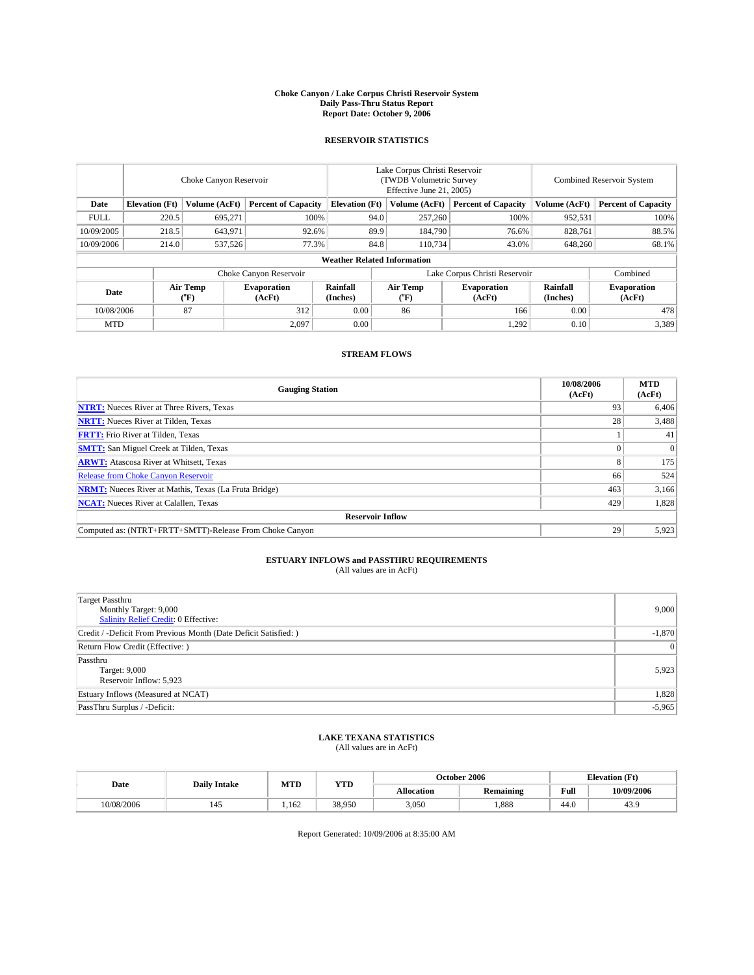#### **Choke Canyon / Lake Corpus Christi Reservoir System Daily Pass-Thru Status Report Report Date: October 9, 2006**

### **RESERVOIR STATISTICS**

|             | Choke Canyon Reservoir             |                                |                              |                      | Lake Corpus Christi Reservoir<br>(TWDB Volumetric Survey<br>Effective June 21, 2005) |                  |                              |                      | <b>Combined Reservoir System</b> |  |  |  |
|-------------|------------------------------------|--------------------------------|------------------------------|----------------------|--------------------------------------------------------------------------------------|------------------|------------------------------|----------------------|----------------------------------|--|--|--|
| Date        | <b>Elevation</b> (Ft)              | Volume (AcFt)                  | <b>Percent of Capacity</b>   |                      | <b>Elevation</b> (Ft)                                                                | Volume (AcFt)    | <b>Percent of Capacity</b>   | Volume (AcFt)        | <b>Percent of Capacity</b>       |  |  |  |
| <b>FULL</b> | 220.5                              | 695,271                        |                              | 100%                 | 94.0                                                                                 | 257,260          | 100%                         | 952,531              | 100%                             |  |  |  |
| 10/09/2005  | 218.5                              | 643,971                        | 92.6%                        |                      | 89.9                                                                                 | 184,790          | 76.6%                        | 828.761              | 88.5%                            |  |  |  |
| 10/09/2006  | 214.0                              | 537,526                        | 77.3%                        |                      | 84.8                                                                                 | 110.734          | 43.0%                        | 648,260              | 68.1%                            |  |  |  |
|             | <b>Weather Related Information</b> |                                |                              |                      |                                                                                      |                  |                              |                      |                                  |  |  |  |
|             |                                    |                                | Choke Canyon Reservoir       |                      | Lake Corpus Christi Reservoir                                                        |                  |                              |                      | Combined                         |  |  |  |
| Date        |                                    | Air Temp<br>$({}^o\mathrm{F})$ | <b>Evaporation</b><br>(AcFt) | Rainfall<br>(Inches) |                                                                                      | Air Temp<br>("F) | <b>Evaporation</b><br>(AcFt) | Rainfall<br>(Inches) | <b>Evaporation</b><br>(AcFt)     |  |  |  |
| 10/08/2006  |                                    | 87                             | 312                          | 0.00                 |                                                                                      | 86               | 166                          | 0.00                 | 478                              |  |  |  |
| <b>MTD</b>  |                                    |                                | 2,097                        | 0.00                 |                                                                                      |                  | 1,292                        | 0.10                 | 3,389                            |  |  |  |

## **STREAM FLOWS**

| <b>Gauging Station</b>                                       | 10/08/2006<br>(AcFt) | <b>MTD</b><br>(AcFt) |
|--------------------------------------------------------------|----------------------|----------------------|
| <b>NTRT:</b> Nueces River at Three Rivers, Texas             | 93                   | 6,406                |
| <b>NRTT:</b> Nueces River at Tilden, Texas                   | 28                   | 3,488                |
| <b>FRTT:</b> Frio River at Tilden, Texas                     |                      | 41                   |
| <b>SMTT:</b> San Miguel Creek at Tilden, Texas               |                      | $\Omega$             |
| <b>ARWT:</b> Atascosa River at Whitsett, Texas               | $\mathbf{8}$         | 175                  |
| <b>Release from Choke Canyon Reservoir</b>                   | 66                   | 524                  |
| <b>NRMT:</b> Nueces River at Mathis, Texas (La Fruta Bridge) | 463                  | 3,166                |
| <b>NCAT:</b> Nueces River at Calallen, Texas                 | 429                  | 1,828                |
| <b>Reservoir Inflow</b>                                      |                      |                      |
| Computed as: (NTRT+FRTT+SMTT)-Release From Choke Canyon      | 29                   | 5,923                |

# **ESTUARY INFLOWS and PASSTHRU REQUIREMENTS**<br>(All values are in AcFt)

| <b>Target Passthru</b><br>Monthly Target: 9,000<br>Salinity Relief Credit: 0 Effective: | 9,000    |
|-----------------------------------------------------------------------------------------|----------|
| Credit / -Deficit From Previous Month (Date Deficit Satisfied: )                        | $-1,870$ |
| Return Flow Credit (Effective: )                                                        | 0        |
| Passthru<br>Target: 9,000<br>Reservoir Inflow: 5,923                                    | 5,923    |
| Estuary Inflows (Measured at NCAT)                                                      | 1,828    |
| PassThru Surplus / -Deficit:                                                            | $-5,965$ |

## **LAKE TEXANA STATISTICS** (All values are in AcFt)

|  | Date       | <b>Daily Intake</b> | MTD   | <b>YTD</b> | October 2006      |           |      | <b>Elevation</b> (Ft) |
|--|------------|---------------------|-------|------------|-------------------|-----------|------|-----------------------|
|  |            |                     |       |            | <b>Allocation</b> | Remaining | Full | 10/09/2006            |
|  | 10/08/2006 | 45ء                 | 1.162 | 38,950     | 3,050             | .888      | 44.0 | TJ.                   |

Report Generated: 10/09/2006 at 8:35:00 AM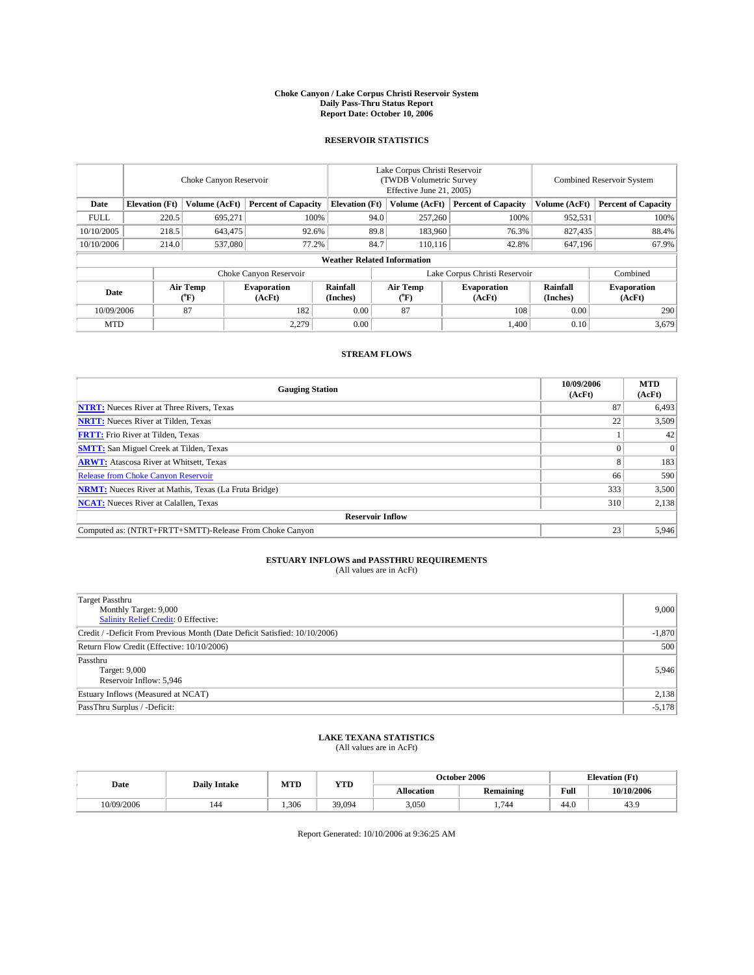#### **Choke Canyon / Lake Corpus Christi Reservoir System Daily Pass-Thru Status Report Report Date: October 10, 2006**

### **RESERVOIR STATISTICS**

|                                                                              | Choke Canyon Reservoir             |                         |                              |                      | Lake Corpus Christi Reservoir<br>(TWDB Volumetric Survey<br>Effective June 21, 2005) |                  |                               |                      | <b>Combined Reservoir System</b> |  |  |  |  |
|------------------------------------------------------------------------------|------------------------------------|-------------------------|------------------------------|----------------------|--------------------------------------------------------------------------------------|------------------|-------------------------------|----------------------|----------------------------------|--|--|--|--|
| <b>Elevation</b> (Ft)<br>Volume (AcFt)<br><b>Percent of Capacity</b><br>Date |                                    | <b>Elevation</b> (Ft)   |                              | Volume (AcFt)        | <b>Percent of Capacity</b>                                                           | Volume (AcFt)    | <b>Percent of Capacity</b>    |                      |                                  |  |  |  |  |
| <b>FULL</b>                                                                  | 220.5                              | 695,271                 |                              | 100%                 | 94.0                                                                                 | 257,260          | 100%                          | 952,531              | 100%                             |  |  |  |  |
| 10/10/2005                                                                   | 218.5                              | 643,475                 | 92.6%                        |                      | 89.8                                                                                 | 183,960          | 76.3%                         | 827,435              | 88.4%                            |  |  |  |  |
| 10/10/2006                                                                   | 214.0                              | 537,080                 |                              | 77.2%<br>84.7        |                                                                                      | 110.116          | 42.8%                         | 647,196              | 67.9%                            |  |  |  |  |
|                                                                              | <b>Weather Related Information</b> |                         |                              |                      |                                                                                      |                  |                               |                      |                                  |  |  |  |  |
|                                                                              |                                    |                         | Choke Canyon Reservoir       |                      |                                                                                      |                  | Lake Corpus Christi Reservoir |                      | Combined                         |  |  |  |  |
| Date                                                                         |                                    | <b>Air Temp</b><br>(°F) | <b>Evaporation</b><br>(AcFt) | Rainfall<br>(Inches) |                                                                                      | Air Temp<br>("F) | <b>Evaporation</b><br>(AcFt)  | Rainfall<br>(Inches) | <b>Evaporation</b><br>(AcFt)     |  |  |  |  |
| 10/09/2006                                                                   |                                    | 87                      | 182                          | 0.00                 |                                                                                      | 87               | 108                           | 0.00                 | 290                              |  |  |  |  |
| <b>MTD</b>                                                                   |                                    |                         | 2,279                        | 0.00                 |                                                                                      |                  | 1,400                         | 0.10                 | 3,679                            |  |  |  |  |

## **STREAM FLOWS**

| <b>Gauging Station</b>                                       | 10/09/2006<br>(AcFt) | <b>MTD</b><br>(AcFt) |
|--------------------------------------------------------------|----------------------|----------------------|
| <b>NTRT:</b> Nueces River at Three Rivers, Texas             | 87                   | 6,493                |
| <b>NRTT:</b> Nueces River at Tilden, Texas                   | 22                   | 3,509                |
| <b>FRTT:</b> Frio River at Tilden, Texas                     |                      | 42                   |
| <b>SMTT:</b> San Miguel Creek at Tilden, Texas               |                      | $\Omega$             |
| <b>ARWT:</b> Atascosa River at Whitsett, Texas               |                      | 183                  |
| Release from Choke Canyon Reservoir                          | 66                   | 590                  |
| <b>NRMT:</b> Nueces River at Mathis, Texas (La Fruta Bridge) | 333                  | 3,500                |
| <b>NCAT:</b> Nueces River at Calallen, Texas                 | 310                  | 2,138                |
| <b>Reservoir Inflow</b>                                      |                      |                      |
| Computed as: (NTRT+FRTT+SMTT)-Release From Choke Canyon      | 23                   | 5,946                |

# **ESTUARY INFLOWS and PASSTHRU REQUIREMENTS**<br>(All values are in AcFt)

| Target Passthru<br>Monthly Target: 9,000<br>Salinity Relief Credit: 0 Effective: | 9,000    |
|----------------------------------------------------------------------------------|----------|
| Credit / -Deficit From Previous Month (Date Deficit Satisfied: 10/10/2006)       | $-1,870$ |
| Return Flow Credit (Effective: 10/10/2006)                                       | 500      |
| Passthru<br>Target: 9,000<br>Reservoir Inflow: 5,946                             | 5,946    |
| Estuary Inflows (Measured at NCAT)                                               | 2,138    |
| PassThru Surplus / -Deficit:                                                     | $-5,178$ |

## **LAKE TEXANA STATISTICS** (All values are in AcFt)

| Date       | <b>Daily Intake</b> | MTD  | <b>YTD</b> | October 2006      |           |      | <b>Elevation</b> (Ft) |
|------------|---------------------|------|------------|-------------------|-----------|------|-----------------------|
|            |                     |      |            | <b>Allocation</b> | Remaining | Full | 10/10/2006            |
| 10/09/2006 | 144                 | .306 | 39,094     | 3,050             | 744       | 44.0 | TJ.                   |

Report Generated: 10/10/2006 at 9:36:25 AM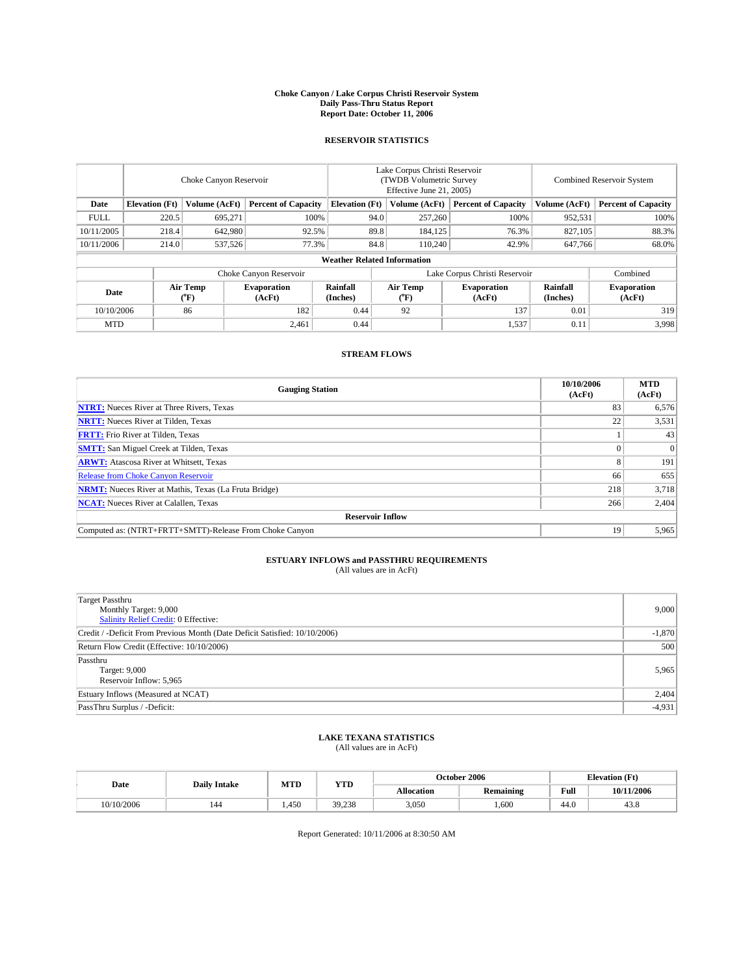#### **Choke Canyon / Lake Corpus Christi Reservoir System Daily Pass-Thru Status Report Report Date: October 11, 2006**

### **RESERVOIR STATISTICS**

|                                                                              | Choke Canyon Reservoir             |                                       |                              |                      | Lake Corpus Christi Reservoir<br>(TWDB Volumetric Survey<br>Effective June 21, 2005) |                                |                               |                      | Combined Reservoir System    |  |  |  |  |
|------------------------------------------------------------------------------|------------------------------------|---------------------------------------|------------------------------|----------------------|--------------------------------------------------------------------------------------|--------------------------------|-------------------------------|----------------------|------------------------------|--|--|--|--|
| <b>Elevation</b> (Ft)<br>Volume (AcFt)<br><b>Percent of Capacity</b><br>Date |                                    | <b>Elevation</b> (Ft)                 |                              | Volume (AcFt)        | <b>Percent of Capacity</b>                                                           | Volume (AcFt)                  | <b>Percent of Capacity</b>    |                      |                              |  |  |  |  |
| <b>FULL</b>                                                                  | 220.5                              | 695,271                               | 100%                         |                      | 94.0                                                                                 | 257,260                        | 100%                          | 952,531              | 100%                         |  |  |  |  |
| 10/11/2005                                                                   | 218.4                              | 642.980                               | 92.5%                        |                      | 89.8                                                                                 | 184,125                        | 76.3%                         | 827,105              | 88.3%                        |  |  |  |  |
| 10/11/2006                                                                   | 214.0                              | 537,526                               | 77.3%                        |                      | 84.8                                                                                 | 110.240                        | 42.9%                         | 647,766              | 68.0%                        |  |  |  |  |
|                                                                              | <b>Weather Related Information</b> |                                       |                              |                      |                                                                                      |                                |                               |                      |                              |  |  |  |  |
|                                                                              |                                    |                                       | Choke Canyon Reservoir       |                      |                                                                                      |                                | Lake Corpus Christi Reservoir |                      | Combined                     |  |  |  |  |
| Date                                                                         |                                    | <b>Air Temp</b><br>$({}^o\mathrm{F})$ | <b>Evaporation</b><br>(AcFt) | Rainfall<br>(Inches) |                                                                                      | Air Temp<br>$({}^o\mathrm{F})$ | <b>Evaporation</b><br>(AcFt)  | Rainfall<br>(Inches) | <b>Evaporation</b><br>(AcFt) |  |  |  |  |
| 10/10/2006                                                                   |                                    | 86                                    | 182                          | 0.44                 |                                                                                      | 92                             | 137                           | 0.01                 | 319                          |  |  |  |  |
| <b>MTD</b>                                                                   |                                    |                                       | 2,461                        | 0.44                 |                                                                                      |                                | 1,537                         | 0.11                 | 3,998                        |  |  |  |  |

## **STREAM FLOWS**

| <b>Gauging Station</b>                                       | 10/10/2006<br>(AcFt) | <b>MTD</b><br>(AcFt) |
|--------------------------------------------------------------|----------------------|----------------------|
| <b>NTRT:</b> Nueces River at Three Rivers, Texas             | 83                   | 6,576                |
| <b>NRTT:</b> Nueces River at Tilden, Texas                   | 22                   | 3,531                |
| <b>FRTT:</b> Frio River at Tilden, Texas                     |                      | 43                   |
| <b>SMTT:</b> San Miguel Creek at Tilden, Texas               |                      | $\Omega$             |
| <b>ARWT:</b> Atascosa River at Whitsett, Texas               |                      | 191                  |
| Release from Choke Canyon Reservoir                          | 66                   | 655                  |
| <b>NRMT:</b> Nueces River at Mathis, Texas (La Fruta Bridge) | 218                  | 3,718                |
| <b>NCAT:</b> Nueces River at Calallen, Texas                 | 266                  | 2,404                |
| <b>Reservoir Inflow</b>                                      |                      |                      |
| Computed as: (NTRT+FRTT+SMTT)-Release From Choke Canyon      | 19                   | 5,965                |

# **ESTUARY INFLOWS and PASSTHRU REQUIREMENTS**<br>(All values are in AcFt)

| Target Passthru<br>Monthly Target: 9,000<br>Salinity Relief Credit: 0 Effective: | 9,000    |
|----------------------------------------------------------------------------------|----------|
| Credit / -Deficit From Previous Month (Date Deficit Satisfied: 10/10/2006)       | $-1,870$ |
| Return Flow Credit (Effective: 10/10/2006)                                       | 500      |
| Passthru<br>Target: 9,000<br>Reservoir Inflow: 5,965                             | 5,965    |
| Estuary Inflows (Measured at NCAT)                                               | 2,404    |
| PassThru Surplus / -Deficit:                                                     | $-4,931$ |

## **LAKE TEXANA STATISTICS** (All values are in AcFt)

|  | Date       | <b>Daily Intake</b> | MTD  | <b>YTD</b> |                   | October 2006 |      | <b>Elevation</b> (Ft) |
|--|------------|---------------------|------|------------|-------------------|--------------|------|-----------------------|
|  |            |                     |      |            | <b>Allocation</b> | Remaining    | Full | 10/11/2006            |
|  | 10/10/2006 | 144                 | .450 | 39.238     | 3,050             | .600         | 44.0 | 7.0                   |

Report Generated: 10/11/2006 at 8:30:50 AM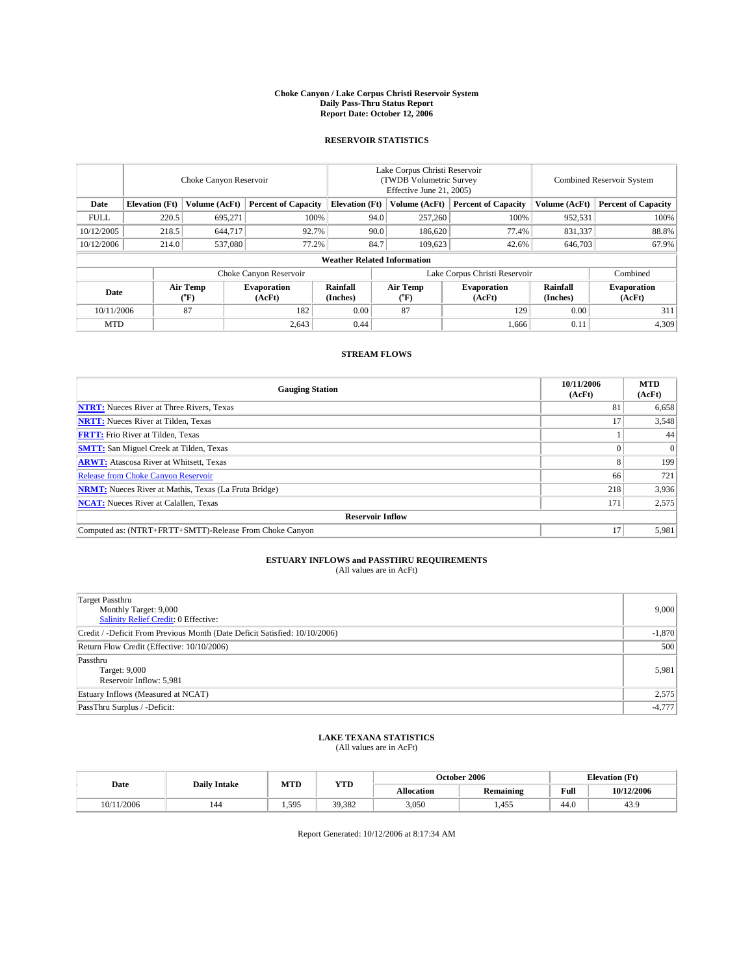#### **Choke Canyon / Lake Corpus Christi Reservoir System Daily Pass-Thru Status Report Report Date: October 12, 2006**

### **RESERVOIR STATISTICS**

|                                                                              | Choke Canyon Reservoir             |                       |                              |                      | Lake Corpus Christi Reservoir<br>(TWDB Volumetric Survey<br>Effective June 21, 2005) |                  |                               |                      | Combined Reservoir System    |  |  |  |  |
|------------------------------------------------------------------------------|------------------------------------|-----------------------|------------------------------|----------------------|--------------------------------------------------------------------------------------|------------------|-------------------------------|----------------------|------------------------------|--|--|--|--|
| <b>Percent of Capacity</b><br><b>Elevation</b> (Ft)<br>Volume (AcFt)<br>Date |                                    | <b>Elevation</b> (Ft) |                              | Volume (AcFt)        | <b>Percent of Capacity</b>                                                           | Volume (AcFt)    | <b>Percent of Capacity</b>    |                      |                              |  |  |  |  |
| <b>FULL</b>                                                                  | 220.5                              | 695,271               |                              | 100%                 | 94.0                                                                                 | 257,260          | 100%                          | 952,531              | $100\%$                      |  |  |  |  |
| 10/12/2005                                                                   | 218.5                              | 644,717               | 92.7%                        |                      | 90.0                                                                                 | 186,620          | 77.4%                         | 831,337              | 88.8%                        |  |  |  |  |
| 10/12/2006                                                                   | 214.0                              | 537,080               | 77.2%                        |                      | 84.7                                                                                 | 109,623          | 42.6%                         | 646,703              | 67.9%                        |  |  |  |  |
|                                                                              | <b>Weather Related Information</b> |                       |                              |                      |                                                                                      |                  |                               |                      |                              |  |  |  |  |
|                                                                              |                                    |                       | Choke Canyon Reservoir       |                      |                                                                                      |                  | Lake Corpus Christi Reservoir |                      | Combined                     |  |  |  |  |
| Date                                                                         |                                    | Air Temp<br>(°F)      | <b>Evaporation</b><br>(AcFt) | Rainfall<br>(Inches) |                                                                                      | Air Temp<br>(°F) | <b>Evaporation</b><br>(AcFt)  | Rainfall<br>(Inches) | <b>Evaporation</b><br>(AcFt) |  |  |  |  |
| 10/11/2006                                                                   |                                    | 87                    | 182                          | 0.00                 |                                                                                      | 87               | 129                           | 0.00                 | 311                          |  |  |  |  |
| <b>MTD</b>                                                                   |                                    |                       | 2,643                        | 0.44                 |                                                                                      |                  | 1,666                         | 0.11                 | 4,309                        |  |  |  |  |

## **STREAM FLOWS**

| <b>Gauging Station</b>                                       | 10/11/2006<br>(AcFt) | <b>MTD</b><br>(AcFt) |
|--------------------------------------------------------------|----------------------|----------------------|
| <b>NTRT:</b> Nueces River at Three Rivers, Texas             | 81                   | 6,658                |
| <b>NRTT:</b> Nueces River at Tilden, Texas                   |                      | 3,548                |
| <b>FRTT:</b> Frio River at Tilden, Texas                     |                      | 44                   |
| <b>SMTT:</b> San Miguel Creek at Tilden, Texas               |                      | $\Omega$             |
| <b>ARWT:</b> Atascosa River at Whitsett, Texas               |                      | 199                  |
| <b>Release from Choke Canyon Reservoir</b>                   | 66                   | 721                  |
| <b>NRMT:</b> Nueces River at Mathis, Texas (La Fruta Bridge) | 218                  | 3,936                |
| <b>NCAT:</b> Nueces River at Calallen, Texas                 | 171                  | 2,575                |
| <b>Reservoir Inflow</b>                                      |                      |                      |
| Computed as: (NTRT+FRTT+SMTT)-Release From Choke Canyon      | 17                   | 5,981                |

# **ESTUARY INFLOWS and PASSTHRU REQUIREMENTS**<br>(All values are in AcFt)

| Target Passthru<br>Monthly Target: 9,000<br>Salinity Relief Credit: 0 Effective: | 9,000    |
|----------------------------------------------------------------------------------|----------|
| Credit / -Deficit From Previous Month (Date Deficit Satisfied: 10/10/2006)       | $-1,870$ |
| Return Flow Credit (Effective: 10/10/2006)                                       | 500      |
| Passthru<br>Target: 9,000<br>Reservoir Inflow: 5,981                             | 5,981    |
| Estuary Inflows (Measured at NCAT)                                               | 2,575    |
| PassThru Surplus / -Deficit:                                                     | $-4,777$ |

## **LAKE TEXANA STATISTICS** (All values are in AcFt)

|  | Date       | <b>Daily Intake</b> | MTD   | <b>YTD</b> |                   | October 2006 |      | <b>Elevation</b> (Ft) |
|--|------------|---------------------|-------|------------|-------------------|--------------|------|-----------------------|
|  |            |                     |       |            | <b>Allocation</b> | Remaining    | Full | 10/12/2006            |
|  | 10/11/2006 | 144                 | 1.595 | 39,382     | 3,050             | 1,455        | 44.0 | TJ.                   |

Report Generated: 10/12/2006 at 8:17:34 AM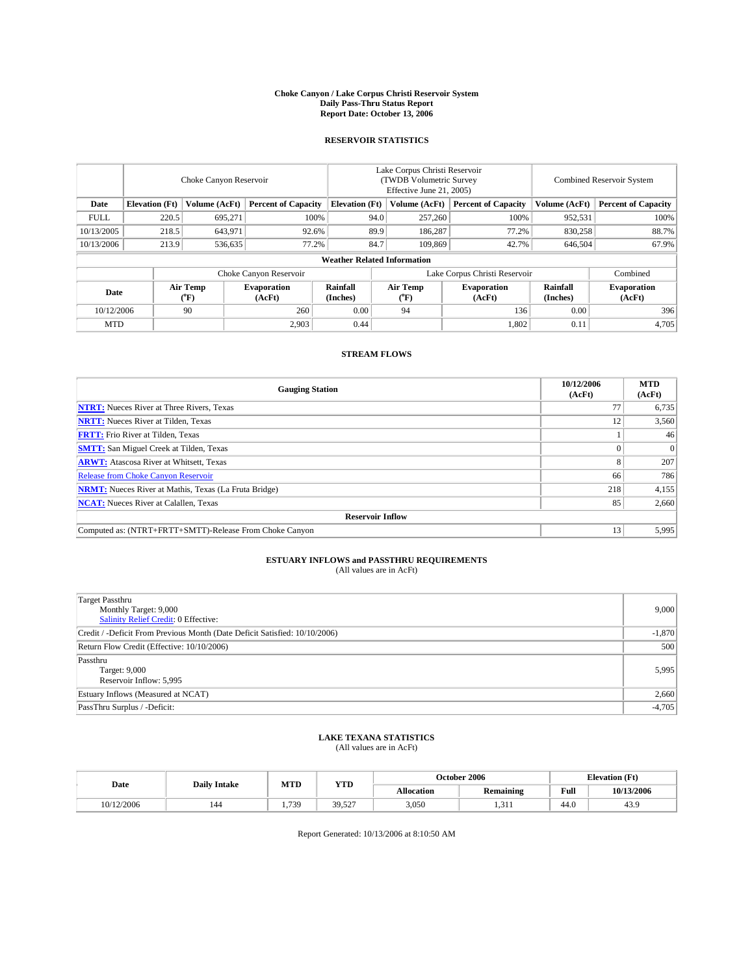#### **Choke Canyon / Lake Corpus Christi Reservoir System Daily Pass-Thru Status Report Report Date: October 13, 2006**

### **RESERVOIR STATISTICS**

|             | Choke Canyon Reservoir             |                         |                              |                       | Lake Corpus Christi Reservoir<br>(TWDB Volumetric Survey<br>Effective June 21, 2005) |                                |                               |                      | Combined Reservoir System    |  |  |  |
|-------------|------------------------------------|-------------------------|------------------------------|-----------------------|--------------------------------------------------------------------------------------|--------------------------------|-------------------------------|----------------------|------------------------------|--|--|--|
| Date        | <b>Elevation</b> (Ft)              | Volume (AcFt)           | <b>Percent of Capacity</b>   | <b>Elevation</b> (Ft) |                                                                                      | Volume (AcFt)                  | <b>Percent of Capacity</b>    | Volume (AcFt)        | <b>Percent of Capacity</b>   |  |  |  |
| <b>FULL</b> | 220.5                              | 695,271                 |                              | 100%                  | 94.0                                                                                 | 257,260                        | 100%                          | 952,531              | 100%                         |  |  |  |
| 10/13/2005  | 218.5                              | 643.971                 | 92.6%                        |                       | 89.9                                                                                 | 186.287                        | 77.2%                         | 830,258              | 88.7%                        |  |  |  |
| 10/13/2006  | 213.9                              | 536,635                 | 77.2%                        |                       | 84.7                                                                                 | 109,869                        | 42.7%                         | 646,504              | 67.9%                        |  |  |  |
|             | <b>Weather Related Information</b> |                         |                              |                       |                                                                                      |                                |                               |                      |                              |  |  |  |
|             |                                    |                         | Choke Canyon Reservoir       |                       |                                                                                      |                                | Lake Corpus Christi Reservoir |                      | Combined                     |  |  |  |
| Date        |                                    | <b>Air Temp</b><br>(°F) | <b>Evaporation</b><br>(AcFt) | Rainfall<br>(Inches)  |                                                                                      | Air Temp<br>$({}^o\mathrm{F})$ | <b>Evaporation</b><br>(AcFt)  | Rainfall<br>(Inches) | <b>Evaporation</b><br>(AcFt) |  |  |  |
| 10/12/2006  |                                    | 90                      | 260                          | 0.00                  |                                                                                      | 94                             | 136                           | 0.00                 | 396                          |  |  |  |
| <b>MTD</b>  |                                    |                         | 2,903                        | 0.44                  |                                                                                      |                                | 1,802                         | 0.11                 | 4,705                        |  |  |  |

## **STREAM FLOWS**

| <b>Gauging Station</b>                                       | 10/12/2006<br>(AcFt) | <b>MTD</b><br>(AcFt) |
|--------------------------------------------------------------|----------------------|----------------------|
| <b>NTRT:</b> Nueces River at Three Rivers, Texas             |                      | 6,735                |
| <b>NRTT:</b> Nueces River at Tilden, Texas                   | 12                   | 3,560                |
| <b>FRTT:</b> Frio River at Tilden, Texas                     |                      | 46                   |
| <b>SMTT:</b> San Miguel Creek at Tilden, Texas               |                      | $\Omega$             |
| <b>ARWT:</b> Atascosa River at Whitsett, Texas               |                      | 207                  |
| <b>Release from Choke Canyon Reservoir</b>                   | 66                   | 786                  |
| <b>NRMT:</b> Nueces River at Mathis, Texas (La Fruta Bridge) | 218                  | 4,155                |
| <b>NCAT:</b> Nueces River at Calallen, Texas                 | 85                   | 2,660                |
| <b>Reservoir Inflow</b>                                      |                      |                      |
| Computed as: (NTRT+FRTT+SMTT)-Release From Choke Canyon      | 13                   | 5,995                |

# **ESTUARY INFLOWS and PASSTHRU REQUIREMENTS**<br>(All values are in AcFt)

| Target Passthru<br>Monthly Target: 9,000<br>Salinity Relief Credit: 0 Effective: | 9,000    |
|----------------------------------------------------------------------------------|----------|
| Credit / -Deficit From Previous Month (Date Deficit Satisfied: 10/10/2006)       | $-1,870$ |
| Return Flow Credit (Effective: 10/10/2006)                                       | 500      |
| Passthru<br>Target: 9,000<br>Reservoir Inflow: 5,995                             | 5,995    |
| Estuary Inflows (Measured at NCAT)                                               | 2,660    |
| PassThru Surplus / -Deficit:                                                     | $-4,705$ |

## **LAKE TEXANA STATISTICS** (All values are in AcFt)

|  | Date       | <b>Daily Intake</b> | MTL      | <b>YTD</b>         | October 2006 |                  |                                         | <b>Elevation</b> (Ft) |
|--|------------|---------------------|----------|--------------------|--------------|------------------|-----------------------------------------|-----------------------|
|  |            |                     |          |                    | Allocation   | <b>Remaining</b> | Full<br>the contract of the contract of | 10/13/2006            |
|  | 10/12/2006 | 144                 | 730<br>. | 30<br>527<br>----- | 3.050        | .                | 44.0                                    | TJ.                   |

Report Generated: 10/13/2006 at 8:10:50 AM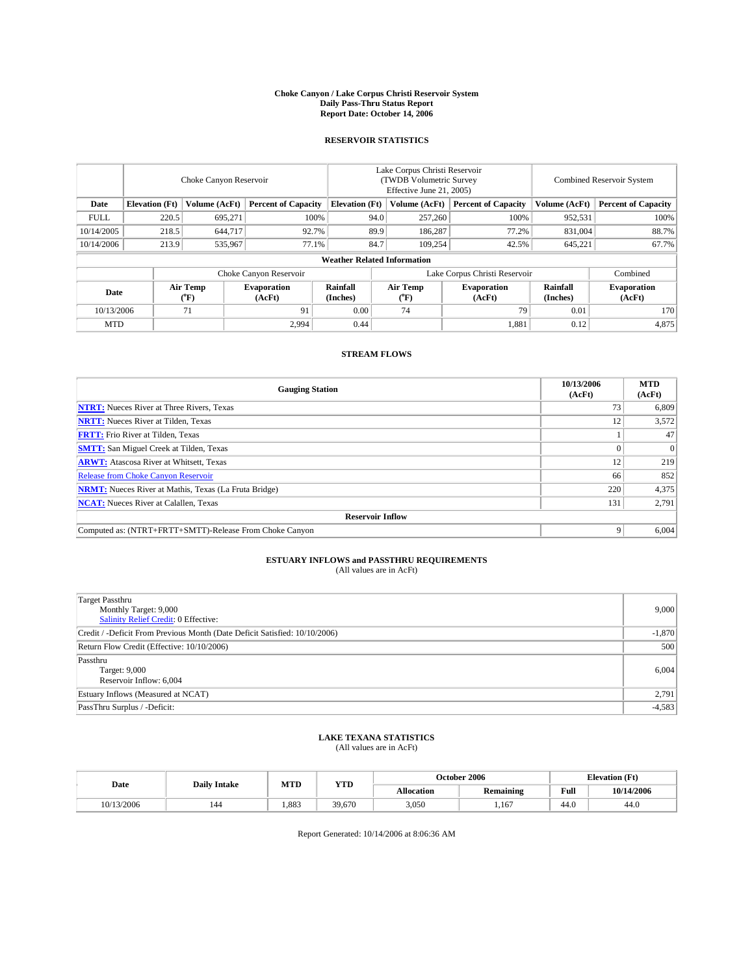#### **Choke Canyon / Lake Corpus Christi Reservoir System Daily Pass-Thru Status Report Report Date: October 14, 2006**

### **RESERVOIR STATISTICS**

|             | Choke Canyon Reservoir                                               |                         |                              |                      | Lake Corpus Christi Reservoir<br>(TWDB Volumetric Survey<br>Effective June 21, 2005) |                            |                               |                            | <b>Combined Reservoir System</b> |  |  |  |
|-------------|----------------------------------------------------------------------|-------------------------|------------------------------|----------------------|--------------------------------------------------------------------------------------|----------------------------|-------------------------------|----------------------------|----------------------------------|--|--|--|
| Date        | <b>Elevation</b> (Ft)<br>Volume (AcFt)<br><b>Percent of Capacity</b> |                         | <b>Elevation</b> (Ft)        |                      | Volume (AcFt)                                                                        | <b>Percent of Capacity</b> | Volume (AcFt)                 | <b>Percent of Capacity</b> |                                  |  |  |  |
| <b>FULL</b> | 220.5                                                                | 695,271                 |                              | 100%                 | 94.0                                                                                 | 257,260                    | 100%                          | 952,531                    | 100%                             |  |  |  |
| 10/14/2005  | 218.5                                                                | 644,717                 |                              | 92.7%                | 89.9                                                                                 | 186,287                    | 77.2%                         | 831.004                    | 88.7%                            |  |  |  |
| 10/14/2006  | 213.9                                                                | 535,967                 |                              | 77.1%                | 84.7                                                                                 | 109.254                    | 42.5%                         | 645,221                    | 67.7%                            |  |  |  |
|             | <b>Weather Related Information</b>                                   |                         |                              |                      |                                                                                      |                            |                               |                            |                                  |  |  |  |
|             |                                                                      |                         | Choke Canyon Reservoir       |                      |                                                                                      |                            | Lake Corpus Christi Reservoir |                            | Combined                         |  |  |  |
| Date        |                                                                      | <b>Air Temp</b><br>(°F) | <b>Evaporation</b><br>(AcFt) | Rainfall<br>(Inches) |                                                                                      | Air Temp<br>("F)           | <b>Evaporation</b><br>(AcFt)  | Rainfall<br>(Inches)       | <b>Evaporation</b><br>(AcFt)     |  |  |  |
| 10/13/2006  |                                                                      | 71                      | 91                           | 0.00                 |                                                                                      | 74                         | 79                            | 0.01                       | 170                              |  |  |  |
| <b>MTD</b>  |                                                                      |                         | 2,994                        | 0.44                 |                                                                                      |                            | 1,881                         | 0.12                       | 4,875                            |  |  |  |

## **STREAM FLOWS**

| <b>Gauging Station</b>                                       | 10/13/2006<br>(AcFt) | <b>MTD</b><br>(AcFt) |
|--------------------------------------------------------------|----------------------|----------------------|
| <b>NTRT:</b> Nueces River at Three Rivers, Texas             | 73                   | 6,809                |
| <b>NRTT:</b> Nueces River at Tilden, Texas                   | 12                   | 3,572                |
| <b>FRTT:</b> Frio River at Tilden, Texas                     |                      | 47                   |
| <b>SMTT:</b> San Miguel Creek at Tilden, Texas               |                      | $\Omega$             |
| <b>ARWT:</b> Atascosa River at Whitsett, Texas               | 12                   | 219                  |
| <b>Release from Choke Canyon Reservoir</b>                   | 66                   | 852                  |
| <b>NRMT:</b> Nueces River at Mathis, Texas (La Fruta Bridge) | 220                  | 4,375                |
| <b>NCAT:</b> Nueces River at Calallen, Texas                 | 131                  | 2,791                |
| <b>Reservoir Inflow</b>                                      |                      |                      |
| Computed as: (NTRT+FRTT+SMTT)-Release From Choke Canyon      | 9                    | 6,004                |

# **ESTUARY INFLOWS and PASSTHRU REQUIREMENTS**<br>(All values are in AcFt)

| <b>Target Passthru</b><br>Monthly Target: 9,000<br><b>Salinity Relief Credit: 0 Effective:</b> | 9,000    |
|------------------------------------------------------------------------------------------------|----------|
| Credit / -Deficit From Previous Month (Date Deficit Satisfied: 10/10/2006)                     | $-1,870$ |
| Return Flow Credit (Effective: 10/10/2006)                                                     | 500      |
| Passthru<br>Target: 9,000<br>Reservoir Inflow: 6,004                                           | 6,004    |
| Estuary Inflows (Measured at NCAT)                                                             | 2,791    |
| PassThru Surplus / -Deficit:                                                                   | $-4,583$ |

## **LAKE TEXANA STATISTICS** (All values are in AcFt)

| Date       | <b>Daily Intake</b> | MTD  | <b>YTD</b> | October 2006      |           |      | <b>Elevation</b> (Ft) |
|------------|---------------------|------|------------|-------------------|-----------|------|-----------------------|
|            |                     |      |            | <b>Allocation</b> | Remaining | Full | 10/14/2006            |
| 10/13/2006 | 144                 | .883 | 39,670     | 3.050             | 167       | 44.0 | 44.U                  |

Report Generated: 10/14/2006 at 8:06:36 AM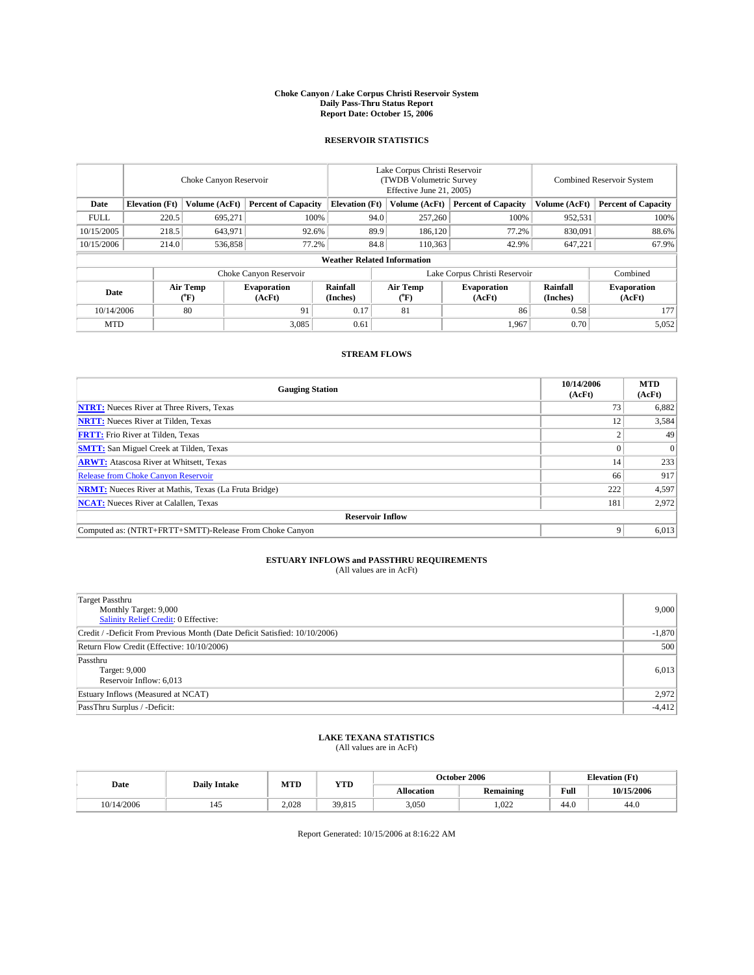#### **Choke Canyon / Lake Corpus Christi Reservoir System Daily Pass-Thru Status Report Report Date: October 15, 2006**

### **RESERVOIR STATISTICS**

|             | Choke Canyon Reservoir             |                         |                              |                       | Lake Corpus Christi Reservoir<br>(TWDB Volumetric Survey<br>Effective June 21, 2005) |                              |                               | Combined Reservoir System |                              |  |  |  |
|-------------|------------------------------------|-------------------------|------------------------------|-----------------------|--------------------------------------------------------------------------------------|------------------------------|-------------------------------|---------------------------|------------------------------|--|--|--|
| Date        | <b>Elevation</b> (Ft)              | Volume (AcFt)           | <b>Percent of Capacity</b>   | <b>Elevation</b> (Ft) |                                                                                      | Volume (AcFt)                | <b>Percent of Capacity</b>    | Volume (AcFt)             | <b>Percent of Capacity</b>   |  |  |  |
| <b>FULL</b> | 220.5                              | 695,271                 | 100%                         |                       | 94.0                                                                                 | 257,260                      | 100%                          | 952,531                   | 100%                         |  |  |  |
| 10/15/2005  | 218.5                              | 643.971                 | 92.6%                        |                       | 89.9                                                                                 | 186.120                      | 77.2%                         | 830.091                   | 88.6%                        |  |  |  |
| 10/15/2006  | 214.0                              | 536,858                 | 77.2%                        |                       | 84.8                                                                                 | 110,363                      | 42.9%                         | 647,221                   | 67.9%                        |  |  |  |
|             | <b>Weather Related Information</b> |                         |                              |                       |                                                                                      |                              |                               |                           |                              |  |  |  |
|             |                                    |                         | Choke Canyon Reservoir       |                       |                                                                                      |                              | Lake Corpus Christi Reservoir |                           | Combined                     |  |  |  |
| Date        |                                    | <b>Air Temp</b><br>(°F) | <b>Evaporation</b><br>(AcFt) | Rainfall<br>(Inches)  |                                                                                      | Air Temp<br>$\rm ^{(^o}\!F)$ | <b>Evaporation</b><br>(AcFt)  | Rainfall<br>(Inches)      | <b>Evaporation</b><br>(AcFt) |  |  |  |
| 10/14/2006  |                                    | 80                      | 91                           | 0.17                  |                                                                                      | 81                           | 86                            | 0.58                      | 177                          |  |  |  |
| <b>MTD</b>  |                                    |                         | 3,085                        | 0.61                  |                                                                                      |                              | 1,967                         | 0.70                      | 5,052                        |  |  |  |

## **STREAM FLOWS**

| <b>Gauging Station</b>                                       | 10/14/2006<br>(AcFt) | <b>MTD</b><br>(AcFt) |
|--------------------------------------------------------------|----------------------|----------------------|
| <b>NTRT:</b> Nueces River at Three Rivers, Texas             | 73                   | 6,882                |
| <b>NRTT:</b> Nueces River at Tilden, Texas                   | 12                   | 3,584                |
| <b>FRTT:</b> Frio River at Tilden, Texas                     |                      | 49                   |
| <b>SMTT:</b> San Miguel Creek at Tilden, Texas               |                      | $\Omega$             |
| <b>ARWT:</b> Atascosa River at Whitsett, Texas               | 14                   | 233                  |
| <b>Release from Choke Canyon Reservoir</b>                   | 66                   | 917                  |
| <b>NRMT:</b> Nueces River at Mathis, Texas (La Fruta Bridge) | 222                  | 4,597                |
| <b>NCAT:</b> Nueces River at Calallen, Texas                 | 181                  | 2,972                |
| <b>Reservoir Inflow</b>                                      |                      |                      |
| Computed as: (NTRT+FRTT+SMTT)-Release From Choke Canyon      | 9                    | 6,013                |

# **ESTUARY INFLOWS and PASSTHRU REQUIREMENTS**<br>(All values are in AcFt)

| <b>Target Passthru</b><br>Monthly Target: 9,000<br><b>Salinity Relief Credit: 0 Effective:</b> | 9,000    |
|------------------------------------------------------------------------------------------------|----------|
| Credit / -Deficit From Previous Month (Date Deficit Satisfied: 10/10/2006)                     | $-1,870$ |
| Return Flow Credit (Effective: 10/10/2006)                                                     | 500      |
| Passthru<br>Target: 9,000<br>Reservoir Inflow: 6,013                                           | 6,013    |
| Estuary Inflows (Measured at NCAT)                                                             | 2,972    |
| PassThru Surplus / -Deficit:                                                                   | $-4,412$ |

## **LAKE TEXANA STATISTICS** (All values are in AcFt)

|  | Date       | <b>Daily Intake</b> | MTD   | <b>YTD</b> | October 2006      |           |      | <b>Elevation</b> (Ft) |
|--|------------|---------------------|-------|------------|-------------------|-----------|------|-----------------------|
|  |            |                     |       |            | <b>Allocation</b> | Remaining | Full | 10/15/2006            |
|  | 10/14/2006 | 145                 | 2.028 | 39,815     | 3,050             | 1.022     | 44.0 | 44.V                  |

Report Generated: 10/15/2006 at 8:16:22 AM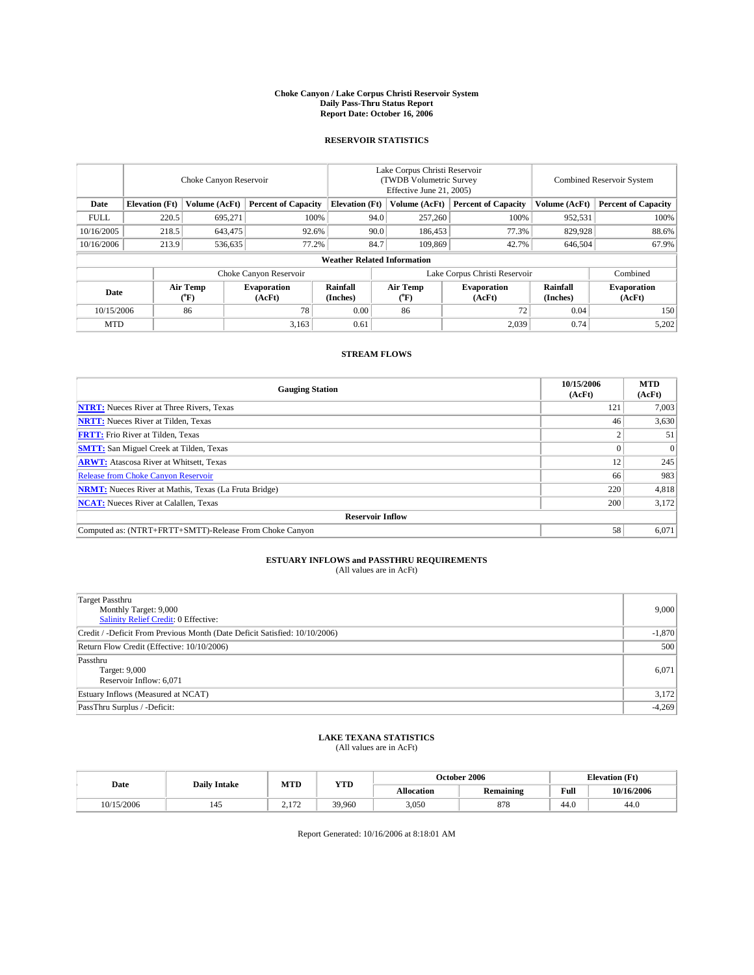#### **Choke Canyon / Lake Corpus Christi Reservoir System Daily Pass-Thru Status Report Report Date: October 16, 2006**

### **RESERVOIR STATISTICS**

|             | Choke Canyon Reservoir             |                         |                              |                       | Lake Corpus Christi Reservoir<br>(TWDB Volumetric Survey<br>Effective June 21, 2005) |                                |                               | Combined Reservoir System |                              |  |
|-------------|------------------------------------|-------------------------|------------------------------|-----------------------|--------------------------------------------------------------------------------------|--------------------------------|-------------------------------|---------------------------|------------------------------|--|
| Date        | <b>Elevation</b> (Ft)              | Volume (AcFt)           | <b>Percent of Capacity</b>   | <b>Elevation</b> (Ft) |                                                                                      | Volume (AcFt)                  | <b>Percent of Capacity</b>    | Volume (AcFt)             | <b>Percent of Capacity</b>   |  |
| <b>FULL</b> | 220.5                              | 695,271                 | 100%                         |                       | 94.0                                                                                 | 257,260                        | 100%                          | 952,531                   | 100%                         |  |
| 10/16/2005  | 218.5                              | 643,475                 | 92.6%                        |                       | 90.0                                                                                 | 186,453                        | 77.3%                         | 829.928                   | 88.6%                        |  |
| 10/16/2006  | 213.9                              | 536,635                 | 77.2%                        |                       | 84.7                                                                                 | 109,869                        | 42.7%                         | 646,504                   | 67.9%                        |  |
|             | <b>Weather Related Information</b> |                         |                              |                       |                                                                                      |                                |                               |                           |                              |  |
|             |                                    |                         | Choke Canyon Reservoir       |                       |                                                                                      |                                | Lake Corpus Christi Reservoir |                           | Combined                     |  |
| Date        |                                    | <b>Air Temp</b><br>(°F) | <b>Evaporation</b><br>(AcFt) | Rainfall<br>(Inches)  |                                                                                      | Air Temp<br>$({}^o\mathrm{F})$ | <b>Evaporation</b><br>(AcFt)  | Rainfall<br>(Inches)      | <b>Evaporation</b><br>(AcFt) |  |
| 10/15/2006  |                                    | 86                      | 78                           | 0.00                  |                                                                                      | 86                             | 72                            | 0.04                      | 150 <sup>1</sup>             |  |
| <b>MTD</b>  |                                    |                         | 3,163                        | 0.61                  |                                                                                      |                                | 2,039                         | 0.74                      | 5,202                        |  |

## **STREAM FLOWS**

| <b>Gauging Station</b>                                       | 10/15/2006<br>(AcFt) | <b>MTD</b><br>(AcFt) |  |  |  |  |  |
|--------------------------------------------------------------|----------------------|----------------------|--|--|--|--|--|
| <b>NTRT:</b> Nueces River at Three Rivers, Texas             | 121                  | 7,003                |  |  |  |  |  |
| <b>NRTT:</b> Nueces River at Tilden, Texas                   | 46                   | 3,630                |  |  |  |  |  |
| <b>FRTT:</b> Frio River at Tilden, Texas                     |                      | 51                   |  |  |  |  |  |
| <b>SMTT:</b> San Miguel Creek at Tilden, Texas               |                      | $\Omega$             |  |  |  |  |  |
| <b>ARWT:</b> Atascosa River at Whitsett, Texas               | 12                   | 245                  |  |  |  |  |  |
| <b>Release from Choke Canyon Reservoir</b>                   | 66                   | 983                  |  |  |  |  |  |
| <b>NRMT:</b> Nueces River at Mathis, Texas (La Fruta Bridge) | 220                  | 4,818                |  |  |  |  |  |
| <b>NCAT:</b> Nueces River at Calallen, Texas                 | 200                  | 3,172                |  |  |  |  |  |
| <b>Reservoir Inflow</b>                                      |                      |                      |  |  |  |  |  |
| Computed as: (NTRT+FRTT+SMTT)-Release From Choke Canyon      | 58                   | 6,071                |  |  |  |  |  |

# **ESTUARY INFLOWS and PASSTHRU REQUIREMENTS**<br>(All values are in AcFt)

| Target Passthru<br>Monthly Target: 9,000<br>Salinity Relief Credit: 0 Effective: | 9,000    |
|----------------------------------------------------------------------------------|----------|
| Credit / -Deficit From Previous Month (Date Deficit Satisfied: 10/10/2006)       | $-1,870$ |
| Return Flow Credit (Effective: 10/10/2006)                                       | 500      |
| Passthru<br>Target: 9,000<br>Reservoir Inflow: 6,071                             | 6,071    |
| Estuary Inflows (Measured at NCAT)                                               | 3,172    |
| PassThru Surplus / -Deficit:                                                     | $-4,269$ |

## **LAKE TEXANA STATISTICS** (All values are in AcFt)

|  | Date       | <b>Daily Intake</b> | MTD           | <b>YTD</b> |                   | October 2006 | <b>Elevation</b> (Ft) |            |
|--|------------|---------------------|---------------|------------|-------------------|--------------|-----------------------|------------|
|  |            |                     |               |            | <b>Allocation</b> | Remaining    | Full                  | 10/16/2006 |
|  | 10/15/2006 | 145                 | 1.172<br>4.II | 39,960     | 3,050             | 878          | 44.0                  | 44.U       |

Report Generated: 10/16/2006 at 8:18:01 AM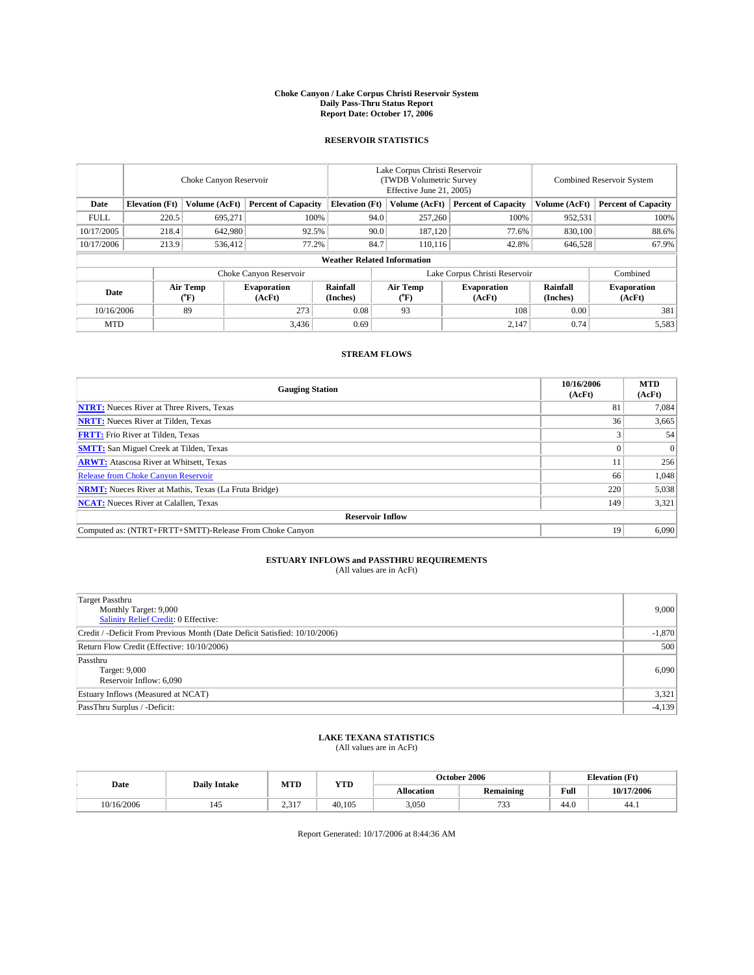#### **Choke Canyon / Lake Corpus Christi Reservoir System Daily Pass-Thru Status Report Report Date: October 17, 2006**

### **RESERVOIR STATISTICS**

|             | Choke Canyon Reservoir             |                  |                              |                       | Lake Corpus Christi Reservoir<br>(TWDB Volumetric Survey<br>Effective June 21, 2005) |                              |                               | Combined Reservoir System |                              |  |
|-------------|------------------------------------|------------------|------------------------------|-----------------------|--------------------------------------------------------------------------------------|------------------------------|-------------------------------|---------------------------|------------------------------|--|
| Date        | <b>Elevation</b> (Ft)              | Volume (AcFt)    | <b>Percent of Capacity</b>   | <b>Elevation</b> (Ft) |                                                                                      | Volume (AcFt)                | <b>Percent of Capacity</b>    | Volume (AcFt)             | <b>Percent of Capacity</b>   |  |
| <b>FULL</b> | 220.5                              | 695,271          |                              | 100%                  | 94.0                                                                                 | 257,260                      | 100%                          | 952,531                   | $100\%$                      |  |
| 10/17/2005  | 218.4                              | 642,980          | 92.5%                        |                       | 90.0                                                                                 | 187.120                      | 77.6%                         | 830,100                   | 88.6%                        |  |
| 10/17/2006  | 213.9                              | 536,412          | 77.2%                        |                       | 84.7                                                                                 | 110.116                      | 42.8%                         | 646,528                   | 67.9%                        |  |
|             | <b>Weather Related Information</b> |                  |                              |                       |                                                                                      |                              |                               |                           |                              |  |
|             |                                    |                  | Choke Canyon Reservoir       |                       |                                                                                      |                              | Lake Corpus Christi Reservoir |                           | Combined                     |  |
| Date        |                                    | Air Temp<br>(°F) | <b>Evaporation</b><br>(AcFt) | Rainfall<br>(Inches)  |                                                                                      | Air Temp<br>$\rm ^{(^o}\!F)$ | <b>Evaporation</b><br>(AcFt)  | Rainfall<br>(Inches)      | <b>Evaporation</b><br>(AcFt) |  |
| 10/16/2006  |                                    | 89               | 273                          | 0.08                  |                                                                                      | 93                           | 108                           | 0.00                      | 381                          |  |
| <b>MTD</b>  |                                    |                  | 3,436                        | 0.69                  |                                                                                      |                              | 2,147                         | 0.74                      | 5,583                        |  |

## **STREAM FLOWS**

| <b>Gauging Station</b>                                       | 10/16/2006<br>(AcFt) | <b>MTD</b><br>(AcFt) |  |  |  |  |  |
|--------------------------------------------------------------|----------------------|----------------------|--|--|--|--|--|
| <b>NTRT:</b> Nueces River at Three Rivers, Texas             | 81                   | 7.084                |  |  |  |  |  |
| <b>NRTT:</b> Nueces River at Tilden, Texas                   | 36                   | 3,665                |  |  |  |  |  |
| <b>FRTT:</b> Frio River at Tilden, Texas                     |                      | 54                   |  |  |  |  |  |
| <b>SMTT:</b> San Miguel Creek at Tilden, Texas               |                      | $\Omega$             |  |  |  |  |  |
| <b>ARWT:</b> Atascosa River at Whitsett, Texas               | 11                   | 256                  |  |  |  |  |  |
| Release from Choke Canyon Reservoir                          | 66                   | 1,048                |  |  |  |  |  |
| <b>NRMT:</b> Nueces River at Mathis, Texas (La Fruta Bridge) | 220                  | 5,038                |  |  |  |  |  |
| <b>NCAT:</b> Nueces River at Calallen, Texas                 | 149                  | 3,321                |  |  |  |  |  |
| <b>Reservoir Inflow</b>                                      |                      |                      |  |  |  |  |  |
| Computed as: (NTRT+FRTT+SMTT)-Release From Choke Canyon      | 19                   | 6,090                |  |  |  |  |  |

# **ESTUARY INFLOWS and PASSTHRU REQUIREMENTS**<br>(All values are in AcFt)

| Target Passthru<br>Monthly Target: 9,000<br>Salinity Relief Credit: 0 Effective: | 9,000    |
|----------------------------------------------------------------------------------|----------|
| Credit / -Deficit From Previous Month (Date Deficit Satisfied: 10/10/2006)       | $-1,870$ |
| Return Flow Credit (Effective: 10/10/2006)                                       | 500      |
| Passthru<br>Target: 9,000<br>Reservoir Inflow: 6,090                             | 6,090    |
| Estuary Inflows (Measured at NCAT)                                               | 3,321    |
| PassThru Surplus / -Deficit:                                                     | $-4,139$ |

## **LAKE TEXANA STATISTICS** (All values are in AcFt)

|            | MTD<br><b>YTD</b><br>Date<br><b>Daily Intake</b> |                 |        |                   | October 2006 | <b>Elevation</b> (Ft) |            |
|------------|--------------------------------------------------|-----------------|--------|-------------------|--------------|-----------------------|------------|
|            |                                                  |                 |        | <b>Allocation</b> | Remaining    | Full                  | 10/17/2006 |
| 10/16/2006 |                                                  | 217<br>$\sim 1$ | 40.105 | 3,050             | 722<br>ر ر ا | 44.0                  | 44.        |

Report Generated: 10/17/2006 at 8:44:36 AM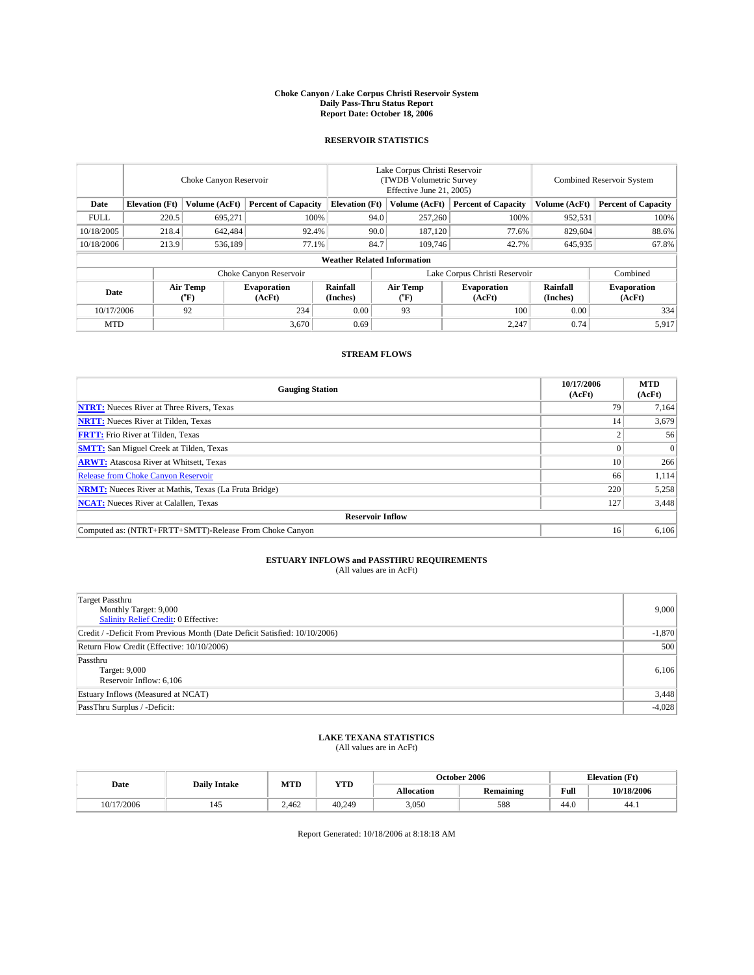#### **Choke Canyon / Lake Corpus Christi Reservoir System Daily Pass-Thru Status Report Report Date: October 18, 2006**

### **RESERVOIR STATISTICS**

|             | Choke Canyon Reservoir             |                  |                              |                       | Lake Corpus Christi Reservoir<br>(TWDB Volumetric Survey<br>Effective June 21, 2005) |                  |                               | Combined Reservoir System |                              |  |
|-------------|------------------------------------|------------------|------------------------------|-----------------------|--------------------------------------------------------------------------------------|------------------|-------------------------------|---------------------------|------------------------------|--|
| Date        | <b>Elevation</b> (Ft)              | Volume (AcFt)    | <b>Percent of Capacity</b>   | <b>Elevation</b> (Ft) |                                                                                      | Volume (AcFt)    | <b>Percent of Capacity</b>    | Volume (AcFt)             | <b>Percent of Capacity</b>   |  |
| <b>FULL</b> | 220.5                              | 695,271          | 100%                         |                       | 94.0                                                                                 | 257,260          | 100%                          | 952,531                   | 100%                         |  |
| 10/18/2005  | 218.4                              | 642,484          | 92.4%                        |                       | 90.0                                                                                 | 187,120          | 77.6%                         | 829,604                   | 88.6%                        |  |
| 10/18/2006  | 213.9                              | 536,189          | 77.1%                        |                       | 84.7                                                                                 | 109,746          | 42.7%                         | 645,935                   | 67.8%                        |  |
|             | <b>Weather Related Information</b> |                  |                              |                       |                                                                                      |                  |                               |                           |                              |  |
|             |                                    |                  | Choke Canyon Reservoir       |                       |                                                                                      |                  | Lake Corpus Christi Reservoir |                           | Combined                     |  |
| Date        |                                    | Air Temp<br>(°F) | <b>Evaporation</b><br>(AcFt) | Rainfall<br>(Inches)  |                                                                                      | Air Temp<br>("F) | <b>Evaporation</b><br>(AcFt)  | Rainfall<br>(Inches)      | <b>Evaporation</b><br>(AcFt) |  |
| 10/17/2006  |                                    | 92               | 234                          | 0.00                  |                                                                                      | 93               | 100                           | 0.00                      | 334                          |  |
| <b>MTD</b>  |                                    |                  | 3,670                        | 0.69                  |                                                                                      |                  | 2,247                         | 0.74                      | 5,917                        |  |

## **STREAM FLOWS**

| <b>Gauging Station</b>                                       | 10/17/2006<br>(AcFt) | <b>MTD</b><br>(AcFt) |
|--------------------------------------------------------------|----------------------|----------------------|
| <b>NTRT:</b> Nueces River at Three Rivers, Texas             | 79                   | 7,164                |
| <b>NRTT:</b> Nueces River at Tilden, Texas                   | 14                   | 3,679                |
| <b>FRTT:</b> Frio River at Tilden, Texas                     |                      | 56                   |
| <b>SMTT:</b> San Miguel Creek at Tilden, Texas               |                      | $\Omega$             |
| <b>ARWT:</b> Atascosa River at Whitsett, Texas               | 10                   | 266                  |
| <b>Release from Choke Canyon Reservoir</b>                   | 66                   | 1,114                |
| <b>NRMT:</b> Nueces River at Mathis, Texas (La Fruta Bridge) | 220                  | 5,258                |
| <b>NCAT:</b> Nueces River at Calallen, Texas                 | 127                  | 3,448                |
| <b>Reservoir Inflow</b>                                      |                      |                      |
| Computed as: (NTRT+FRTT+SMTT)-Release From Choke Canyon      | 16                   | 6,106                |

# **ESTUARY INFLOWS and PASSTHRU REQUIREMENTS**<br>(All values are in AcFt)

| <b>Target Passthru</b><br>Monthly Target: 9,000<br><b>Salinity Relief Credit: 0 Effective:</b> | 9,000    |
|------------------------------------------------------------------------------------------------|----------|
| Credit / -Deficit From Previous Month (Date Deficit Satisfied: 10/10/2006)                     | $-1,870$ |
| Return Flow Credit (Effective: 10/10/2006)                                                     | 500      |
| Passthru<br>Target: 9,000<br>Reservoir Inflow: 6,106                                           | 6,106    |
| Estuary Inflows (Measured at NCAT)                                                             | 3,448    |
| PassThru Surplus / -Deficit:                                                                   | $-4,028$ |

## **LAKE TEXANA STATISTICS** (All values are in AcFt)

| Date       | <b>Daily Intake</b> | MTD<br><b>YTD</b> |        |            | October 2006 | <b>Elevation</b> (Ft)                       |            |
|------------|---------------------|-------------------|--------|------------|--------------|---------------------------------------------|------------|
|            |                     |                   |        | Allocation | Remaining    | Full<br>the contract of the contract of the | 10/18/2006 |
| 10/17/2006 |                     | 2.462             | 40.249 | 3,050      | 588          | 44.0                                        | 44.        |

Report Generated: 10/18/2006 at 8:18:18 AM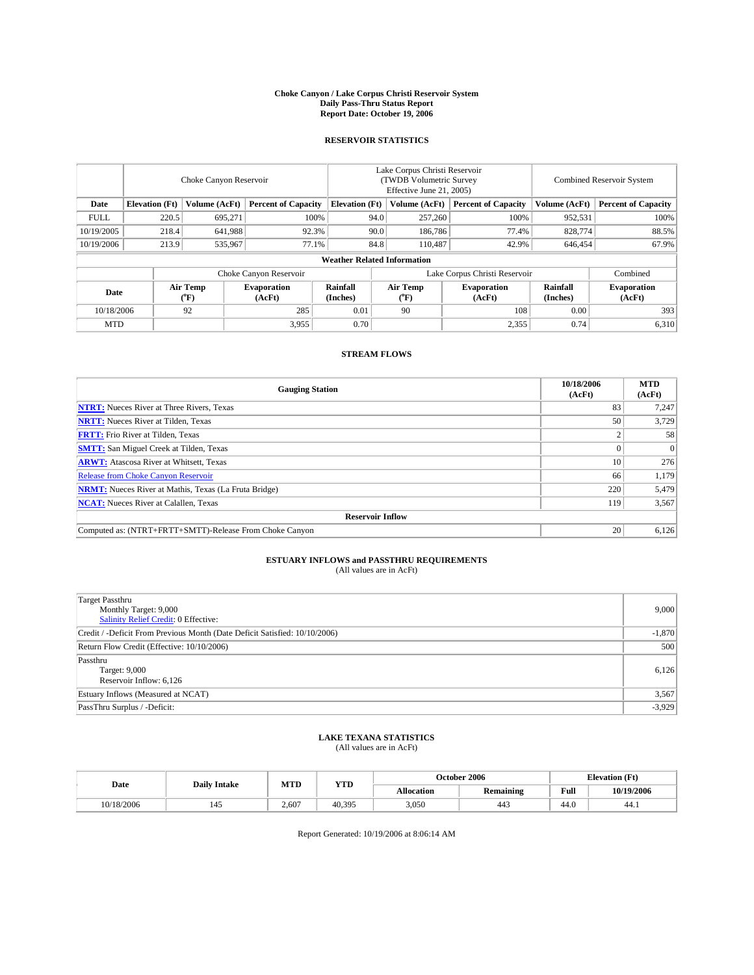#### **Choke Canyon / Lake Corpus Christi Reservoir System Daily Pass-Thru Status Report Report Date: October 19, 2006**

### **RESERVOIR STATISTICS**

|             | Choke Canyon Reservoir             |                               |                              |                       | Lake Corpus Christi Reservoir<br>(TWDB Volumetric Survey<br>Effective June 21, 2005) |                              |                              |                      | Combined Reservoir System    |  |  |  |
|-------------|------------------------------------|-------------------------------|------------------------------|-----------------------|--------------------------------------------------------------------------------------|------------------------------|------------------------------|----------------------|------------------------------|--|--|--|
| Date        | <b>Elevation</b> (Ft)              | Volume (AcFt)                 | <b>Percent of Capacity</b>   | <b>Elevation</b> (Ft) |                                                                                      | Volume (AcFt)                | <b>Percent of Capacity</b>   | Volume (AcFt)        | <b>Percent of Capacity</b>   |  |  |  |
| <b>FULL</b> | 220.5                              | 695,271                       | 100%                         |                       | 94.0                                                                                 | 257,260                      | 100%                         | 952,531              | $100\%$                      |  |  |  |
| 10/19/2005  | 218.4                              | 641,988                       | 92.3%                        |                       | 90.0                                                                                 | 186,786                      | 77.4%                        | 828,774              | 88.5%                        |  |  |  |
| 10/19/2006  | 213.9                              | 535,967                       | 77.1%                        |                       | 84.8                                                                                 | 110,487                      | 42.9%                        | 646,454              | 67.9%                        |  |  |  |
|             | <b>Weather Related Information</b> |                               |                              |                       |                                                                                      |                              |                              |                      |                              |  |  |  |
|             |                                    | Lake Corpus Christi Reservoir |                              |                       |                                                                                      | Combined                     |                              |                      |                              |  |  |  |
| Date        |                                    | Air Temp<br>(°F)              | <b>Evaporation</b><br>(AcFt) | Rainfall<br>(Inches)  |                                                                                      | Air Temp<br>$\rm ^{(^o}\!F)$ | <b>Evaporation</b><br>(AcFt) | Rainfall<br>(Inches) | <b>Evaporation</b><br>(AcFt) |  |  |  |
| 10/18/2006  |                                    | 92                            | 285                          | 0.01                  |                                                                                      | 90                           | 108                          | 0.00                 | 393                          |  |  |  |
| <b>MTD</b>  |                                    |                               | 3,955                        | 0.70                  |                                                                                      |                              | 2,355                        | 0.74                 | 6,310                        |  |  |  |

## **STREAM FLOWS**

| <b>Gauging Station</b>                                       | 10/18/2006<br>(AcFt) | <b>MTD</b><br>(AcFt) |
|--------------------------------------------------------------|----------------------|----------------------|
| <b>NTRT:</b> Nueces River at Three Rivers, Texas             | 83                   | 7,247                |
| <b>NRTT:</b> Nueces River at Tilden, Texas                   | 50                   | 3,729                |
| <b>FRTT:</b> Frio River at Tilden, Texas                     |                      | 58                   |
| <b>SMTT:</b> San Miguel Creek at Tilden, Texas               |                      | $\Omega$             |
| <b>ARWT:</b> Atascosa River at Whitsett, Texas               | 10                   | 276                  |
| <b>Release from Choke Canyon Reservoir</b>                   | 66                   | 1,179                |
| <b>NRMT:</b> Nueces River at Mathis, Texas (La Fruta Bridge) | 220                  | 5,479                |
| <b>NCAT:</b> Nueces River at Calallen, Texas                 | 119                  | 3,567                |
| <b>Reservoir Inflow</b>                                      |                      |                      |
| Computed as: (NTRT+FRTT+SMTT)-Release From Choke Canyon      | 20                   | 6,126                |

# **ESTUARY INFLOWS and PASSTHRU REQUIREMENTS**<br>(All values are in AcFt)

| Target Passthru<br>Monthly Target: 9,000<br>Salinity Relief Credit: 0 Effective: | 9,000    |
|----------------------------------------------------------------------------------|----------|
| Credit / -Deficit From Previous Month (Date Deficit Satisfied: 10/10/2006)       | $-1,870$ |
| Return Flow Credit (Effective: 10/10/2006)                                       | 500      |
| Passthru<br>Target: 9,000<br>Reservoir Inflow: 6,126                             | 6,126    |
| Estuary Inflows (Measured at NCAT)                                               | 3,567    |
| PassThru Surplus / -Deficit:                                                     | $-3,929$ |

## **LAKE TEXANA STATISTICS** (All values are in AcFt)

| Date       | <b>Daily Intake</b> | MTD   | <b>YTD</b> |            | October 2006          |      | <b>Elevation</b> (Ft) |
|------------|---------------------|-------|------------|------------|-----------------------|------|-----------------------|
|            |                     |       |            | Allocation | Remaining             | Full | 10/19/2006            |
| 10/18/2006 |                     | 2.607 | 40.395     | 3,050      | $\overline{1}$<br>44د | 44.0 | 44.                   |

Report Generated: 10/19/2006 at 8:06:14 AM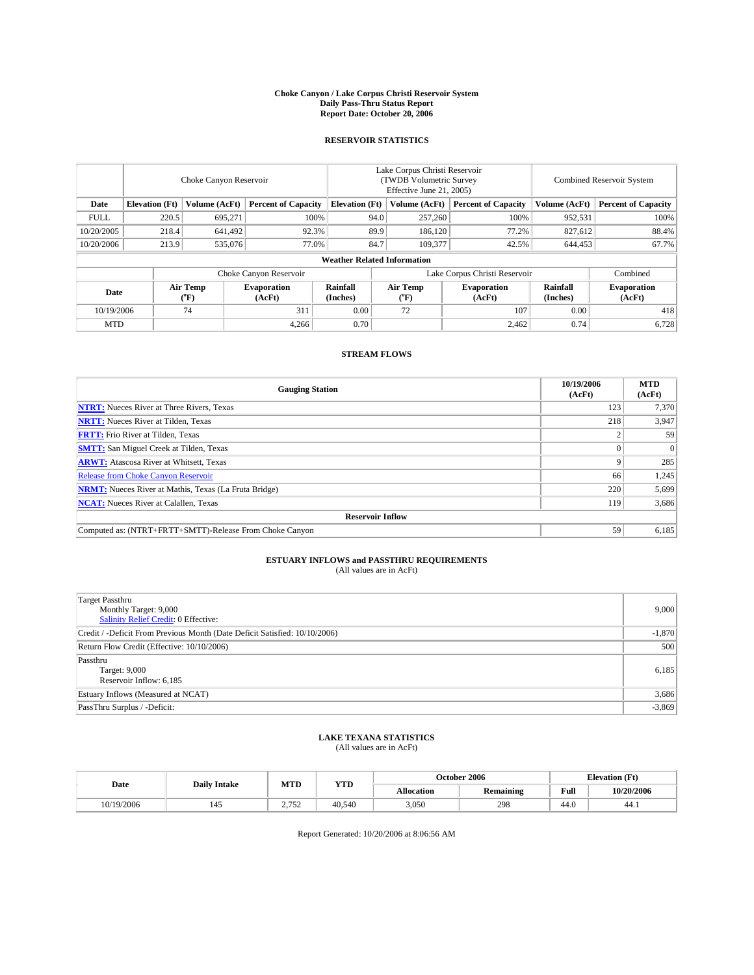#### **Choke Canyon / Lake Corpus Christi Reservoir System Daily Pass-Thru Status Report Report Date: October 20, 2006**

### **RESERVOIR STATISTICS**

|             | Choke Canyon Reservoir             |                                |                              |                       | Lake Corpus Christi Reservoir<br>(TWDB Volumetric Survey<br>Effective June 21, 2005) |                  |                              | Combined Reservoir System |                              |  |  |  |
|-------------|------------------------------------|--------------------------------|------------------------------|-----------------------|--------------------------------------------------------------------------------------|------------------|------------------------------|---------------------------|------------------------------|--|--|--|
| Date        | <b>Elevation</b> (Ft)              | Volume (AcFt)                  | <b>Percent of Capacity</b>   | <b>Elevation</b> (Ft) |                                                                                      | Volume (AcFt)    | <b>Percent of Capacity</b>   | Volume (AcFt)             | <b>Percent of Capacity</b>   |  |  |  |
| <b>FULL</b> | 220.5                              | 695,271                        |                              | 100%                  | 94.0                                                                                 | 257,260          | 100%                         | 952,531                   | 100%                         |  |  |  |
| 10/20/2005  | 218.4                              | 641,492                        | 92.3%                        |                       | 89.9                                                                                 | 186,120          | 77.2%                        | 827,612                   | 88.4%                        |  |  |  |
| 10/20/2006  | 213.9                              | 535,076                        | 77.0%                        |                       | 84.7                                                                                 | 109.377          | 42.5%                        | 644,453                   | 67.7%                        |  |  |  |
|             | <b>Weather Related Information</b> |                                |                              |                       |                                                                                      |                  |                              |                           |                              |  |  |  |
|             |                                    |                                | Choke Canyon Reservoir       |                       | Lake Corpus Christi Reservoir                                                        |                  |                              |                           | Combined                     |  |  |  |
| Date        |                                    | Air Temp<br>$({}^o\mathrm{F})$ | <b>Evaporation</b><br>(AcFt) | Rainfall<br>(Inches)  |                                                                                      | Air Temp<br>("F) | <b>Evaporation</b><br>(AcFt) | Rainfall<br>(Inches)      | <b>Evaporation</b><br>(AcFt) |  |  |  |
| 10/19/2006  |                                    | 74                             | 311                          | 0.00                  |                                                                                      | 72               | 107                          | 0.00                      | 418                          |  |  |  |
| <b>MTD</b>  |                                    |                                | 4,266                        | 0.70                  |                                                                                      |                  | 2,462                        | 0.74                      | 6,728                        |  |  |  |

## **STREAM FLOWS**

| <b>Gauging Station</b>                                       | 10/19/2006<br>(AcFt) | <b>MTD</b><br>(AcFt) |
|--------------------------------------------------------------|----------------------|----------------------|
| <b>NTRT:</b> Nueces River at Three Rivers, Texas             | 123                  | 7,370                |
| <b>NRTT:</b> Nueces River at Tilden, Texas                   | 218                  | 3,947                |
| <b>FRTT:</b> Frio River at Tilden, Texas                     |                      | 59                   |
| <b>SMTT:</b> San Miguel Creek at Tilden, Texas               |                      | $\Omega$             |
| <b>ARWT:</b> Atascosa River at Whitsett, Texas               |                      | 285                  |
| <b>Release from Choke Canyon Reservoir</b>                   | 66                   | 1,245                |
| <b>NRMT:</b> Nueces River at Mathis, Texas (La Fruta Bridge) | 220                  | 5,699                |
| <b>NCAT:</b> Nueces River at Calallen, Texas                 | 119                  | 3,686                |
| <b>Reservoir Inflow</b>                                      |                      |                      |
| Computed as: (NTRT+FRTT+SMTT)-Release From Choke Canyon      | 59                   | 6,185                |

# **ESTUARY INFLOWS and PASSTHRU REQUIREMENTS**<br>(All values are in AcFt)

| <b>Target Passthru</b><br>Monthly Target: 9,000<br><b>Salinity Relief Credit: 0 Effective:</b> | 9,000    |
|------------------------------------------------------------------------------------------------|----------|
| Credit / -Deficit From Previous Month (Date Deficit Satisfied: 10/10/2006)                     | $-1,870$ |
| Return Flow Credit (Effective: 10/10/2006)                                                     | 500      |
| Passthru<br>Target: 9,000<br>Reservoir Inflow: 6,185                                           | 6,185    |
| Estuary Inflows (Measured at NCAT)                                                             | 3,686    |
| PassThru Surplus / -Deficit:                                                                   | $-3,869$ |

## **LAKE TEXANA STATISTICS** (All values are in AcFt)

| Date       | <b>Daily Intake</b> | MTD                    | <b>YTD</b> | October 2006      |           |      | <b>Elevation</b> (Ft) |
|------------|---------------------|------------------------|------------|-------------------|-----------|------|-----------------------|
|            |                     |                        |            | <b>Allocation</b> | Remaining | Full | 10/20/2006            |
| 10/19/2006 | 145                 | 275<br>ے ر<br><u>.</u> | 40.540     | 3,050             | 298       | 44.0 | 44.1                  |

Report Generated: 10/20/2006 at 8:06:56 AM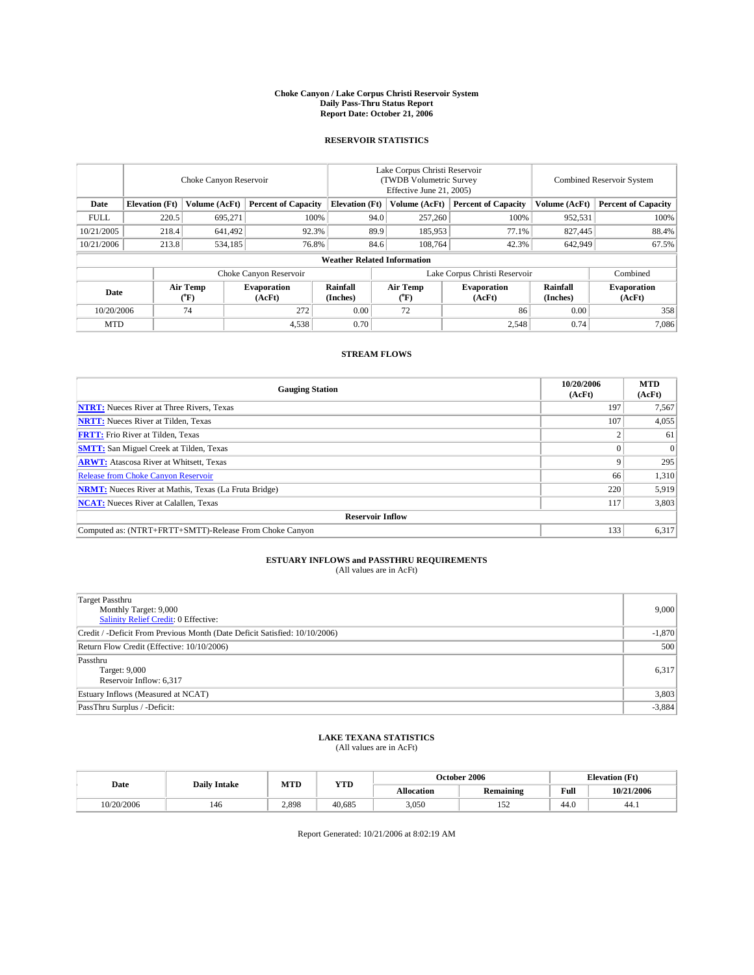#### **Choke Canyon / Lake Corpus Christi Reservoir System Daily Pass-Thru Status Report Report Date: October 21, 2006**

### **RESERVOIR STATISTICS**

|             | Choke Canyon Reservoir             |                  |                              |                       | Lake Corpus Christi Reservoir<br>(TWDB Volumetric Survey<br>Effective June 21, 2005) |                  |                              | <b>Combined Reservoir System</b> |                              |  |  |  |
|-------------|------------------------------------|------------------|------------------------------|-----------------------|--------------------------------------------------------------------------------------|------------------|------------------------------|----------------------------------|------------------------------|--|--|--|
| Date        | <b>Elevation</b> (Ft)              | Volume (AcFt)    | <b>Percent of Capacity</b>   | <b>Elevation</b> (Ft) |                                                                                      | Volume (AcFt)    | <b>Percent of Capacity</b>   | Volume (AcFt)                    | <b>Percent of Capacity</b>   |  |  |  |
| <b>FULL</b> | 220.5                              | 695,271          |                              | 100%                  | 94.0                                                                                 | 257,260          | 100%                         | 952,531                          | 100%                         |  |  |  |
| 10/21/2005  | 218.4                              | 641,492          | 92.3%                        |                       | 89.9                                                                                 | 185,953          | 77.1%                        | 827,445                          | 88.4%                        |  |  |  |
| 10/21/2006  | 213.8                              | 534,185          | 76.8%                        |                       | 84.6                                                                                 | 108.764          | 42.3%                        | 642,949                          | 67.5%                        |  |  |  |
|             | <b>Weather Related Information</b> |                  |                              |                       |                                                                                      |                  |                              |                                  |                              |  |  |  |
|             |                                    |                  | Choke Canyon Reservoir       |                       | Lake Corpus Christi Reservoir                                                        |                  |                              |                                  | Combined                     |  |  |  |
| Date        |                                    | Air Temp<br>(°F) | <b>Evaporation</b><br>(AcFt) | Rainfall<br>(Inches)  |                                                                                      | Air Temp<br>("F) | <b>Evaporation</b><br>(AcFt) | Rainfall<br>(Inches)             | <b>Evaporation</b><br>(AcFt) |  |  |  |
| 10/20/2006  |                                    | 74               | 272                          | 0.00                  |                                                                                      | 72               | 86                           | 0.00                             | 358                          |  |  |  |
| <b>MTD</b>  |                                    |                  | 4,538                        | 0.70                  |                                                                                      |                  | 2,548                        | 0.74                             | 7,086                        |  |  |  |

## **STREAM FLOWS**

| <b>Gauging Station</b>                                       | 10/20/2006<br>(AcFt) | <b>MTD</b><br>(AcFt) |
|--------------------------------------------------------------|----------------------|----------------------|
| <b>NTRT:</b> Nueces River at Three Rivers, Texas             | 197                  | 7,567                |
| <b>NRTT:</b> Nueces River at Tilden, Texas                   | 107                  | 4,055                |
| <b>FRTT:</b> Frio River at Tilden, Texas                     |                      | 61                   |
| <b>SMTT:</b> San Miguel Creek at Tilden, Texas               |                      | $\Omega$             |
| <b>ARWT:</b> Atascosa River at Whitsett, Texas               |                      | 295                  |
| <b>Release from Choke Canyon Reservoir</b>                   | 66                   | 1,310                |
| <b>NRMT:</b> Nueces River at Mathis, Texas (La Fruta Bridge) | 220                  | 5,919                |
| <b>NCAT:</b> Nueces River at Calallen, Texas                 | 117                  | 3,803                |
| <b>Reservoir Inflow</b>                                      |                      |                      |
| Computed as: (NTRT+FRTT+SMTT)-Release From Choke Canyon      | 133                  | 6,317                |

# **ESTUARY INFLOWS and PASSTHRU REQUIREMENTS**<br>(All values are in AcFt)

| Target Passthru<br>Monthly Target: 9,000<br>Salinity Relief Credit: 0 Effective: | 9,000    |
|----------------------------------------------------------------------------------|----------|
| Credit / -Deficit From Previous Month (Date Deficit Satisfied: 10/10/2006)       | $-1,870$ |
| Return Flow Credit (Effective: 10/10/2006)                                       | 500      |
| Passthru<br>Target: 9,000<br>Reservoir Inflow: 6,317                             | 6,317    |
| Estuary Inflows (Measured at NCAT)                                               | 3,803    |
| PassThru Surplus / -Deficit:                                                     | $-3,884$ |

## **LAKE TEXANA STATISTICS** (All values are in AcFt)

|  | Date       | <b>Daily Intake</b> | MTD   | <b>YTD</b> | October 2006 |                                   |      | <b>Elevation</b> (Ft) |
|--|------------|---------------------|-------|------------|--------------|-----------------------------------|------|-----------------------|
|  |            |                     |       |            | Allocation   | Remaining                         | Full | 10/21/2006            |
|  | 10/20/2006 | 146                 | 2,898 | 40.685     | 3,050        | $\overline{\phantom{a}}$<br>1 J 4 | 44.0 | 44.1                  |

Report Generated: 10/21/2006 at 8:02:19 AM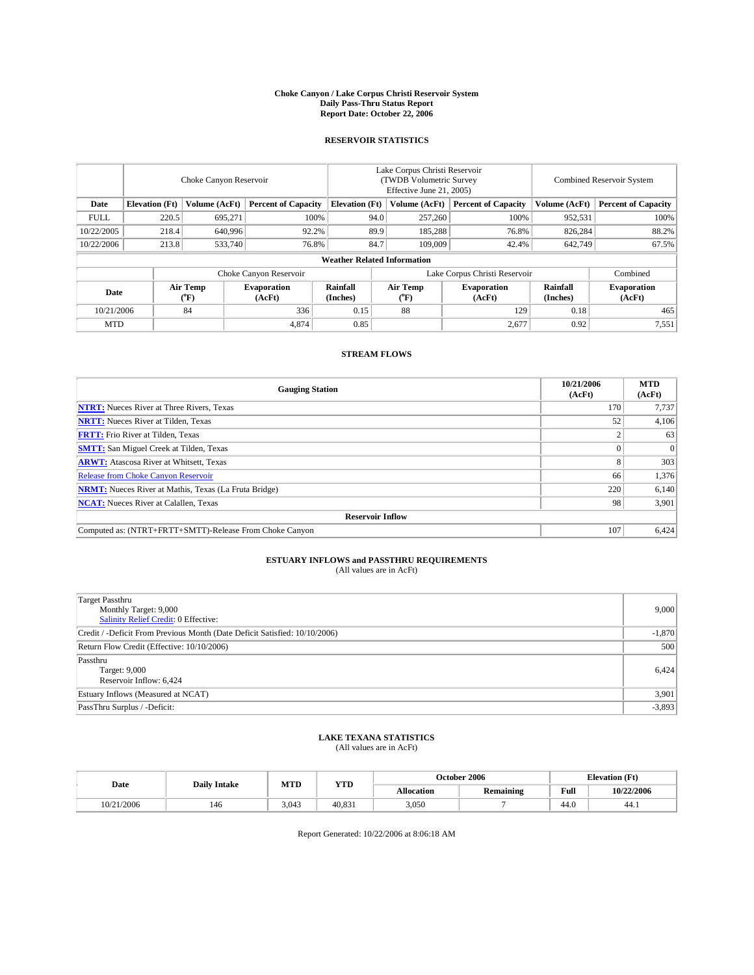#### **Choke Canyon / Lake Corpus Christi Reservoir System Daily Pass-Thru Status Report Report Date: October 22, 2006**

### **RESERVOIR STATISTICS**

|             | Choke Canyon Reservoir             |                                       |                              |                       | Lake Corpus Christi Reservoir<br>(TWDB Volumetric Survey<br>Effective June 21, 2005) |                              |                              |                      | Combined Reservoir System    |  |  |  |
|-------------|------------------------------------|---------------------------------------|------------------------------|-----------------------|--------------------------------------------------------------------------------------|------------------------------|------------------------------|----------------------|------------------------------|--|--|--|
| Date        | <b>Elevation</b> (Ft)              | Volume (AcFt)                         | <b>Percent of Capacity</b>   | <b>Elevation</b> (Ft) |                                                                                      | Volume (AcFt)                | <b>Percent of Capacity</b>   | Volume (AcFt)        | <b>Percent of Capacity</b>   |  |  |  |
| <b>FULL</b> | 220.5                              | 695,271                               |                              | 100%                  | 94.0                                                                                 | 257,260                      | 100%                         | 952,531              | 100%                         |  |  |  |
| 10/22/2005  | 218.4                              | 640.996                               | 92.2%                        |                       | 89.9                                                                                 | 185.288                      | 76.8%                        | 826.284              | 88.2%                        |  |  |  |
| 10/22/2006  | 213.8                              | 533,740                               | 76.8%                        |                       | 84.7                                                                                 | 109,009                      | 42.4%                        | 642,749              | 67.5%                        |  |  |  |
|             | <b>Weather Related Information</b> |                                       |                              |                       |                                                                                      |                              |                              |                      |                              |  |  |  |
|             |                                    |                                       | Choke Canyon Reservoir       |                       | Lake Corpus Christi Reservoir                                                        |                              |                              |                      | Combined                     |  |  |  |
| Date        |                                    | <b>Air Temp</b><br>$({}^o\mathrm{F})$ | <b>Evaporation</b><br>(AcFt) | Rainfall<br>(Inches)  |                                                                                      | Air Temp<br>$\rm ^{(^o}\!F)$ | <b>Evaporation</b><br>(AcFt) | Rainfall<br>(Inches) | <b>Evaporation</b><br>(AcFt) |  |  |  |
| 10/21/2006  |                                    | 84                                    | 336                          | 0.15                  |                                                                                      | 88                           | 129                          | 0.18                 | 465                          |  |  |  |
| <b>MTD</b>  |                                    |                                       | 4,874                        | 0.85                  |                                                                                      |                              | 2,677                        | 0.92                 | 7,551                        |  |  |  |

## **STREAM FLOWS**

| <b>Gauging Station</b>                                       | 10/21/2006<br>(AcFt) | <b>MTD</b><br>(AcFt) |
|--------------------------------------------------------------|----------------------|----------------------|
| <b>NTRT:</b> Nueces River at Three Rivers, Texas             | 170                  | 7,737                |
| <b>NRTT:</b> Nueces River at Tilden, Texas                   | 52                   | 4,106                |
| <b>FRTT:</b> Frio River at Tilden, Texas                     |                      | 63                   |
| <b>SMTT:</b> San Miguel Creek at Tilden, Texas               |                      | $\Omega$             |
| <b>ARWT:</b> Atascosa River at Whitsett, Texas               |                      | 303                  |
| Release from Choke Canyon Reservoir                          | 66                   | 1,376                |
| <b>NRMT:</b> Nueces River at Mathis, Texas (La Fruta Bridge) | 220                  | 6,140                |
| <b>NCAT:</b> Nueces River at Calallen, Texas                 | 98                   | 3,901                |
| <b>Reservoir Inflow</b>                                      |                      |                      |
| Computed as: (NTRT+FRTT+SMTT)-Release From Choke Canyon      | 107                  | 6,424                |

# **ESTUARY INFLOWS and PASSTHRU REQUIREMENTS**<br>(All values are in AcFt)

| <b>Target Passthru</b><br>Monthly Target: 9,000<br><b>Salinity Relief Credit: 0 Effective:</b> | 9,000    |
|------------------------------------------------------------------------------------------------|----------|
| Credit / -Deficit From Previous Month (Date Deficit Satisfied: 10/10/2006)                     | $-1,870$ |
| Return Flow Credit (Effective: 10/10/2006)                                                     | 500      |
| Passthru<br>Target: 9,000<br>Reservoir Inflow: 6,424                                           | 6,424    |
| Estuary Inflows (Measured at NCAT)                                                             | 3,901    |
| PassThru Surplus / -Deficit:                                                                   | $-3,893$ |

## **LAKE TEXANA STATISTICS** (All values are in AcFt)

|  | Date       | <b>Daily Intake</b> | MTD   | <b>YTD</b> | October 2006      |           |      | <b>Elevation</b> (Ft) |
|--|------------|---------------------|-------|------------|-------------------|-----------|------|-----------------------|
|  |            |                     |       |            | <b>Allocation</b> | Remaining | Full | 10/22/2006            |
|  | 10/21/2006 | 146                 | 3.043 | 40.831     | 3.050             |           | 44.0 | 44.1                  |

Report Generated: 10/22/2006 at 8:06:18 AM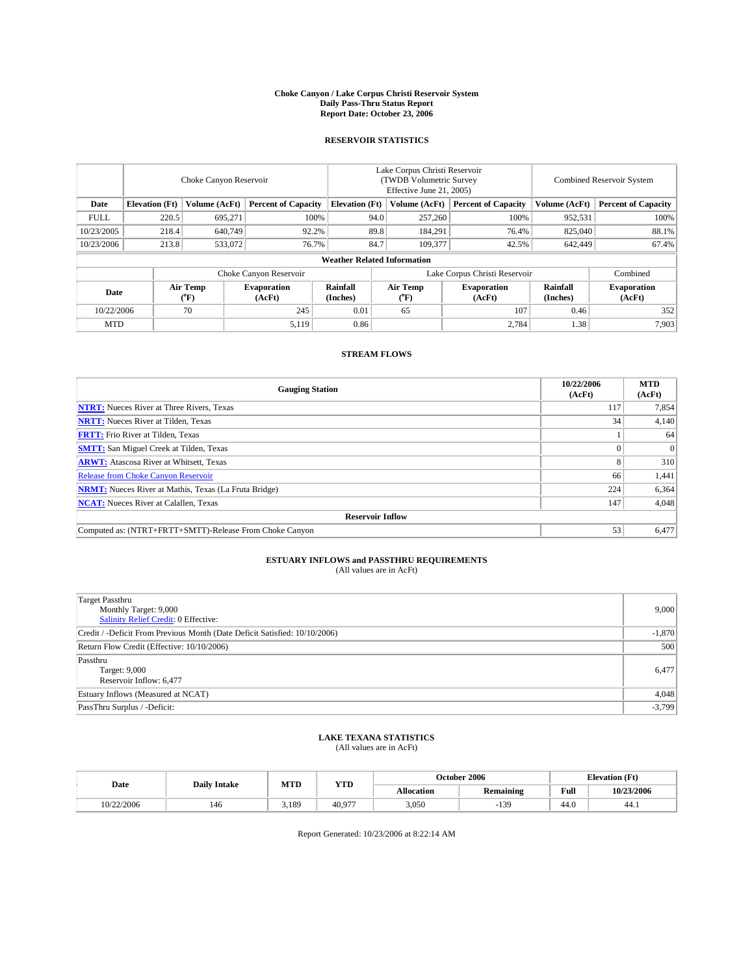#### **Choke Canyon / Lake Corpus Christi Reservoir System Daily Pass-Thru Status Report Report Date: October 23, 2006**

### **RESERVOIR STATISTICS**

|             | Choke Canyon Reservoir             |                                       |                              |                       | Lake Corpus Christi Reservoir<br>(TWDB Volumetric Survey<br>Effective June 21, 2005) |                                           |                               | <b>Combined Reservoir System</b> |                              |  |  |  |
|-------------|------------------------------------|---------------------------------------|------------------------------|-----------------------|--------------------------------------------------------------------------------------|-------------------------------------------|-------------------------------|----------------------------------|------------------------------|--|--|--|
| Date        | <b>Elevation</b> (Ft)              | Volume (AcFt)                         | <b>Percent of Capacity</b>   | <b>Elevation</b> (Ft) |                                                                                      | Volume (AcFt)                             | <b>Percent of Capacity</b>    | Volume (AcFt)                    | <b>Percent of Capacity</b>   |  |  |  |
| <b>FULL</b> | 220.5                              | 695,271                               | 100%                         |                       | 94.0                                                                                 | 257,260                                   | 100%                          | 952,531                          | 100%                         |  |  |  |
| 10/23/2005  | 218.4                              | 640,749                               | 92.2%                        |                       | 89.8                                                                                 | 184.291                                   | 76.4%                         | 825,040                          | 88.1%                        |  |  |  |
| 10/23/2006  | 213.8                              | 533,072                               | 76.7%                        |                       | 84.7                                                                                 | 109.377                                   | 42.5%                         | 642,449                          | 67.4%                        |  |  |  |
|             | <b>Weather Related Information</b> |                                       |                              |                       |                                                                                      |                                           |                               |                                  |                              |  |  |  |
|             |                                    |                                       | Choke Canyon Reservoir       |                       |                                                                                      |                                           | Lake Corpus Christi Reservoir |                                  | Combined                     |  |  |  |
| Date        |                                    | <b>Air Temp</b><br>$({}^o\mathrm{F})$ | <b>Evaporation</b><br>(AcFt) | Rainfall<br>(Inches)  |                                                                                      | Air Temp<br>$({}^{\mathrm{o}}\mathrm{F})$ | <b>Evaporation</b><br>(AcFt)  | Rainfall<br>(Inches)             | <b>Evaporation</b><br>(AcFt) |  |  |  |
| 10/22/2006  |                                    | 70                                    | 245                          | 0.01                  |                                                                                      | 65                                        | 107                           | 0.46                             | 352                          |  |  |  |
| <b>MTD</b>  |                                    |                                       | 5,119                        | 0.86                  |                                                                                      |                                           | 2,784                         | 1.38                             | 7,903                        |  |  |  |

## **STREAM FLOWS**

| <b>Gauging Station</b>                                       | 10/22/2006<br>(AcFt) | <b>MTD</b><br>(AcFt) |
|--------------------------------------------------------------|----------------------|----------------------|
| <b>NTRT:</b> Nueces River at Three Rivers, Texas             | 117                  | 7,854                |
| <b>NRTT:</b> Nueces River at Tilden, Texas                   | 34                   | 4,140                |
| <b>FRTT:</b> Frio River at Tilden, Texas                     |                      | 64                   |
| <b>SMTT:</b> San Miguel Creek at Tilden, Texas               |                      | $\Omega$             |
| <b>ARWT:</b> Atascosa River at Whitsett, Texas               |                      | 310                  |
| Release from Choke Canyon Reservoir                          | 66                   | 1,441                |
| <b>NRMT:</b> Nueces River at Mathis, Texas (La Fruta Bridge) | 224                  | 6,364                |
| <b>NCAT:</b> Nueces River at Calallen, Texas                 | 147                  | 4,048                |
| <b>Reservoir Inflow</b>                                      |                      |                      |
| Computed as: (NTRT+FRTT+SMTT)-Release From Choke Canyon      | 53                   | 6,477                |

# **ESTUARY INFLOWS and PASSTHRU REQUIREMENTS**<br>(All values are in AcFt)

| Target Passthru<br>Monthly Target: 9,000<br>Salinity Relief Credit: 0 Effective: | 9,000    |
|----------------------------------------------------------------------------------|----------|
| Credit / -Deficit From Previous Month (Date Deficit Satisfied: 10/10/2006)       | $-1,870$ |
| Return Flow Credit (Effective: 10/10/2006)                                       | 500      |
| Passthru<br>Target: 9,000<br>Reservoir Inflow: 6,477                             | 6,477    |
| Estuary Inflows (Measured at NCAT)                                               | 4,048    |
| PassThru Surplus / -Deficit:                                                     | $-3,799$ |

## **LAKE TEXANA STATISTICS** (All values are in AcFt)

| Date       | <b>Daily Intake</b> | MTD   | <b>YTD</b> | October 2006      |           |                                             | <b>Elevation</b> (Ft) |
|------------|---------------------|-------|------------|-------------------|-----------|---------------------------------------------|-----------------------|
|            |                     |       |            | <b>Allocation</b> | Remaining | Full<br>the contract of the contract of the | 10/23/2006            |
| 10/22/2006 | 146                 | 3.189 | 40.977     | 3,050             | $-139$    | 44.0                                        | 44.1                  |

Report Generated: 10/23/2006 at 8:22:14 AM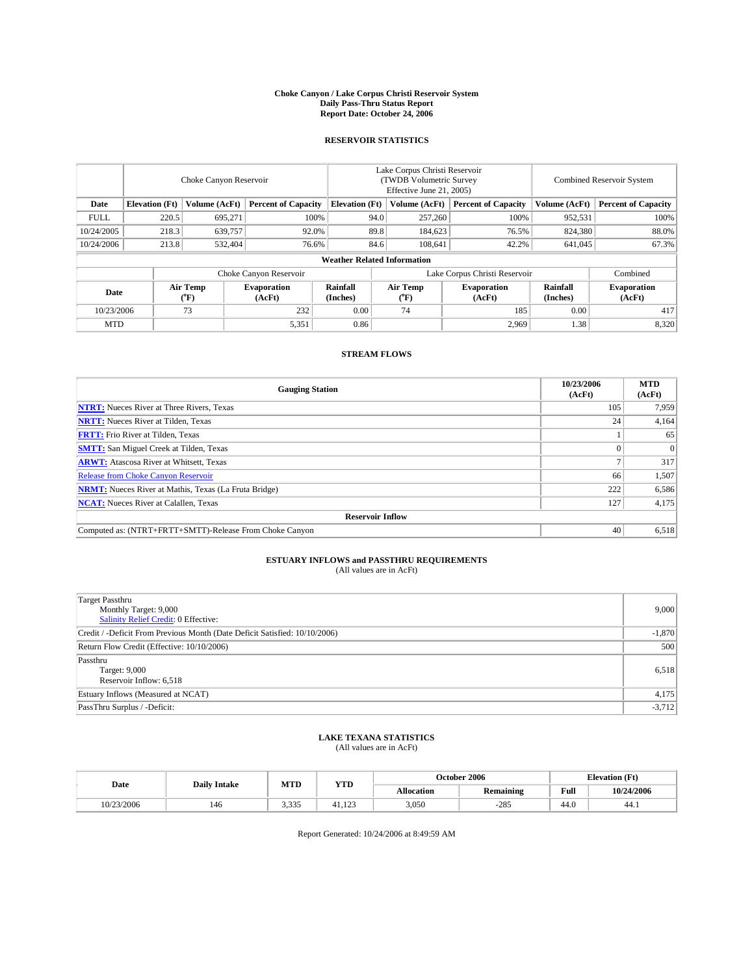#### **Choke Canyon / Lake Corpus Christi Reservoir System Daily Pass-Thru Status Report Report Date: October 24, 2006**

### **RESERVOIR STATISTICS**

|             | Choke Canyon Reservoir             |                  |                              |                       | Lake Corpus Christi Reservoir<br>(TWDB Volumetric Survey<br>Effective June 21, 2005) |                  |                               | Combined Reservoir System |                              |  |  |
|-------------|------------------------------------|------------------|------------------------------|-----------------------|--------------------------------------------------------------------------------------|------------------|-------------------------------|---------------------------|------------------------------|--|--|
| Date        | <b>Elevation</b> (Ft)              | Volume (AcFt)    | <b>Percent of Capacity</b>   | <b>Elevation</b> (Ft) |                                                                                      | Volume (AcFt)    | <b>Percent of Capacity</b>    | Volume (AcFt)             | <b>Percent of Capacity</b>   |  |  |
| <b>FULL</b> | 220.5                              | 695,271          | 100%                         |                       | 94.0                                                                                 | 257,260          | 100%                          | 952,531                   | $100\%$                      |  |  |
| 10/24/2005  | 218.3                              | 639,757          | 92.0%                        |                       | 89.8                                                                                 | 184,623          | 76.5%                         | 824,380                   | 88.0%                        |  |  |
| 10/24/2006  | 213.8                              | 532,404          | 76.6%                        |                       | 84.6                                                                                 | 108.641          | 42.2%                         | 641,045                   | 67.3%                        |  |  |
|             | <b>Weather Related Information</b> |                  |                              |                       |                                                                                      |                  |                               |                           |                              |  |  |
|             |                                    |                  | Choke Canyon Reservoir       |                       |                                                                                      |                  | Lake Corpus Christi Reservoir |                           | Combined                     |  |  |
| Date        |                                    | Air Temp<br>(°F) | <b>Evaporation</b><br>(AcFt) | Rainfall<br>(Inches)  |                                                                                      | Air Temp<br>(°F) | <b>Evaporation</b><br>(AcFt)  | Rainfall<br>(Inches)      | <b>Evaporation</b><br>(AcFt) |  |  |
| 10/23/2006  |                                    | 73               | 232                          | 0.00                  |                                                                                      | 74               | 185                           | 0.00                      | 417                          |  |  |
| <b>MTD</b>  |                                    |                  | 5,351                        | 0.86                  |                                                                                      |                  | 2,969                         | 1.38                      | 8,320                        |  |  |

## **STREAM FLOWS**

| <b>Gauging Station</b>                                       | 10/23/2006<br>(AcFt) | <b>MTD</b><br>(AcFt) |
|--------------------------------------------------------------|----------------------|----------------------|
| <b>NTRT:</b> Nueces River at Three Rivers, Texas             | 105                  | 7,959                |
| <b>NRTT:</b> Nueces River at Tilden, Texas                   | 24                   | 4,164                |
| <b>FRTT:</b> Frio River at Tilden, Texas                     |                      | 65                   |
| <b>SMTT:</b> San Miguel Creek at Tilden, Texas               |                      | $\Omega$             |
| <b>ARWT:</b> Atascosa River at Whitsett, Texas               |                      | 317                  |
| Release from Choke Canyon Reservoir                          | 66                   | 1,507                |
| <b>NRMT:</b> Nueces River at Mathis, Texas (La Fruta Bridge) | 222                  | 6,586                |
| <b>NCAT:</b> Nueces River at Calallen, Texas                 | 127                  | 4,175                |
| <b>Reservoir Inflow</b>                                      |                      |                      |
| Computed as: (NTRT+FRTT+SMTT)-Release From Choke Canyon      | 40                   | 6,518                |

# **ESTUARY INFLOWS and PASSTHRU REQUIREMENTS**<br>(All values are in AcFt)

| <b>Target Passthru</b><br>Monthly Target: 9,000<br><b>Salinity Relief Credit: 0 Effective:</b> | 9,000    |
|------------------------------------------------------------------------------------------------|----------|
| Credit / -Deficit From Previous Month (Date Deficit Satisfied: 10/10/2006)                     | $-1,870$ |
| Return Flow Credit (Effective: 10/10/2006)                                                     | 500      |
| Passthru<br>Target: 9,000<br>Reservoir Inflow: 6,518                                           | 6,518    |
| Estuary Inflows (Measured at NCAT)                                                             | 4,175    |
| PassThru Surplus / -Deficit:                                                                   | $-3,712$ |

## **LAKE TEXANA STATISTICS** (All values are in AcFt)

| Date       | <b>Daily Intake</b> | MTD   | <b>YTD</b> | October 2006      |           |      | <b>Elevation</b> (Ft) |
|------------|---------------------|-------|------------|-------------------|-----------|------|-----------------------|
|            |                     |       |            | <b>Allocation</b> | Remaining | Full | 10/24/2006            |
| 10/23/2006 | 146                 | 3.335 | 41.123     | 3,050             | $-285$    | 44.0 | 44.1                  |

Report Generated: 10/24/2006 at 8:49:59 AM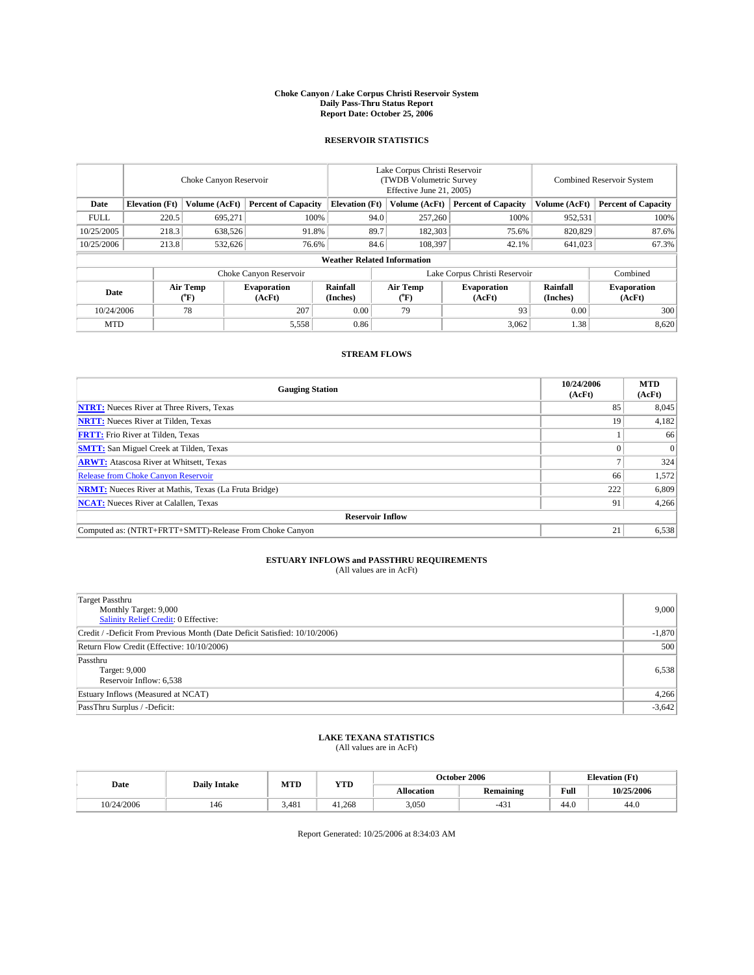#### **Choke Canyon / Lake Corpus Christi Reservoir System Daily Pass-Thru Status Report Report Date: October 25, 2006**

### **RESERVOIR STATISTICS**

|                                                                              | Choke Canyon Reservoir             |                       |                              |                      | Lake Corpus Christi Reservoir<br>(TWDB Volumetric Survey<br>Effective June 21, 2005) |                              |                               | Combined Reservoir System |                              |  |  |
|------------------------------------------------------------------------------|------------------------------------|-----------------------|------------------------------|----------------------|--------------------------------------------------------------------------------------|------------------------------|-------------------------------|---------------------------|------------------------------|--|--|
| <b>Elevation</b> (Ft)<br>Volume (AcFt)<br><b>Percent of Capacity</b><br>Date |                                    | <b>Elevation</b> (Ft) |                              | Volume (AcFt)        | <b>Percent of Capacity</b>                                                           | Volume (AcFt)                | <b>Percent of Capacity</b>    |                           |                              |  |  |
| <b>FULL</b>                                                                  | 220.5                              | 695,271               | 100%                         |                      | 94.0                                                                                 | 257,260                      | 100%                          | 952,531                   | $100\%$                      |  |  |
| 10/25/2005                                                                   | 218.3                              | 638,526               | 91.8%                        |                      | 89.7                                                                                 | 182,303                      | 75.6%                         | 820,829                   | 87.6%                        |  |  |
| 10/25/2006                                                                   | 213.8                              | 532,626               | 76.6%                        |                      | 84.6                                                                                 | 108,397                      | 42.1%                         | 641,023                   | 67.3%                        |  |  |
|                                                                              | <b>Weather Related Information</b> |                       |                              |                      |                                                                                      |                              |                               |                           |                              |  |  |
|                                                                              |                                    |                       | Choke Canyon Reservoir       |                      |                                                                                      |                              | Lake Corpus Christi Reservoir |                           | Combined                     |  |  |
| Date                                                                         |                                    | Air Temp<br>(°F)      | <b>Evaporation</b><br>(AcFt) | Rainfall<br>(Inches) |                                                                                      | Air Temp<br>$\rm ^{(^o}\!F)$ | <b>Evaporation</b><br>(AcFt)  | Rainfall<br>(Inches)      | <b>Evaporation</b><br>(AcFt) |  |  |
| 10/24/2006                                                                   |                                    | 78                    | 207                          | 0.00                 |                                                                                      | 79                           | 93                            | 0.00                      | 300                          |  |  |
| <b>MTD</b>                                                                   |                                    |                       | 5,558                        | 0.86                 |                                                                                      |                              | 3,062                         | 1.38                      | 8,620                        |  |  |

## **STREAM FLOWS**

| <b>Gauging Station</b>                                       | 10/24/2006<br>(AcFt) | <b>MTD</b><br>(AcFt) |
|--------------------------------------------------------------|----------------------|----------------------|
| <b>NTRT:</b> Nueces River at Three Rivers, Texas             | 85                   | 8,045                |
| <b>NRTT:</b> Nueces River at Tilden, Texas                   | 19                   | 4,182                |
| <b>FRTT:</b> Frio River at Tilden, Texas                     |                      | 66                   |
| <b>SMTT:</b> San Miguel Creek at Tilden, Texas               |                      | $\Omega$             |
| <b>ARWT:</b> Atascosa River at Whitsett, Texas               |                      | 324                  |
| <b>Release from Choke Canyon Reservoir</b>                   | 66                   | 1,572                |
| <b>NRMT:</b> Nueces River at Mathis, Texas (La Fruta Bridge) | 222                  | 6,809                |
| <b>NCAT:</b> Nueces River at Calallen, Texas                 | 91                   | 4,266                |
| <b>Reservoir Inflow</b>                                      |                      |                      |
| Computed as: (NTRT+FRTT+SMTT)-Release From Choke Canyon      | 21                   | 6,538                |

# **ESTUARY INFLOWS and PASSTHRU REQUIREMENTS**<br>(All values are in AcFt)

| <b>Target Passthru</b><br>Monthly Target: 9,000<br><b>Salinity Relief Credit: 0 Effective:</b> | 9,000    |
|------------------------------------------------------------------------------------------------|----------|
| Credit / -Deficit From Previous Month (Date Deficit Satisfied: 10/10/2006)                     | $-1,870$ |
| Return Flow Credit (Effective: 10/10/2006)                                                     | 500      |
| Passthru<br>Target: 9,000<br>Reservoir Inflow: 6,538                                           | 6,538    |
| Estuary Inflows (Measured at NCAT)                                                             | 4,266    |
| PassThru Surplus / -Deficit:                                                                   | $-3,642$ |

## **LAKE TEXANA STATISTICS** (All values are in AcFt)

| Date       | <b>Daily Intake</b> | MTD   | <b>YTD</b> | October 2006      |           |      | <b>Elevation</b> (Ft) |
|------------|---------------------|-------|------------|-------------------|-----------|------|-----------------------|
|            |                     |       |            | <b>Allocation</b> | Remaining | Full | 10/25/2006            |
| 10/24/2006 | 146                 | 3.481 | 41.268     | 3,050             | $-431$    | 44.0 | 44.V                  |

Report Generated: 10/25/2006 at 8:34:03 AM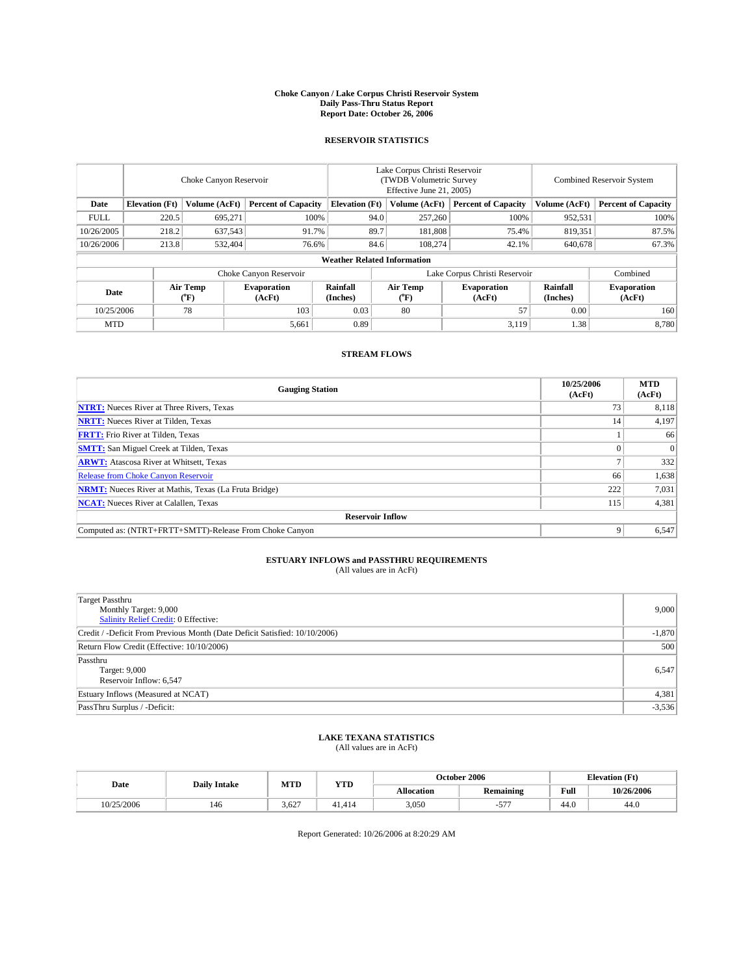#### **Choke Canyon / Lake Corpus Christi Reservoir System Daily Pass-Thru Status Report Report Date: October 26, 2006**

### **RESERVOIR STATISTICS**

|             | Choke Canyon Reservoir                                               |                                |                              |                      | Lake Corpus Christi Reservoir<br>(TWDB Volumetric Survey<br>Effective June 21, 2005) |                            |                               |                            | Combined Reservoir System    |  |  |  |
|-------------|----------------------------------------------------------------------|--------------------------------|------------------------------|----------------------|--------------------------------------------------------------------------------------|----------------------------|-------------------------------|----------------------------|------------------------------|--|--|--|
| Date        | <b>Elevation</b> (Ft)<br>Volume (AcFt)<br><b>Percent of Capacity</b> |                                | <b>Elevation</b> (Ft)        |                      | Volume (AcFt)                                                                        | <b>Percent of Capacity</b> | Volume (AcFt)                 | <b>Percent of Capacity</b> |                              |  |  |  |
| <b>FULL</b> | 220.5                                                                | 695,271                        | 100%                         |                      | 94.0                                                                                 | 257,260                    | 100%                          | 952,531                    | 100%                         |  |  |  |
| 10/26/2005  | 218.2                                                                | 637,543                        | 91.7%                        |                      | 89.7                                                                                 | 181,808                    | 75.4%                         | 819,351                    | 87.5%                        |  |  |  |
| 10/26/2006  | 213.8                                                                | 532,404                        | 76.6%                        |                      | 84.6                                                                                 | 108,274                    | 42.1%                         | 640.678                    | 67.3%                        |  |  |  |
|             | <b>Weather Related Information</b>                                   |                                |                              |                      |                                                                                      |                            |                               |                            |                              |  |  |  |
|             |                                                                      |                                | Choke Canyon Reservoir       |                      |                                                                                      |                            | Lake Corpus Christi Reservoir |                            | Combined                     |  |  |  |
| Date        |                                                                      | Air Temp<br>$({}^o\mathrm{F})$ | <b>Evaporation</b><br>(AcFt) | Rainfall<br>(Inches) |                                                                                      | Air Temp<br>("F)           | <b>Evaporation</b><br>(AcFt)  | Rainfall<br>(Inches)       | <b>Evaporation</b><br>(AcFt) |  |  |  |
| 10/25/2006  |                                                                      | 78                             | 103                          | 0.03                 |                                                                                      | 80                         | 57                            | 0.00                       | 160                          |  |  |  |
| <b>MTD</b>  |                                                                      |                                | 5,661                        | 0.89                 |                                                                                      |                            | 3,119                         | 1.38                       | 8,780                        |  |  |  |

## **STREAM FLOWS**

| <b>Gauging Station</b>                                       | 10/25/2006<br>(AcFt) | <b>MTD</b><br>(AcFt) |
|--------------------------------------------------------------|----------------------|----------------------|
| <b>NTRT:</b> Nueces River at Three Rivers, Texas             | 73                   | 8,118                |
| <b>NRTT:</b> Nueces River at Tilden, Texas                   | 14                   | 4,197                |
| <b>FRTT:</b> Frio River at Tilden, Texas                     |                      | 66                   |
| <b>SMTT:</b> San Miguel Creek at Tilden, Texas               |                      | $\Omega$             |
| <b>ARWT:</b> Atascosa River at Whitsett, Texas               |                      | 332                  |
| <b>Release from Choke Canyon Reservoir</b>                   | 66                   | 1,638                |
| <b>NRMT:</b> Nueces River at Mathis, Texas (La Fruta Bridge) | 222                  | 7,031                |
| <b>NCAT:</b> Nueces River at Calallen, Texas                 | 115                  | 4,381                |
| <b>Reservoir Inflow</b>                                      |                      |                      |
| Computed as: (NTRT+FRTT+SMTT)-Release From Choke Canyon      | 9                    | 6,547                |

# **ESTUARY INFLOWS and PASSTHRU REQUIREMENTS**<br>(All values are in AcFt)

| Target Passthru<br>Monthly Target: 9,000<br>Salinity Relief Credit: 0 Effective: | 9,000    |
|----------------------------------------------------------------------------------|----------|
| Credit / -Deficit From Previous Month (Date Deficit Satisfied: 10/10/2006)       | $-1,870$ |
| Return Flow Credit (Effective: 10/10/2006)                                       | 500      |
| Passthru<br>Target: 9,000<br>Reservoir Inflow: 6,547                             | 6,547    |
| Estuary Inflows (Measured at NCAT)                                               | 4,381    |
| PassThru Surplus / -Deficit:                                                     | $-3,536$ |

## **LAKE TEXANA STATISTICS** (All values are in AcFt)

| Date       | <b>Daily Intake</b> | MTD   | <b>YTD</b> | October 2006      |           |      | <b>Elevation</b> (Ft) |
|------------|---------------------|-------|------------|-------------------|-----------|------|-----------------------|
|            |                     |       |            | <b>Allocation</b> | Remaining | Full | 10/26/2006            |
| 10/25/2006 | 146                 | 3.627 | 41.414     | 3,050             | ---       | 44.0 | 44.U                  |

Report Generated: 10/26/2006 at 8:20:29 AM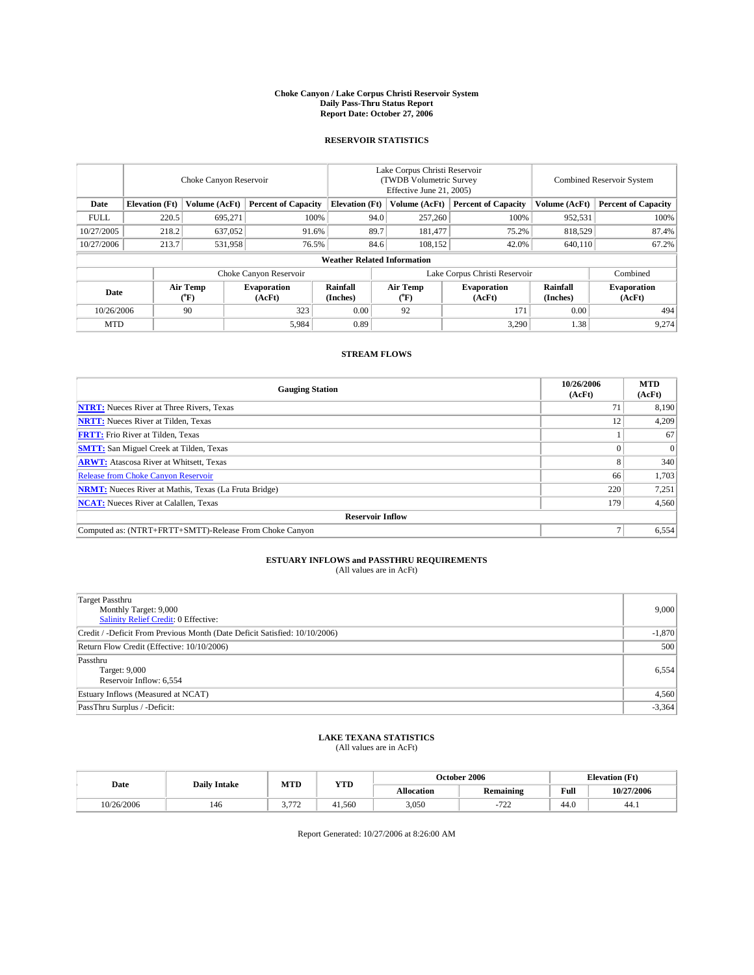#### **Choke Canyon / Lake Corpus Christi Reservoir System Daily Pass-Thru Status Report Report Date: October 27, 2006**

### **RESERVOIR STATISTICS**

|                                                                              | Choke Canyon Reservoir             |                       |                              |                      | Lake Corpus Christi Reservoir<br>(TWDB Volumetric Survey<br>Effective June 21, 2005) |                              |                               | Combined Reservoir System |                              |  |  |
|------------------------------------------------------------------------------|------------------------------------|-----------------------|------------------------------|----------------------|--------------------------------------------------------------------------------------|------------------------------|-------------------------------|---------------------------|------------------------------|--|--|
| <b>Elevation</b> (Ft)<br>Volume (AcFt)<br><b>Percent of Capacity</b><br>Date |                                    | <b>Elevation</b> (Ft) |                              | Volume (AcFt)        | <b>Percent of Capacity</b>                                                           | Volume (AcFt)                | <b>Percent of Capacity</b>    |                           |                              |  |  |
| <b>FULL</b>                                                                  | 220.5                              | 695,271               | 100%                         |                      | 94.0                                                                                 | 257,260                      | 100%                          | 952,531                   | $100\%$                      |  |  |
| 10/27/2005                                                                   | 218.2                              | 637,052               | 91.6%                        |                      | 89.7                                                                                 | 181.477                      | 75.2%                         | 818,529                   | 87.4%                        |  |  |
| 10/27/2006                                                                   | 213.7                              | 531,958               | 76.5%                        |                      | 84.6                                                                                 | 108.152                      | 42.0%                         | 640,110                   | 67.2%                        |  |  |
|                                                                              | <b>Weather Related Information</b> |                       |                              |                      |                                                                                      |                              |                               |                           |                              |  |  |
|                                                                              |                                    |                       | Choke Canyon Reservoir       |                      |                                                                                      |                              | Lake Corpus Christi Reservoir |                           | Combined                     |  |  |
| Date                                                                         |                                    | Air Temp<br>(°F)      | <b>Evaporation</b><br>(AcFt) | Rainfall<br>(Inches) |                                                                                      | Air Temp<br>$\rm ^{(^o}\!F)$ | <b>Evaporation</b><br>(AcFt)  | Rainfall<br>(Inches)      | <b>Evaporation</b><br>(AcFt) |  |  |
| 10/26/2006                                                                   |                                    | 90                    | 323                          | 0.00                 |                                                                                      | 92                           | 171                           | 0.00                      | 494                          |  |  |
| <b>MTD</b>                                                                   |                                    |                       | 5,984                        | 0.89                 |                                                                                      |                              | 3,290                         | 1.38                      | 9,274                        |  |  |

## **STREAM FLOWS**

| <b>Gauging Station</b>                                       | 10/26/2006<br>(AcFt) | <b>MTD</b><br>(AcFt) |
|--------------------------------------------------------------|----------------------|----------------------|
| <b>NTRT:</b> Nueces River at Three Rivers, Texas             |                      | 8,190                |
| <b>NRTT:</b> Nueces River at Tilden, Texas                   | 12                   | 4,209                |
| <b>FRTT:</b> Frio River at Tilden, Texas                     |                      | 67                   |
| <b>SMTT:</b> San Miguel Creek at Tilden, Texas               |                      | $\Omega$             |
| <b>ARWT:</b> Atascosa River at Whitsett, Texas               | $\mathbf 8$          | 340                  |
| <b>Release from Choke Canyon Reservoir</b>                   | 66                   | 1,703                |
| <b>NRMT:</b> Nueces River at Mathis, Texas (La Fruta Bridge) | 220                  | 7,251                |
| <b>NCAT:</b> Nueces River at Calallen, Texas                 | 179                  | 4,560                |
| <b>Reservoir Inflow</b>                                      |                      |                      |
| Computed as: (NTRT+FRTT+SMTT)-Release From Choke Canyon      |                      | 6,554                |

# **ESTUARY INFLOWS and PASSTHRU REQUIREMENTS**<br>(All values are in AcFt)

| Target Passthru<br>Monthly Target: 9,000<br>Salinity Relief Credit: 0 Effective: | 9,000    |
|----------------------------------------------------------------------------------|----------|
| Credit / -Deficit From Previous Month (Date Deficit Satisfied: 10/10/2006)       | $-1,870$ |
| Return Flow Credit (Effective: 10/10/2006)                                       | 500      |
| Passthru<br>Target: 9,000<br>Reservoir Inflow: 6,554                             | 6,554    |
| Estuary Inflows (Measured at NCAT)                                               | 4,560    |
| PassThru Surplus / -Deficit:                                                     | $-3,364$ |

## **LAKE TEXANA STATISTICS** (All values are in AcFt)

|  | Date       | <b>Daily Intake</b> | MTD                 | <b>YTD</b> | October 2006      |                        |      | <b>Elevation</b> (Ft) |
|--|------------|---------------------|---------------------|------------|-------------------|------------------------|------|-----------------------|
|  |            |                     |                     |            | <b>Allocation</b> | Remaining              | Full | 10/27/2006            |
|  | 10/26/2006 | 146                 | 1.772<br><u>. .</u> | 41,560     | 3,050             | 70 <sup>o</sup><br>ے ر | 44.0 | 44.1                  |

Report Generated: 10/27/2006 at 8:26:00 AM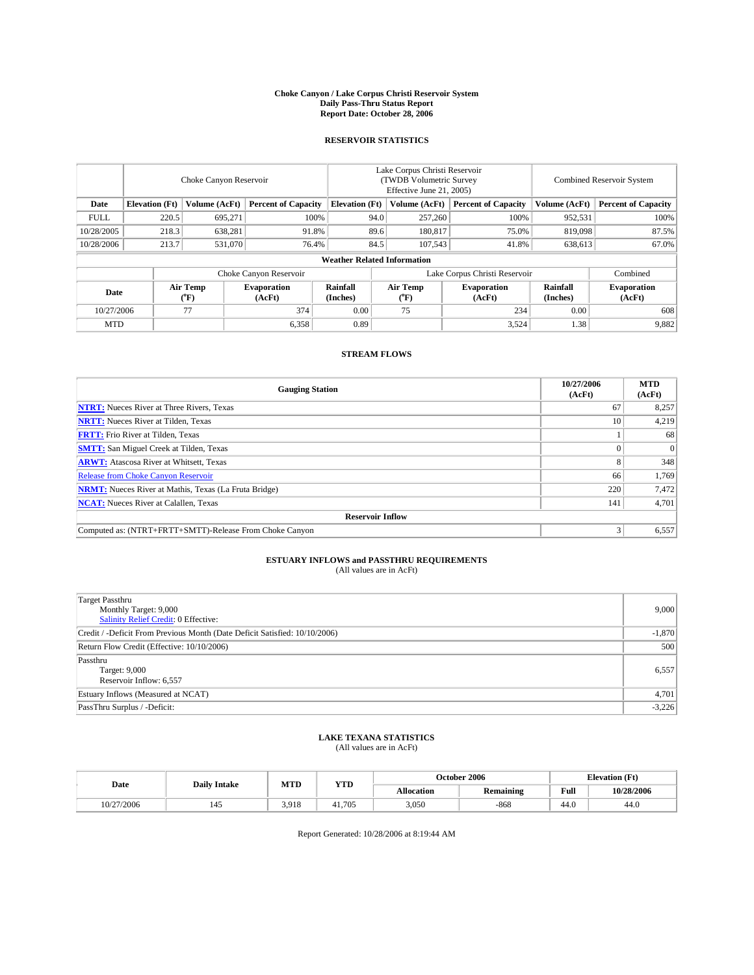#### **Choke Canyon / Lake Corpus Christi Reservoir System Daily Pass-Thru Status Report Report Date: October 28, 2006**

### **RESERVOIR STATISTICS**

|             | Choke Canyon Reservoir             |                  |                              |                       | Lake Corpus Christi Reservoir<br>(TWDB Volumetric Survey<br>Effective June 21, 2005) |                              |                               |                      | Combined Reservoir System    |  |  |  |  |
|-------------|------------------------------------|------------------|------------------------------|-----------------------|--------------------------------------------------------------------------------------|------------------------------|-------------------------------|----------------------|------------------------------|--|--|--|--|
| Date        | <b>Elevation</b> (Ft)              | Volume (AcFt)    | <b>Percent of Capacity</b>   | <b>Elevation</b> (Ft) |                                                                                      | Volume (AcFt)                | <b>Percent of Capacity</b>    | Volume (AcFt)        | <b>Percent of Capacity</b>   |  |  |  |  |
| <b>FULL</b> | 220.5                              | 695,271          | 100%                         |                       | 94.0                                                                                 | 257,260                      | 100%                          | 952,531              | $100\%$                      |  |  |  |  |
| 10/28/2005  | 218.3                              | 638,281          | 91.8%                        |                       | 89.6                                                                                 | 180,817                      | 75.0%                         | 819,098              | 87.5%                        |  |  |  |  |
| 10/28/2006  | 213.7                              | 531,070          | 76.4%                        |                       | 84.5                                                                                 | 107,543                      | 41.8%                         | 638,613              | 67.0%                        |  |  |  |  |
|             | <b>Weather Related Information</b> |                  |                              |                       |                                                                                      |                              |                               |                      |                              |  |  |  |  |
|             |                                    |                  | Choke Canyon Reservoir       |                       |                                                                                      |                              | Lake Corpus Christi Reservoir |                      | Combined                     |  |  |  |  |
| Date        |                                    | Air Temp<br>(°F) | <b>Evaporation</b><br>(AcFt) | Rainfall<br>(Inches)  |                                                                                      | Air Temp<br>$\rm ^{(^o}\!F)$ | <b>Evaporation</b><br>(AcFt)  | Rainfall<br>(Inches) | <b>Evaporation</b><br>(AcFt) |  |  |  |  |
| 10/27/2006  |                                    | 77               | 374                          | 0.00                  |                                                                                      | 75                           | 234                           | 0.00                 | 608                          |  |  |  |  |
| <b>MTD</b>  |                                    |                  | 6,358                        | 0.89                  |                                                                                      |                              | 3,524                         | 1.38                 | 9,882                        |  |  |  |  |

## **STREAM FLOWS**

| <b>Gauging Station</b>                                       | 10/27/2006<br>(AcFt) | <b>MTD</b><br>(AcFt) |
|--------------------------------------------------------------|----------------------|----------------------|
| <b>NTRT:</b> Nueces River at Three Rivers, Texas             | 67                   | 8,257                |
| <b>NRTT:</b> Nueces River at Tilden, Texas                   | 10                   | 4,219                |
| <b>FRTT:</b> Frio River at Tilden, Texas                     |                      | 68                   |
| <b>SMTT:</b> San Miguel Creek at Tilden, Texas               |                      | $\Omega$             |
| <b>ARWT:</b> Atascosa River at Whitsett, Texas               |                      | 348                  |
| <b>Release from Choke Canyon Reservoir</b>                   | 66                   | 1,769                |
| <b>NRMT:</b> Nueces River at Mathis, Texas (La Fruta Bridge) | 220                  | 7,472                |
| <b>NCAT:</b> Nueces River at Calallen, Texas                 | 141                  | 4,701                |
| <b>Reservoir Inflow</b>                                      |                      |                      |
| Computed as: (NTRT+FRTT+SMTT)-Release From Choke Canyon      | $\mathbf{3}$         | 6,557                |

# **ESTUARY INFLOWS and PASSTHRU REQUIREMENTS**<br>(All values are in AcFt)

| Target Passthru<br>Monthly Target: 9,000<br>Salinity Relief Credit: 0 Effective: | 9,000    |
|----------------------------------------------------------------------------------|----------|
| Credit / -Deficit From Previous Month (Date Deficit Satisfied: 10/10/2006)       | $-1,870$ |
| Return Flow Credit (Effective: 10/10/2006)                                       | 500      |
| Passthru<br>Target: 9,000<br>Reservoir Inflow: 6,557                             | 6,557    |
| Estuary Inflows (Measured at NCAT)                                               | 4,701    |
| PassThru Surplus / -Deficit:                                                     | $-3,226$ |

## **LAKE TEXANA STATISTICS** (All values are in AcFt)

|  | Date       | <b>Daily Intake</b> | MTD   | <b>YTD</b> |                   | October 2006 |      | <b>Elevation</b> (Ft) |
|--|------------|---------------------|-------|------------|-------------------|--------------|------|-----------------------|
|  |            |                     |       |            | <b>Allocation</b> | Remaining    | Full | 10/28/2006            |
|  | 10/27/2006 | 145                 | 3.918 | 41.705     | 3.050             | $-868$       | 44.0 | 44.U                  |

Report Generated: 10/28/2006 at 8:19:44 AM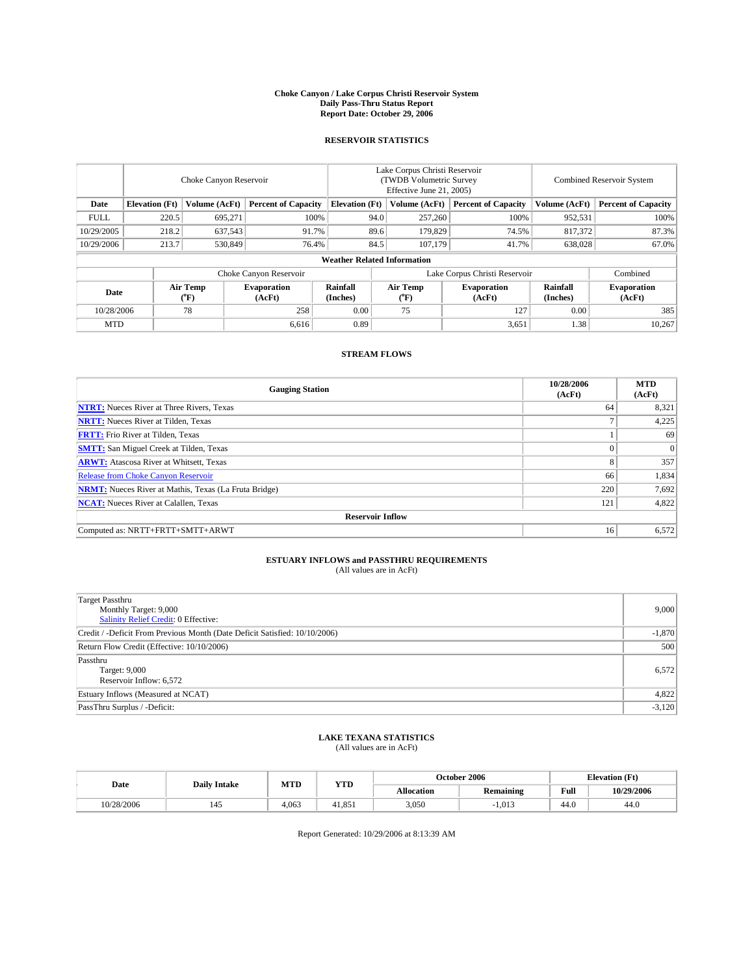#### **Choke Canyon / Lake Corpus Christi Reservoir System Daily Pass-Thru Status Report Report Date: October 29, 2006**

### **RESERVOIR STATISTICS**

|             | Choke Canyon Reservoir             |                  |                              |                       | Lake Corpus Christi Reservoir<br>(TWDB Volumetric Survey<br>Effective June 21, 2005) |                  |                               |                      | Combined Reservoir System    |  |  |  |  |
|-------------|------------------------------------|------------------|------------------------------|-----------------------|--------------------------------------------------------------------------------------|------------------|-------------------------------|----------------------|------------------------------|--|--|--|--|
| Date        | <b>Elevation</b> (Ft)              | Volume (AcFt)    | <b>Percent of Capacity</b>   | <b>Elevation</b> (Ft) |                                                                                      | Volume (AcFt)    | <b>Percent of Capacity</b>    | Volume (AcFt)        | <b>Percent of Capacity</b>   |  |  |  |  |
| <b>FULL</b> | 220.5                              | 695,271          | 100%                         |                       | 94.0                                                                                 | 257,260          | 100%                          | 952,531              | $100\%$                      |  |  |  |  |
| 10/29/2005  | 218.2                              | 637,543          | 91.7%                        |                       | 89.6                                                                                 | 179,829          | 74.5%                         | 817.372              | 87.3%                        |  |  |  |  |
| 10/29/2006  | 213.7                              | 530,849          | 76.4%                        |                       | 84.5                                                                                 | 107,179          | 41.7%                         | 638,028              | 67.0%                        |  |  |  |  |
|             | <b>Weather Related Information</b> |                  |                              |                       |                                                                                      |                  |                               |                      |                              |  |  |  |  |
|             |                                    |                  | Choke Canyon Reservoir       |                       |                                                                                      |                  | Lake Corpus Christi Reservoir |                      | Combined                     |  |  |  |  |
| Date        |                                    | Air Temp<br>(°F) | <b>Evaporation</b><br>(AcFt) | Rainfall<br>(Inches)  |                                                                                      | Air Temp<br>(°F) | <b>Evaporation</b><br>(AcFt)  | Rainfall<br>(Inches) | <b>Evaporation</b><br>(AcFt) |  |  |  |  |
| 10/28/2006  |                                    | 78               | 258                          | 0.00                  |                                                                                      | 75               | 127                           | 0.00                 | 385                          |  |  |  |  |
| <b>MTD</b>  |                                    |                  | 6,616                        | 0.89                  |                                                                                      |                  | 3,651                         | 1.38                 | 10,267                       |  |  |  |  |

## **STREAM FLOWS**

| <b>Gauging Station</b>                                       | 10/28/2006<br>(AcFt) | <b>MTD</b><br>(AcFt) |
|--------------------------------------------------------------|----------------------|----------------------|
| <b>NTRT:</b> Nueces River at Three Rivers, Texas             | 64                   | 8,321                |
| <b>NRTT:</b> Nueces River at Tilden, Texas                   | ⇁                    | 4,225                |
| <b>FRTT:</b> Frio River at Tilden, Texas                     |                      | 69                   |
| <b>SMTT:</b> San Miguel Creek at Tilden, Texas               | $\theta$             | $\Omega$             |
| <b>ARWT:</b> Atascosa River at Whitsett, Texas               | 8                    | 357                  |
| <b>Release from Choke Canyon Reservoir</b>                   | 66                   | 1,834                |
| <b>NRMT:</b> Nueces River at Mathis, Texas (La Fruta Bridge) | 220                  | 7,692                |
| <b>NCAT:</b> Nueces River at Calallen, Texas                 | 121                  | 4,822                |
| <b>Reservoir Inflow</b>                                      |                      |                      |
| Computed as: NRTT+FRTT+SMTT+ARWT                             | 16                   | 6,572                |

# **ESTUARY INFLOWS and PASSTHRU REQUIREMENTS**<br>(All values are in AcFt)

| Target Passthru<br>Monthly Target: 9,000<br>Salinity Relief Credit: 0 Effective: | 9,000    |
|----------------------------------------------------------------------------------|----------|
| Credit / -Deficit From Previous Month (Date Deficit Satisfied: 10/10/2006)       | $-1,870$ |
| Return Flow Credit (Effective: 10/10/2006)                                       | 500      |
| Passthru<br>Target: 9,000<br>Reservoir Inflow: 6,572                             | 6,572    |
| Estuary Inflows (Measured at NCAT)                                               | 4,822    |
| PassThru Surplus / -Deficit:                                                     | $-3,120$ |

## **LAKE TEXANA STATISTICS** (All values are in AcFt)

|  | Date       | <b>Daily Intake</b> | MTD   | <b>YTD</b> |                   | October 2006 |      | <b>Elevation</b> (Ft) |
|--|------------|---------------------|-------|------------|-------------------|--------------|------|-----------------------|
|  |            |                     |       |            | <b>Allocation</b> | Remaining    | Full | 10/29/2006            |
|  | 10/28/2006 | 145                 | 4.063 | 41,851     | 3,050             | 1.013        | 44.0 | 44.U                  |

Report Generated: 10/29/2006 at 8:13:39 AM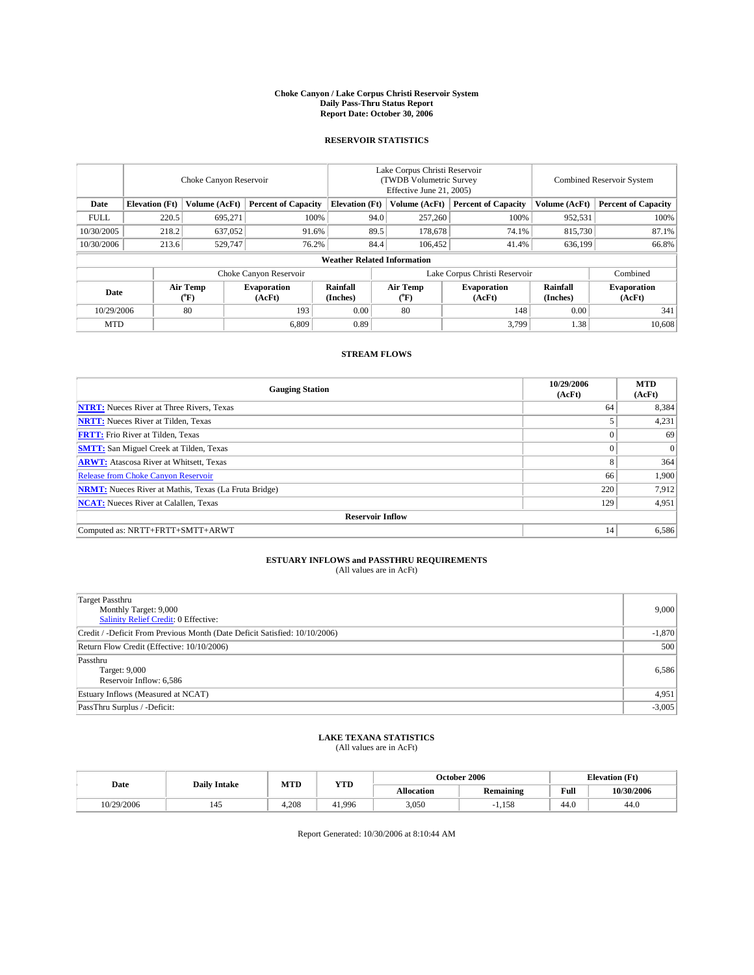#### **Choke Canyon / Lake Corpus Christi Reservoir System Daily Pass-Thru Status Report Report Date: October 30, 2006**

### **RESERVOIR STATISTICS**

|             | Choke Canyon Reservoir             |                         |                              |                       | Lake Corpus Christi Reservoir<br>(TWDB Volumetric Survey<br>Effective June 21, 2005) |                              |                               |                      | Combined Reservoir System    |  |  |  |  |
|-------------|------------------------------------|-------------------------|------------------------------|-----------------------|--------------------------------------------------------------------------------------|------------------------------|-------------------------------|----------------------|------------------------------|--|--|--|--|
| Date        | <b>Elevation</b> (Ft)              | Volume (AcFt)           | <b>Percent of Capacity</b>   | <b>Elevation</b> (Ft) |                                                                                      | Volume (AcFt)                | <b>Percent of Capacity</b>    | Volume (AcFt)        | <b>Percent of Capacity</b>   |  |  |  |  |
| <b>FULL</b> | 220.5                              | 695,271                 | 100%                         |                       | 94.0                                                                                 | 257,260                      | 100%                          | 952,531              | 100%                         |  |  |  |  |
| 10/30/2005  | 218.2                              | 637,052                 | 91.6%                        |                       | 89.5                                                                                 | 178,678                      | 74.1%                         | 815,730              | 87.1%                        |  |  |  |  |
| 10/30/2006  | 213.6                              | 529,747                 | 76.2%                        |                       | 84.4                                                                                 | 106.452                      | 41.4%                         | 636,199              | 66.8%                        |  |  |  |  |
|             | <b>Weather Related Information</b> |                         |                              |                       |                                                                                      |                              |                               |                      |                              |  |  |  |  |
|             |                                    |                         | Choke Canyon Reservoir       |                       |                                                                                      |                              | Lake Corpus Christi Reservoir |                      | Combined                     |  |  |  |  |
| Date        |                                    | <b>Air Temp</b><br>(°F) | <b>Evaporation</b><br>(AcFt) | Rainfall<br>(Inches)  |                                                                                      | Air Temp<br>$\rm ^{(^o}\!F)$ | <b>Evaporation</b><br>(AcFt)  | Rainfall<br>(Inches) | <b>Evaporation</b><br>(AcFt) |  |  |  |  |
| 10/29/2006  |                                    | 80                      | 193                          | 0.00                  |                                                                                      | 80                           | 148                           | 0.00                 | 341                          |  |  |  |  |
| <b>MTD</b>  |                                    |                         | 6,809                        | 0.89                  |                                                                                      |                              | 3,799                         | 1.38                 | 10,608                       |  |  |  |  |

## **STREAM FLOWS**

| <b>Gauging Station</b>                                       | 10/29/2006<br>(AcFt) | <b>MTD</b><br>(AcFt) |
|--------------------------------------------------------------|----------------------|----------------------|
| <b>NTRT:</b> Nueces River at Three Rivers, Texas             | 64                   | 8,384                |
| <b>NRTT:</b> Nueces River at Tilden, Texas                   |                      | 4,231                |
| <b>FRTT:</b> Frio River at Tilden, Texas                     | $\theta$             | 69                   |
| <b>SMTT:</b> San Miguel Creek at Tilden, Texas               | $\theta$             | $\Omega$             |
| <b>ARWT:</b> Atascosa River at Whitsett, Texas               | 8                    | 364                  |
| <b>Release from Choke Canyon Reservoir</b>                   | 66                   | 1,900                |
| <b>NRMT:</b> Nueces River at Mathis, Texas (La Fruta Bridge) | 220                  | 7,912                |
| <b>NCAT:</b> Nueces River at Calallen, Texas                 | 129                  | 4,951                |
| <b>Reservoir Inflow</b>                                      |                      |                      |
| Computed as: NRTT+FRTT+SMTT+ARWT                             | 14                   | 6,586                |

# **ESTUARY INFLOWS and PASSTHRU REQUIREMENTS**<br>(All values are in AcFt)

| <b>Target Passthru</b><br>Monthly Target: 9,000<br>Salinity Relief Credit: 0 Effective: | 9,000    |
|-----------------------------------------------------------------------------------------|----------|
| Credit / -Deficit From Previous Month (Date Deficit Satisfied: 10/10/2006)              | $-1,870$ |
| Return Flow Credit (Effective: 10/10/2006)                                              | 500      |
| Passthru<br>Target: 9,000<br>Reservoir Inflow: 6,586                                    | 6,586    |
| Estuary Inflows (Measured at NCAT)                                                      | 4,951    |
| PassThru Surplus / -Deficit:                                                            | $-3,005$ |

## **LAKE TEXANA STATISTICS** (All values are in AcFt)

|  | Date       | <b>Daily Intake</b> | MTD  | <b>YTD</b> |                   | October 2006 |      | <b>Elevation</b> (Ft) |
|--|------------|---------------------|------|------------|-------------------|--------------|------|-----------------------|
|  |            |                     |      |            | <b>Allocation</b> | Remaining    | Full | 10/30/2006            |
|  | 10/29/2006 | 145                 | .208 | 41,996     | 3,050             | 1,158        | 44.0 | 44.U                  |

Report Generated: 10/30/2006 at 8:10:44 AM